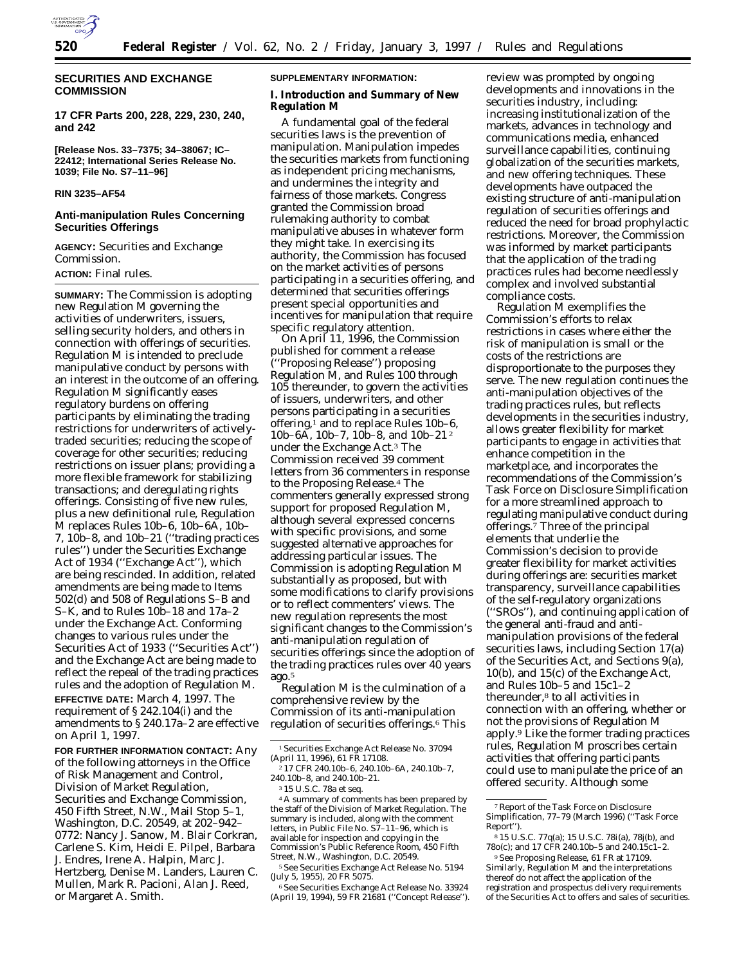

## **SECURITIES AND EXCHANGE COMMISSION**

**17 CFR Parts 200, 228, 229, 230, 240, and 242**

**[Release Nos. 33–7375; 34–38067; IC– 22412; International Series Release No. 1039; File No. S7–11–96]**

#### **RIN 3235–AF54**

### **Anti-manipulation Rules Concerning Securities Offerings**

**AGENCY:** Securities and Exchange Commission.

## **ACTION:** Final rules.

**SUMMARY:** The Commission is adopting new Regulation M governing the activities of underwriters, issuers, selling security holders, and others in connection with offerings of securities. Regulation M is intended to preclude manipulative conduct by persons with an interest in the outcome of an offering. Regulation M significantly eases regulatory burdens on offering participants by eliminating the trading restrictions for underwriters of activelytraded securities; reducing the scope of coverage for other securities; reducing restrictions on issuer plans; providing a more flexible framework for stabilizing transactions; and deregulating rights offerings. Consisting of five new rules, plus a new definitional rule, Regulation M replaces Rules 10b–6, 10b–6A, 10b– 7, 10b–8, and 10b–21 (''trading practices rules'') under the Securities Exchange Act of 1934 (''Exchange Act''), which are being rescinded. In addition, related amendments are being made to Items 502(d) and 508 of Regulations S–B and S–K, and to Rules 10b–18 and 17a–2 under the Exchange Act. Conforming changes to various rules under the Securities Act of 1933 (''Securities Act'') and the Exchange Act are being made to reflect the repeal of the trading practices rules and the adoption of Regulation M.

**EFFECTIVE DATE:** March 4, 1997. The requirement of § 242.104(i) and the amendments to § 240.17a–2 are effective on April 1, 1997.

**FOR FURTHER INFORMATION CONTACT:** Any of the following attorneys in the Office of Risk Management and Control, Division of Market Regulation, Securities and Exchange Commission, 450 Fifth Street, N.W., Mail Stop 5–1, Washington, D.C. 20549, at 202–942– 0772: Nancy J. Sanow, M. Blair Corkran, Carlene S. Kim, Heidi E. Pilpel, Barbara J. Endres, Irene A. Halpin, Marc J. Hertzberg, Denise M. Landers, Lauren C. Mullen, Mark R. Pacioni, Alan J. Reed, or Margaret A. Smith.

#### **SUPPLEMENTARY INFORMATION:**

**I. Introduction and Summary of New Regulation M**

A fundamental goal of the federal securities laws is the prevention of manipulation. Manipulation impedes the securities markets from functioning as independent pricing mechanisms, and undermines the integrity and fairness of those markets. Congress granted the Commission broad rulemaking authority to combat manipulative abuses in whatever form they might take. In exercising its authority, the Commission has focused on the market activities of persons participating in a securities offering, and determined that securities offerings present special opportunities and incentives for manipulation that require specific regulatory attention.

On April 11, 1996, the Commission published for comment a release (''Proposing Release'') proposing Regulation M, and Rules 100 through 105 thereunder, to govern the activities of issuers, underwriters, and other persons participating in a securities offering, $1$  and to replace Rules 10b–6, 10b–6A, 10b–7, 10b–8, and 10b–21 2 under the Exchange Act.3 The Commission received 39 comment letters from 36 commenters in response to the Proposing Release.4 The commenters generally expressed strong support for proposed Regulation M, although several expressed concerns with specific provisions, and some suggested alternative approaches for addressing particular issues. The Commission is adopting Regulation M substantially as proposed, but with some modifications to clarify provisions or to reflect commenters' views. The new regulation represents the most significant changes to the Commission's anti-manipulation regulation of securities offerings since the adoption of the trading practices rules over 40 years ago.5

Regulation M is the culmination of a comprehensive review by the Commission of its anti-manipulation regulation of securities offerings.6 This

4A summary of comments has been prepared by the staff of the Division of Market Regulation. The summary is included, along with the comment letters, in Public File No. S7–11–96, which is available for inspection and copying in the Commission's Public Reference Room, 450 Fifth Street, N.W., Washington, D.C. 20549.

5*See* Securities Exchange Act Release No. 5194 (July 5, 1955), 20 FR 5075.

6*See* Securities Exchange Act Release No. 33924 (April 19, 1994), 59 FR 21681 (''Concept Release'').

review was prompted by ongoing developments and innovations in the securities industry, including: increasing institutionalization of the markets, advances in technology and communications media, enhanced surveillance capabilities, continuing globalization of the securities markets, and new offering techniques. These developments have outpaced the existing structure of anti-manipulation regulation of securities offerings and reduced the need for broad prophylactic restrictions. Moreover, the Commission was informed by market participants that the application of the trading practices rules had become needlessly complex and involved substantial compliance costs.

Regulation M exemplifies the Commission's efforts to relax restrictions in cases where either the risk of manipulation is small or the costs of the restrictions are disproportionate to the purposes they serve. The new regulation continues the anti-manipulation objectives of the trading practices rules, but reflects developments in the securities industry, allows greater flexibility for market participants to engage in activities that enhance competition in the marketplace, and incorporates the recommendations of the Commission's Task Force on Disclosure Simplification for a more streamlined approach to regulating manipulative conduct during offerings.7 Three of the principal elements that underlie the Commission's decision to provide greater flexibility for market activities during offerings are: securities market transparency, surveillance capabilities of the self-regulatory organizations (''SROs''), and continuing application of the general anti-fraud and antimanipulation provisions of the federal securities laws, including Section 17(a) of the Securities Act, and Sections 9(a), 10(b), and 15(c) of the Exchange Act, and Rules 10b–5 and 15c1–2 thereunder,8 to all activities in connection with an offering, whether or not the provisions of Regulation M apply.9 Like the former trading practices rules, Regulation M proscribes certain activities that offering participants could use to manipulate the price of an offered security. Although some

9*See* Proposing Release, 61 FR at 17109. Similarly, Regulation M and the interpretations thereof do not affect the application of the registration and prospectus delivery requirements of the Securities Act to offers and sales of securities.

<sup>1</sup>Securities Exchange Act Release No. 37094 (April 11, 1996), 61 FR 17108.

<sup>2</sup> 17 CFR 240.10b–6, 240.10b–6A, 240.10b–7, 240.10b–8, and 240.10b–21.

<sup>3</sup> 15 U.S.C. 78a *et seq.*

<sup>7</sup>*Report of the Task Force on Disclosure Simplification,* 77–79 (March 1996) (''Task Force Report'').

<sup>8</sup> 15 U.S.C. 77q(a); 15 U.S.C. 78i(a), 78j(b), and 78o(c); and 17 CFR 240.10b–5 and 240.15c1–2.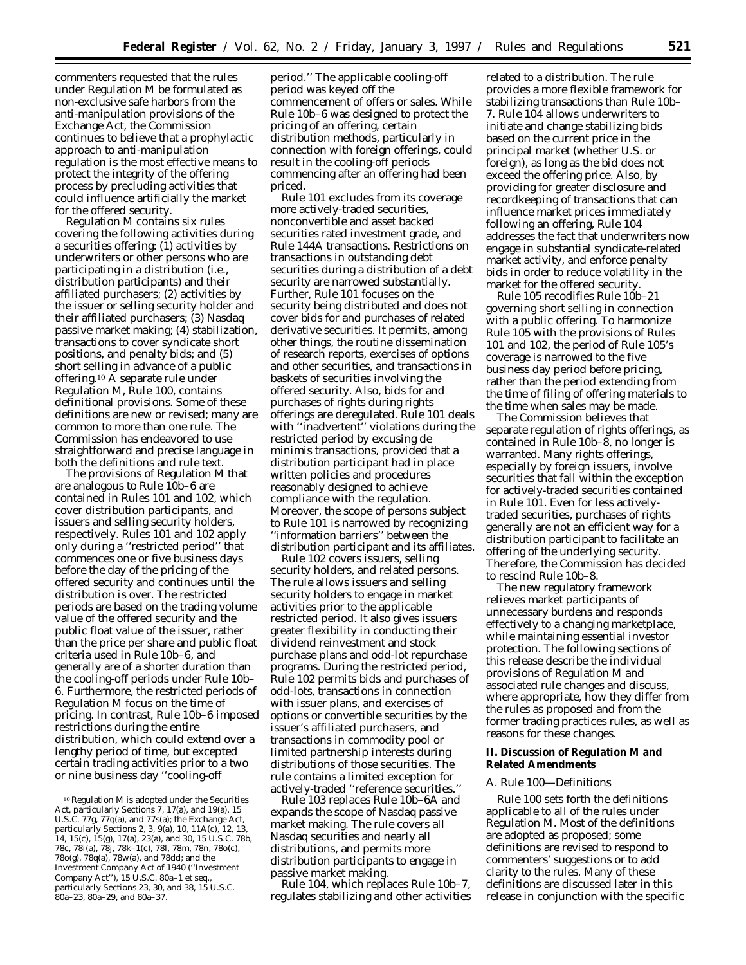commenters requested that the rules under Regulation M be formulated as non-exclusive safe harbors from the anti-manipulation provisions of the Exchange Act, the Commission continues to believe that a prophylactic approach to anti-manipulation regulation is the most effective means to protect the integrity of the offering process by precluding activities that could influence artificially the market for the offered security.

Regulation M contains six rules covering the following activities during a securities offering: (1) activities by underwriters or other persons who are participating in a distribution (*i.e.,* distribution participants) and their affiliated purchasers; (2) activities by the issuer or selling security holder and their affiliated purchasers; (3) Nasdaq passive market making; (4) stabilization, transactions to cover syndicate short positions, and penalty bids; and (5) short selling in advance of a public offering.10 A separate rule under Regulation M, Rule 100, contains definitional provisions. Some of these definitions are new or revised; many are common to more than one rule. The Commission has endeavored to use straightforward and precise language in both the definitions and rule text.

The provisions of Regulation M that are analogous to Rule 10b–6 are contained in Rules 101 and 102, which cover distribution participants, and issuers and selling security holders, respectively. Rules 101 and 102 apply only during a ''restricted period'' that commences one or five business days before the day of the pricing of the offered security and continues until the distribution is over. The restricted periods are based on the trading volume value of the offered security and the public float value of the issuer, rather than the price per share and public float criteria used in Rule 10b–6, and generally are of a shorter duration than the cooling-off periods under Rule 10b– 6. Furthermore, the restricted periods of Regulation M focus on the time of pricing. In contrast, Rule 10b–6 imposed restrictions during the entire distribution, which could extend over a lengthy period of time, but excepted certain trading activities prior to a two or nine business day ''cooling-off

period.'' The applicable cooling-off period was keyed off the commencement of offers or sales. While Rule 10b–6 was designed to protect the pricing of an offering, certain distribution methods, particularly in connection with foreign offerings, could result in the cooling-off periods commencing after an offering had been priced.

Rule 101 excludes from its coverage more actively-traded securities, nonconvertible and asset backed securities rated investment grade, and Rule 144A transactions. Restrictions on transactions in outstanding debt securities during a distribution of a debt security are narrowed substantially. Further, Rule 101 focuses on the security being distributed and does not cover bids for and purchases of related derivative securities. It permits, among other things, the routine dissemination of research reports, exercises of options and other securities, and transactions in baskets of securities involving the offered security. Also, bids for and purchases of rights during rights offerings are deregulated. Rule 101 deals with ''inadvertent'' violations during the restricted period by excusing *de minimis* transactions, provided that a distribution participant had in place written policies and procedures reasonably designed to achieve compliance with the regulation. Moreover, the scope of persons subject to Rule 101 is narrowed by recognizing ''information barriers'' between the distribution participant and its affiliates.

Rule 102 covers issuers, selling security holders, and related persons. The rule allows issuers and selling security holders to engage in market activities prior to the applicable restricted period. It also gives issuers greater flexibility in conducting their dividend reinvestment and stock purchase plans and odd-lot repurchase programs. During the restricted period, Rule 102 permits bids and purchases of odd-lots, transactions in connection with issuer plans, and exercises of options or convertible securities by the issuer's affiliated purchasers, and transactions in commodity pool or limited partnership interests during distributions of those securities. The rule contains a limited exception for actively-traded ''reference securities.''

Rule 103 replaces Rule 10b–6A and expands the scope of Nasdaq passive market making. The rule covers all Nasdaq securities and nearly all distributions, and permits more distribution participants to engage in passive market making.

Rule 104, which replaces Rule 10b–7, regulates stabilizing and other activities related to a distribution. The rule provides a more flexible framework for stabilizing transactions than Rule 10b– 7. Rule 104 allows underwriters to initiate and change stabilizing bids based on the current price in the principal market (whether U.S. or foreign), as long as the bid does not exceed the offering price. Also, by providing for greater disclosure and recordkeeping of transactions that can influence market prices immediately following an offering, Rule 104 addresses the fact that underwriters now engage in substantial syndicate-related market activity, and enforce penalty bids in order to reduce volatility in the market for the offered security.

Rule 105 recodifies Rule 10b–21 governing short selling in connection with a public offering. To harmonize Rule 105 with the provisions of Rules 101 and 102, the period of Rule 105's coverage is narrowed to the five business day period before pricing, rather than the period extending from the time of filing of offering materials to the time when sales may be made.

The Commission believes that separate regulation of rights offerings, as contained in Rule 10b–8, no longer is warranted. Many rights offerings, especially by foreign issuers, involve securities that fall within the exception for actively-traded securities contained in Rule 101. Even for less activelytraded securities, purchases of rights generally are not an efficient way for a distribution participant to facilitate an offering of the underlying security. Therefore, the Commission has decided to rescind Rule 10b–8.

The new regulatory framework relieves market participants of unnecessary burdens and responds effectively to a changing marketplace, while maintaining essential investor protection. The following sections of this release describe the individual provisions of Regulation M and associated rule changes and discuss, where appropriate, how they differ from the rules as proposed and from the former trading practices rules, as well as reasons for these changes.

**II. Discussion of Regulation M and Related Amendments**

## *A. Rule 100—Definitions*

Rule 100 sets forth the definitions applicable to all of the rules under Regulation M. Most of the definitions are adopted as proposed; some definitions are revised to respond to commenters' suggestions or to add clarity to the rules. Many of these definitions are discussed later in this release in conjunction with the specific

<sup>10</sup>Regulation M is adopted under the Securities Act, particularly Sections 7, 17(a), and 19(a), 15 U.S.C. 77g, 77q(a), and 77s(a); the Exchange Act, particularly Sections 2, 3, 9(a), 10, 11A(c), 12, 13 14, 15(c), 15(g), 17(a), 23(a), and 30, 15 U.S.C. 78b, 78c, 78i(a), 78j, 78k–1(c), 78*l*, 78m, 78n, 78o(c), 78o(g), 78q(a), 78w(a), and 78dd; and the Investment Company Act of 1940 (''Investment Company Act''), 15 U.S.C. 80a–1 *et seq.,* particularly Sections 23, 30, and 38, 15 U.S.C. 80a–23, 80a–29, and 80a–37.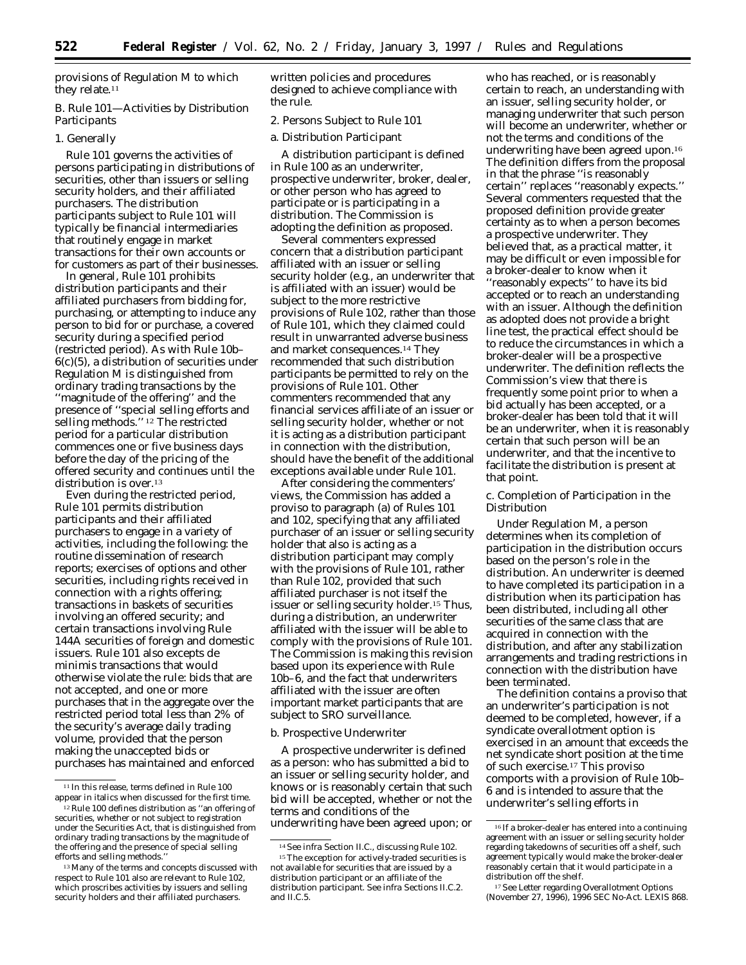provisions of Regulation M to which they relate.11

## *B. Rule 101—Activities by Distribution Participants*

## 1. Generally

Rule 101 governs the activities of persons participating in *distributions* of securities, other than issuers or *selling security holders,* and their *affiliated purchasers.* The distribution participants subject to Rule 101 will typically be financial intermediaries that routinely engage in market transactions for their own accounts or for customers as part of their businesses.

In general, Rule 101 prohibits distribution participants and their affiliated purchasers from bidding for, purchasing, or attempting to induce any person to bid for or purchase, a *covered security* during a specified period (*restricted period*). As with Rule 10b– 6(c)(5), a distribution of securities under Regulation M is distinguished from ordinary trading transactions by the ''magnitude of the offering'' and the presence of ''special selling efforts and selling methods."<sup>12</sup> The restricted period for a particular distribution commences one or five *business days* before the day of the pricing of the offered security and continues until the distribution is over.<sup>13</sup>

Even during the restricted period, Rule 101 permits distribution participants and their affiliated purchasers to engage in a variety of activities, including the following: the routine dissemination of research reports; exercises of options and other securities, including rights received in connection with a rights offering; transactions in baskets of securities involving an offered security; and certain transactions involving Rule 144A securities of foreign and domestic issuers. Rule 101 also excepts *de minimis* transactions that would otherwise violate the rule: bids that are not accepted, and one or more purchases that in the aggregate over the restricted period total less than 2% of the security's average daily trading volume, provided that the person making the unaccepted bids or purchases has maintained and enforced written policies and procedures designed to achieve compliance with the rule.

## 2. Persons Subject to Rule 101

a. Distribution Participant

A *distribution participant* is defined in Rule 100 as an underwriter, prospective underwriter, broker, dealer, or other person who has agreed to participate or is participating in a distribution. The Commission is adopting the definition as proposed.

Several commenters expressed concern that a distribution participant affiliated with an issuer or selling security holder (*e.g.,* an underwriter that is affiliated with an issuer) would be subject to the more restrictive provisions of Rule 102, rather than those of Rule 101, which they claimed could result in unwarranted adverse business and market consequences.14 They recommended that such distribution participants be permitted to rely on the provisions of Rule 101. Other commenters recommended that any financial services affiliate of an issuer or selling security holder, whether or not it is acting as a distribution participant in connection with the distribution, should have the benefit of the additional exceptions available under Rule 101.

After considering the commenters' views, the Commission has added a proviso to paragraph (a) of Rules 101 and 102, specifying that any affiliated purchaser of an issuer or selling security holder that also is acting as a distribution participant may comply with the provisions of Rule 101, rather than Rule 102, provided that such affiliated purchaser is not itself the issuer or selling security holder.15 Thus, during a distribution, an underwriter affiliated with the issuer will be able to comply with the provisions of Rule 101. The Commission is making this revision based upon its experience with Rule 10b–6, and the fact that underwriters affiliated with the issuer are often important market participants that are subject to SRO surveillance.

#### b. Prospective Underwriter

*A prospective underwriter* is defined as a person: who has submitted a bid to an issuer or selling security holder, and knows or is reasonably certain that such bid will be accepted, whether or not the terms and conditions of the underwriting have been agreed upon; or

who has reached, or is reasonably certain to reach, an understanding with an issuer, selling security holder, or managing underwriter that such person will become an underwriter, whether or not the terms and conditions of the underwriting have been agreed upon.16 The definition differs from the proposal in that the phrase ''is reasonably certain'' replaces ''reasonably expects.'' Several commenters requested that the proposed definition provide greater certainty as to when a person becomes a prospective underwriter. They believed that, as a practical matter, it may be difficult or even impossible for a broker-dealer to know when it ''reasonably expects'' to have its bid accepted or to reach an understanding with an issuer. Although the definition as adopted does not provide a bright line test, the practical effect should be to reduce the circumstances in which a broker-dealer will be a prospective underwriter. The definition reflects the Commission's view that there is frequently some point prior to when a bid actually has been accepted, or a broker-dealer has been told that it will be an underwriter, when it is reasonably certain that such person will be an underwriter, and that the incentive to facilitate the distribution is present at that point.

c. Completion of Participation in the Distribution

Under Regulation M, a person determines when its *completion of participation in the distribution* occurs based on the person's role in the distribution. An underwriter is deemed to have completed its participation in a distribution when its participation has been distributed, including all other securities of the same class that are acquired in connection with the distribution, and after any stabilization arrangements and trading restrictions in connection with the distribution have been terminated.

The definition contains a proviso that an underwriter's participation is not deemed to be completed, however, if a syndicate overallotment option is exercised in an amount that exceeds the net syndicate short position at the time of such exercise.17 This proviso comports with a provision of Rule 10b– 6 and is intended to assure that the underwriter's selling efforts in

<sup>11</sup> In this release, terms defined in Rule 100 appear in italics when discussed for the first time.

<sup>&</sup>lt;sup>12</sup> Rule 100 defines distribution as "an offering of securities, whether or not subject to registration under the Securities Act, that is distinguished from ordinary trading transactions by the magnitude of the offering and the presence of special selling efforts and selling methods.''

<sup>13</sup>Many of the terms and concepts discussed with respect to Rule 101 also are relevant to Rule 102, which proscribes activities by issuers and selling security holders and their affiliated purchasers.

<sup>14</sup>*See infra* Section II.C., discussing Rule 102. <sup>15</sup>The exception for actively-traded securities is not available for securities that are issued by a distribution participant or an affiliate of the distribution participant. *See infra* Sections II.C.2. and II.C.5.

<sup>16</sup> If a broker-dealer has entered into a continuing agreement with an issuer or selling security holder regarding takedowns of securities off a shelf, such agreement typically would make the broker-dealer reasonably certain that it would participate in a distribution off the shelf.

<sup>17</sup>*See Letter regarding Overallotment Options* (November 27, 1996), 1996 SEC No-Act. LEXIS 868.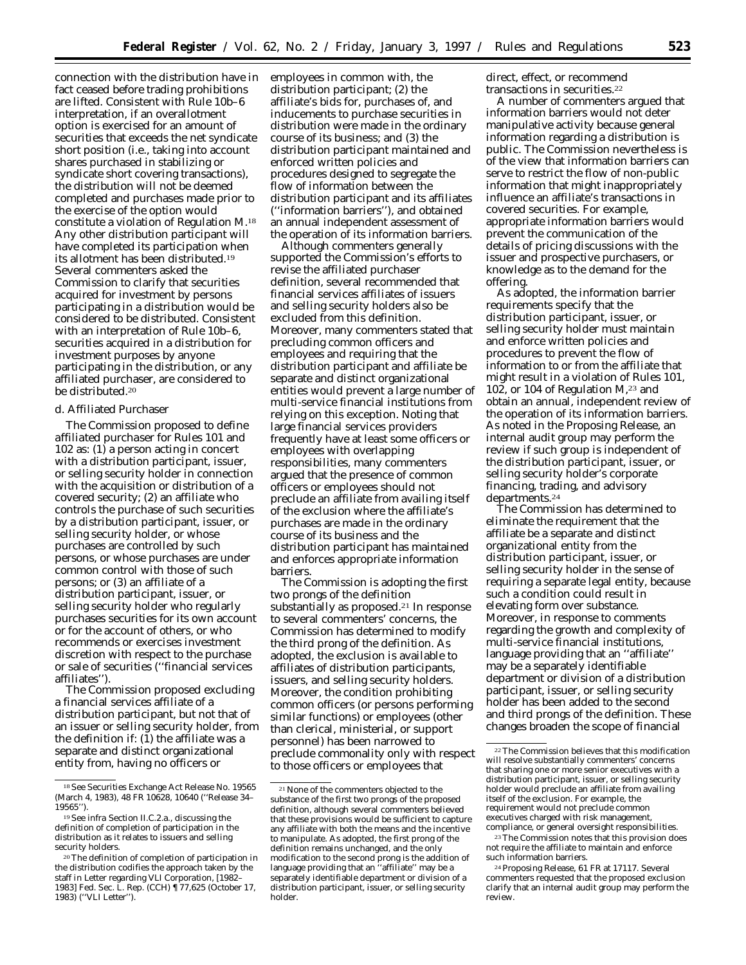connection with the distribution have in fact ceased before trading prohibitions are lifted. Consistent with Rule 10b–6 interpretation, if an overallotment option is exercised for an amount of securities that exceeds the net syndicate short position (*i.e.,* taking into account shares purchased in stabilizing or syndicate short covering transactions), the distribution will not be deemed completed and purchases made prior to the exercise of the option would constitute a violation of Regulation M.18 Any other distribution participant will have completed its participation when its allotment has been distributed.19 Several commenters asked the Commission to clarify that securities acquired for investment by persons participating in a distribution would be considered to be distributed. Consistent with an interpretation of Rule 10b–6, securities acquired in a distribution for investment purposes by anyone participating in the distribution, or any affiliated purchaser, are considered to be distributed.20

#### d. Affiliated Purchaser

The Commission proposed to define *affiliated purchaser* for Rules 101 and 102 as: (1) a person acting in concert with a distribution participant, issuer, or selling security holder in connection with the acquisition or distribution of a covered security; (2) an affiliate who controls the purchase of such securities by a distribution participant, issuer, or selling security holder, or whose purchases are controlled by such persons, or whose purchases are under common control with those of such persons; or (3) an affiliate of a distribution participant, issuer, or selling security holder who regularly purchases securities for its own account or for the account of others, or who recommends or exercises investment discretion with respect to the purchase or sale of securities (''financial services affiliates'').

The Commission proposed excluding a financial services affiliate of a distribution participant, but not that of an issuer or selling security holder, from the definition if: (1) the affiliate was a separate and distinct organizational entity from, having no officers or

employees in common with, the distribution participant; (2) the affiliate's bids for, purchases of, and inducements to purchase securities in distribution were made in the ordinary course of its business; and (3) the distribution participant maintained and enforced written policies and procedures designed to segregate the flow of information between the distribution participant and its affiliates (''information barriers''), and obtained an annual independent assessment of the operation of its information barriers.

Although commenters generally supported the Commission's efforts to revise the affiliated purchaser definition, several recommended that financial services affiliates of issuers and selling security holders also be excluded from this definition. Moreover, many commenters stated that precluding common officers and employees and requiring that the distribution participant and affiliate be separate and distinct organizational entities would prevent a large number of multi-service financial institutions from relying on this exception. Noting that large financial services providers frequently have at least some officers or employees with overlapping responsibilities, many commenters argued that the presence of common officers or employees should not preclude an affiliate from availing itself of the exclusion where the affiliate's purchases are made in the ordinary course of its business and the distribution participant has maintained and enforces appropriate information barriers.

The Commission is adopting the first two prongs of the definition substantially as proposed.21 In response to several commenters' concerns, the Commission has determined to modify the third prong of the definition. As adopted, the exclusion is available to affiliates of distribution participants, issuers, and selling security holders. Moreover, the condition prohibiting common officers (or persons performing similar functions) or employees (other than clerical, ministerial, or support personnel) has been narrowed to preclude commonality only with respect to those officers or employees that

direct, effect, or recommend transactions in securities.22

A number of commenters argued that information barriers would not deter manipulative activity because general information regarding a distribution is public. The Commission nevertheless is of the view that information barriers can serve to restrict the flow of non-public information that might inappropriately influence an affiliate's transactions in covered securities. For example, appropriate information barriers would prevent the communication of the details of pricing discussions with the issuer and prospective purchasers, or knowledge as to the demand for the offering.

As adopted, the information barrier requirements specify that the distribution participant, issuer, or selling security holder must maintain and enforce written policies and procedures to prevent the flow of information to or from the affiliate that might result in a violation of Rules 101, 102, or 104 of Regulation  $M<sub>1</sub>$ <sup>23</sup> and obtain an annual, independent review of the operation of its information barriers. As noted in the Proposing Release, an internal audit group may perform the review if such group is independent of the distribution participant, issuer, or selling security holder's corporate financing, trading, and advisory departments.24

The Commission has determined to eliminate the requirement that the affiliate be a separate and distinct organizational entity from the distribution participant, issuer, or selling security holder in the sense of requiring a separate legal entity, because such a condition could result in elevating form over substance. Moreover, in response to comments regarding the growth and complexity of multi-service financial institutions, language providing that an ''affiliate'' may be a separately identifiable department or division of a distribution participant, issuer, or selling security holder has been added to the second and third prongs of the definition. These changes broaden the scope of financial

<sup>18</sup>*See* Securities Exchange Act Release No. 19565 (March 4, 1983), 48 FR 10628, 10640 (''Release 34– 19565'').

<sup>19</sup>*See infra* Section II.C.2.a., discussing the definition of completion of participation in the distribution as it relates to issuers and selling security holders.

<sup>20</sup>The definition of completion of participation in the distribution codifies the approach taken by the staff in *Letter regarding VLI Corporation,* [1982– 1983] Fed. Sec. L. Rep. (CCH) ¶ 77,625 (October 17, 1983) (''VLI Letter'').

<sup>21</sup>None of the commenters objected to the substance of the first two prongs of the proposed definition, although several commenters believed that these provisions would be sufficient to capture any affiliate with both the means and the incentive to manipulate. As adopted, the first prong of the definition remains unchanged, and the only modification to the second prong is the addition of language providing that an ''affiliate'' may be a separately identifiable department or division of a distribution participant, issuer, or selling security holder.

<sup>22</sup>The Commission believes that this modification will resolve substantially commenters' concerns that sharing one or more senior executives with a distribution participant, issuer, or selling security holder would preclude an affiliate from availing itself of the exclusion. For example, the requirement would not preclude common executives charged with risk management, compliance, or general oversight responsibilities.

<sup>23</sup>The Commission notes that this provision does not require the affiliate to maintain and enforce such information barriers.

<sup>24</sup>Proposing Release, 61 FR at 17117. Several commenters requested that the proposed exclusion clarify that an internal audit group may perform the review.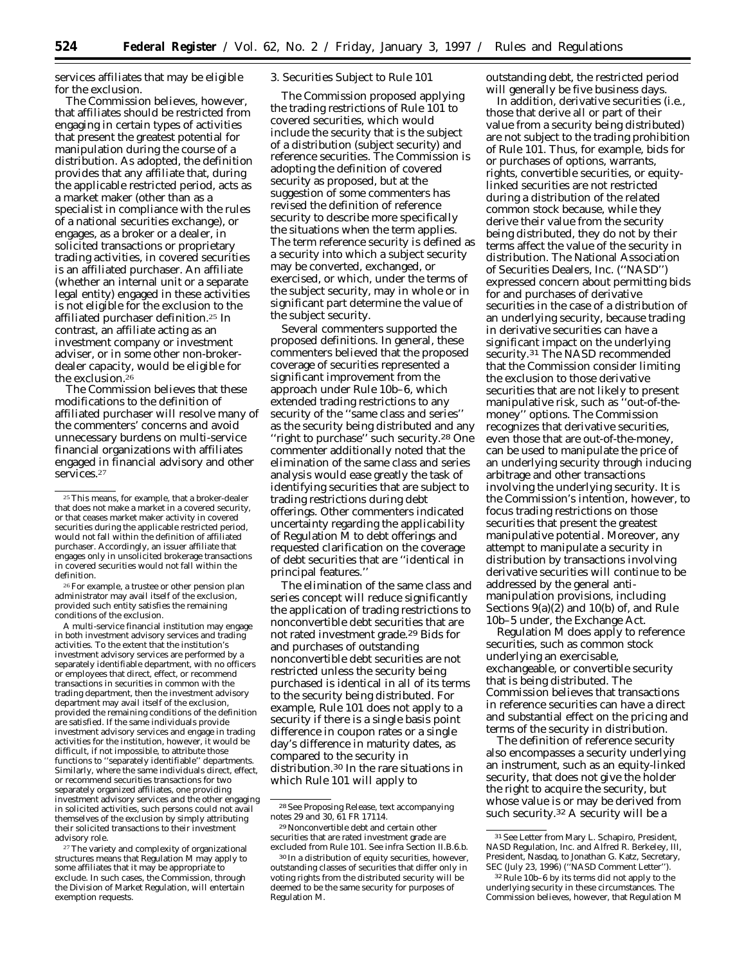services affiliates that may be eligible for the exclusion.

The Commission believes, however, that affiliates should be restricted from engaging in certain types of activities that present the greatest potential for manipulation during the course of a distribution. As adopted, the definition provides that any affiliate that, during the applicable restricted period, acts as a market maker (other than as a specialist in compliance with the rules of a national securities exchange), or engages, as a broker or a dealer, in solicited transactions or proprietary trading activities, in covered securities is an affiliated purchaser. An affiliate (whether an internal unit or a separate legal entity) engaged in these activities is not eligible for the exclusion to the affiliated purchaser definition.25 In contrast, an affiliate acting as an investment company or investment adviser, or in some other non-brokerdealer capacity, would be eligible for the exclusion.26

The Commission believes that these modifications to the definition of affiliated purchaser will resolve many of the commenters' concerns and avoid unnecessary burdens on multi-service financial organizations with affiliates engaged in financial advisory and other services.<sup>27</sup>

26For example, a trustee or other pension plan administrator may avail itself of the exclusion, provided such entity satisfies the remaining conditions of the exclusion.

A multi-service financial institution may engage in both investment advisory services and trading activities. To the extent that the institution's investment advisory services are performed by a separately identifiable department, with no officers or employees that direct, effect, or recommend transactions in securities in common with the trading department, then the investment advisory department may avail itself of the exclusion, provided the remaining conditions of the definition are satisfied. If the same individuals provide investment advisory services and engage in trading activities for the institution, however, it would be difficult, if not impossible, to attribute those functions to ''separately identifiable'' departments. Similarly, where the same individuals direct, effect, or recommend securities transactions for two separately organized affiliates, one providing investment advisory services and the other engaging in solicited activities, such persons could not avail themselves of the exclusion by simply attributing their solicited transactions to their investment advisory role.

27The variety and complexity of organizational structures means that Regulation M may apply to some affiliates that it may be appropriate to exclude. In such cases, the Commission, through the Division of Market Regulation, will entertain exemption requests.

### 3. Securities Subject to Rule 101

The Commission proposed applying the trading restrictions of Rule 101 to covered securities, which would include the security that is the subject of a distribution (*subject security*) and *reference securities.* The Commission is adopting the definition of covered security as proposed, but at the suggestion of some commenters has revised the definition of reference security to describe more specifically the situations when the term applies. The term reference security is defined as a security into which a subject security may be converted, exchanged, or exercised, or which, under the terms of the subject security, may in whole or in significant part determine the value of the subject security.

Several commenters supported the proposed definitions. In general, these commenters believed that the proposed coverage of securities represented a significant improvement from the approach under Rule 10b–6, which extended trading restrictions to any security of the ''same class and series'' as the security being distributed and any ''right to purchase'' such security.28 One commenter additionally noted that the elimination of the same class and series analysis would ease greatly the task of identifying securities that are subject to trading restrictions during debt offerings. Other commenters indicated uncertainty regarding the applicability of Regulation M to debt offerings and requested clarification on the coverage of debt securities that are ''identical in principal features.''

The elimination of the same class and series concept will reduce significantly the application of trading restrictions to nonconvertible debt securities that are not rated investment grade.29 Bids for and purchases of outstanding nonconvertible debt securities are not restricted unless the security being purchased is identical in all of its terms to the security being distributed. For example, Rule 101 does not apply to a security if there is a single basis point difference in coupon rates or a single day's difference in maturity dates, as compared to the security in distribution.30 In the rare situations in which Rule 101 will apply to

outstanding debt, the restricted period will generally be five business days.

In addition, derivative securities (*i.e.,* those that derive all or part of their value from a security being distributed) are not subject to the trading prohibition of Rule 101. Thus, for example, bids for or purchases of options, warrants, rights, convertible securities, or equitylinked securities are not restricted during a distribution of the related common stock because, while they derive their value from the security being distributed, they do not by their terms affect the value of the security in distribution. The National Association of Securities Dealers, Inc. (''NASD'') expressed concern about permitting bids for and purchases of derivative securities in the case of a distribution of an underlying security, because trading in derivative securities can have a significant impact on the underlying security.31 The NASD recommended that the Commission consider limiting the exclusion to those derivative securities that are not likely to present manipulative risk, such as ''out-of-themoney'' options. The Commission recognizes that derivative securities, even those that are out-of-the-money, can be used to manipulate the price of an underlying security through inducing arbitrage and other transactions involving the underlying security. It is the Commission's intention, however, to focus trading restrictions on those securities that present the greatest manipulative potential. Moreover, any attempt to manipulate a security in distribution by transactions involving derivative securities will continue to be addressed by the general antimanipulation provisions, including Sections  $9(a)(\hat{2})$  and  $10(b)$  of, and Rule 10b–5 under, the Exchange Act.

Regulation M does apply to reference securities, such as common stock underlying an exercisable, exchangeable, or convertible security that is being distributed. The Commission believes that transactions in reference securities can have a direct and substantial effect on the pricing and terms of the security in distribution.

The definition of reference security also encompasses a security underlying an instrument, such as an equity-linked security, that does not give the holder the right to acquire the security, but whose value is or may be derived from such security.32 A security will be a

<sup>25</sup>This means, for example, that a broker-dealer that does not make a market in a covered security, or that ceases market maker activity in covered securities during the applicable restricted period, would not fall within the definition of affiliated purchaser. Accordingly, an issuer affiliate that engages only in unsolicited brokerage transactions in covered securities would not fall within the definition.

<sup>28</sup>*See* Proposing Release, text accompanying notes 29 and 30, 61 FR 17114.

<sup>29</sup>Nonconvertible debt and certain other securities that are rated investment grade are excluded from Rule 101. *See infra* Section II.B.6.b.

<sup>30</sup> In a distribution of equity securities, however, outstanding classes of securities that differ only in voting rights from the distributed security will be deemed to be the same security for purposes of Regulation M.

<sup>31</sup>*See* Letter from Mary L. Schapiro, President, NASD Regulation, Inc. and Alfred R. Berkeley, III, President, Nasdaq, to Jonathan G. Katz, Secretary, SEC (July 23, 1996) (''NASD Comment Letter'').

<sup>32</sup>Rule 10b–6 by its terms did not apply to the underlying security in these circumstances. The Commission believes, however, that Regulation M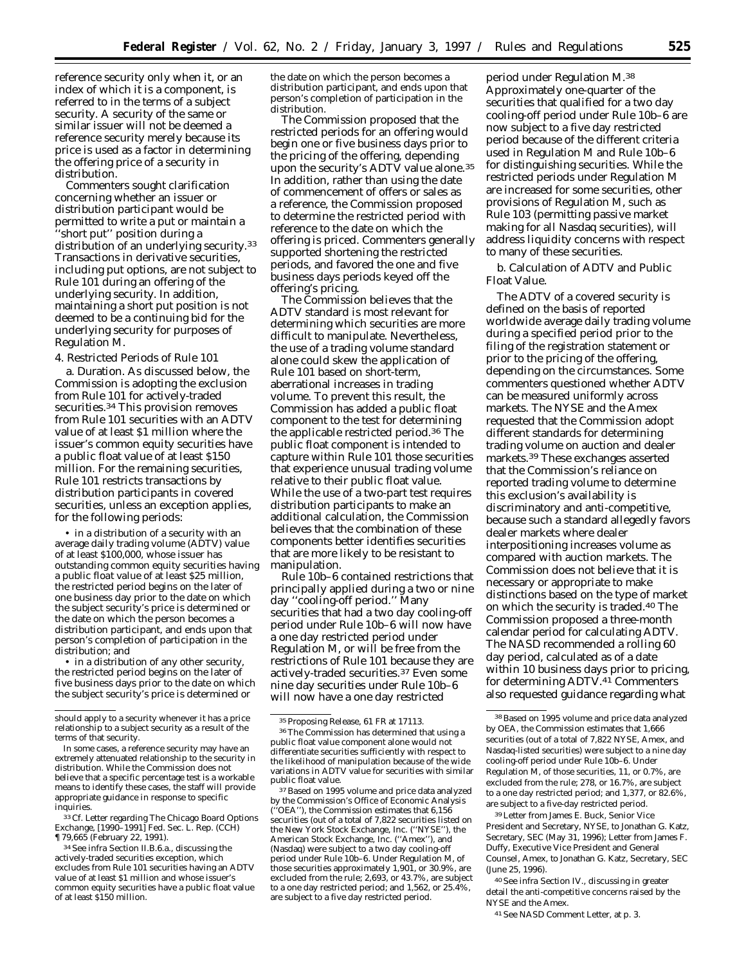reference security only when it, or an index of which it is a component, is referred to in the terms of a subject security. A security of the same or similar issuer will not be deemed a reference security merely because its price is used as a factor in determining the offering price of a security in distribution.

Commenters sought clarification concerning whether an issuer or distribution participant would be permitted to write a put or maintain a ''short put'' position during a distribution of an underlying security.33 Transactions in derivative securities, including put options, are not subject to Rule 101 during an offering of the underlying security. In addition, maintaining a short put position is not deemed to be a continuing bid for the underlying security for purposes of Regulation M.

4. Restricted Periods of Rule 101

a. Duration. As discussed below, the Commission is adopting the exclusion from Rule 101 for actively-traded securities.<sup>34</sup> This provision removes from Rule 101 securities with an ADTV value of at least \$1 million where the issuer's common equity securities have a public float value of at least \$150 million. For the remaining securities, Rule 101 restricts transactions by distribution participants in covered securities, unless an exception applies, for the following periods:

• in a distribution of a security with an average daily trading volume (*ADTV*) value of at least \$100,000, whose issuer has outstanding common equity securities having a *public float value* of at least \$25 million, the restricted period begins on the later of one business day prior to the date on which the subject security's price is determined or the date on which the person becomes a distribution participant, and ends upon that person's completion of participation in the distribution; and

• in a distribution of any other security, the restricted period begins on the later of five business days prior to the date on which the subject security's price is determined or

33*Cf. Letter regarding The Chicago Board Options Exchange,* [1990–1991] Fed. Sec. L. Rep. (CCH) ¶ 79,665 (February 22, 1991).

34*See infra* Section II.B.6.a., discussing the actively-traded securities exception, which excludes from Rule 101 securities having an ADTV value of at least \$1 million and whose issuer's common equity securities have a public float value of at least \$150 million.

the date on which the person becomes a distribution participant, and ends upon that person's completion of participation in the distribution.

The Commission proposed that the restricted periods for an offering would begin one or five business days prior to the pricing of the offering, depending upon the security's ADTV value alone.35 In addition, rather than using the date of commencement of offers or sales as a reference, the Commission proposed to determine the restricted period with reference to the date on which the offering is priced. Commenters generally supported shortening the restricted periods, and favored the one and five business days periods keyed off the offering's pricing.

The Commission believes that the ADTV standard is most relevant for determining which securities are more difficult to manipulate. Nevertheless, the use of a trading volume standard alone could skew the application of Rule 101 based on short-term, aberrational increases in trading volume. To prevent this result, the Commission has added a public float component to the test for determining the applicable restricted period.36 The public float component is intended to capture within Rule 101 those securities that experience unusual trading volume relative to their public float value. While the use of a two-part test requires distribution participants to make an additional calculation, the Commission believes that the combination of these components better identifies securities that are more likely to be resistant to manipulation.

Rule 10b–6 contained restrictions that principally applied during a two or nine day ''cooling-off period.'' Many securities that had a two day cooling-off period under Rule 10b–6 will now have a one day restricted period under Regulation M, or will be free from the restrictions of Rule 101 because they are actively-traded securities.37 Even some nine day securities under Rule 10b–6 will now have a one day restricted

period under Regulation M.38 Approximately one-quarter of the securities that qualified for a two day cooling-off period under Rule 10b–6 are now subject to a five day restricted period because of the different criteria used in Regulation M and Rule 10b–6 for distinguishing securities. While the restricted periods under Regulation M are increased for some securities, other provisions of Regulation M, such as Rule 103 (permitting passive market making for all Nasdaq securities), will address liquidity concerns with respect to many of these securities.

b. Calculation of ADTV and Public Float Value.

The ADTV of a covered security is defined on the basis of reported worldwide average daily trading volume during a specified period prior to the filing of the registration statement or prior to the pricing of the offering, depending on the circumstances. Some commenters questioned whether ADTV can be measured uniformly across markets. The NYSE and the Amex requested that the Commission adopt different standards for determining trading volume on auction and dealer markets.39 These exchanges asserted that the Commission's reliance on reported trading volume to determine this exclusion's availability is discriminatory and anti-competitive, because such a standard allegedly favors dealer markets where dealer interpositioning increases volume as compared with auction markets. The Commission does not believe that it is necessary or appropriate to make distinctions based on the type of market on which the security is traded.40 The Commission proposed a three-month calendar period for calculating ADTV. The NASD recommended a rolling 60 day period, calculated as of a date within 10 business days prior to pricing, for determining ADTV.41 Commenters also requested guidance regarding what

39Letter from James E. Buck, Senior Vice President and Secretary, NYSE, to Jonathan G. Katz, Secretary, SEC (May 31, 1996); Letter from James F. Duffy, Executive Vice President and General Counsel, Amex, to Jonathan G. Katz, Secretary, SEC (June 25, 1996).

40*See infra* Section IV., discussing in greater detail the anti-competitive concerns raised by the NYSE and the Amex.

41*See* NASD Comment Letter, at p. 3.

should apply to a security whenever it has a price relationship to a subject security as a result of the terms of that security.

In some cases, a reference security may have an extremely attenuated relationship to the security in distribution. While the Commission does not believe that a specific percentage test is a workable means to identify these cases, the staff will provide appropriate guidance in response to specific inquiries.

<sup>35</sup>Proposing Release, 61 FR at 17113.

<sup>36</sup>The Commission has determined that using a public float value component alone would not differentiate securities sufficiently with respect to the likelihood of manipulation because of the wide variations in ADTV value for securities with similar public float value.

<sup>37</sup>Based on 1995 volume and price data analyzed by the Commission's Office of Economic Analysis  $($ "OEA"), the Commission estimates that 6,156 securities (out of a total of 7,822 securities listed on the New York Stock Exchange, Inc. (''NYSE''), the American Stock Exchange, Inc. (''Amex''), and (Nasdaq) were subject to a two day cooling-off period under Rule 10b-6. Under Regulation M, of those securities approximately 1,901, or 30.9%, are excluded from the rule; 2,693, or 43.7%, are subject to a one day restricted period; and 1,562, or 25.4%, are subject to a five day restricted period.

<sup>38</sup>Based on 1995 volume and price data analyzed by OEA, the Commission estimates that 1,666 securities (out of a total of 7,822 NYSE, Amex, and Nasdaq-listed securities) were subject to a nine day cooling-off period under Rule 10b–6. Under Regulation M, of those securities, 11, or 0.7%, are excluded from the rule; 278, or 16.7%, are subject to a one day restricted period; and 1,377, or 82.6%, are subject to a five-day restricted period.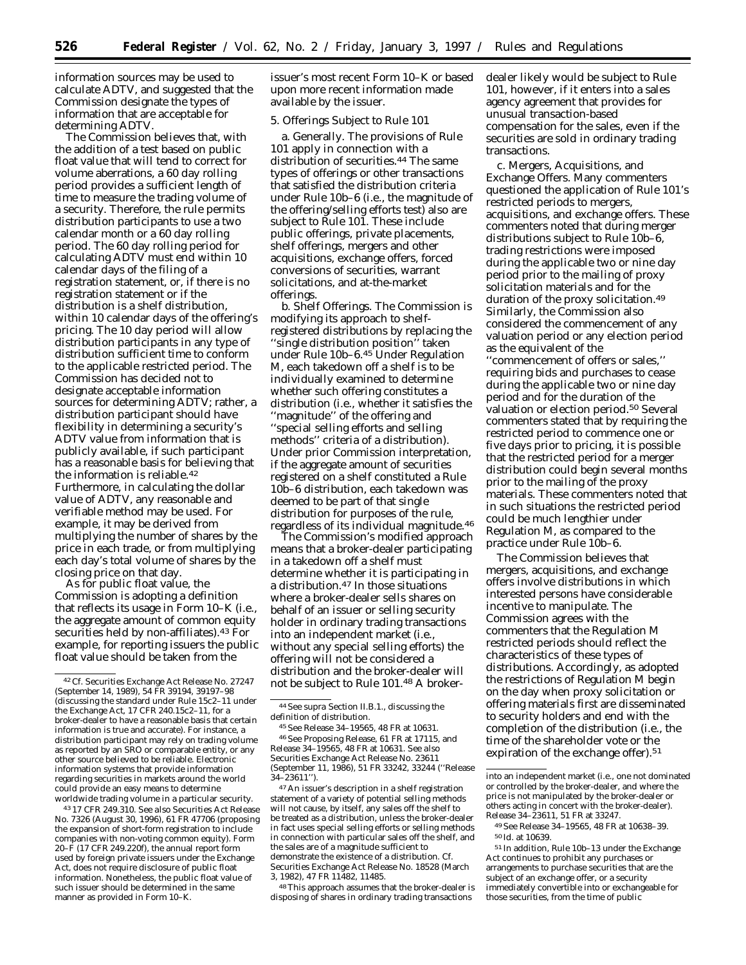information sources may be used to calculate ADTV, and suggested that the Commission designate the types of information that are acceptable for determining ADTV.

The Commission believes that, with the addition of a test based on public float value that will tend to correct for volume aberrations, a 60 day rolling period provides a sufficient length of time to measure the trading volume of a security. Therefore, the rule permits distribution participants to use a two calendar month *or* a 60 day rolling period. The 60 day rolling period for calculating ADTV must end within 10 calendar days of the filing of a registration statement, or, if there is no registration statement or if the distribution is a shelf distribution, within 10 calendar days of the offering's pricing. The 10 day period will allow distribution participants in any type of distribution sufficient time to conform to the applicable restricted period. The Commission has decided not to designate acceptable information sources for determining ADTV; rather, a distribution participant should have flexibility in determining a security's ADTV value from information that is publicly available, if such participant has a reasonable basis for believing that the information is reliable.42 Furthermore, in calculating the dollar value of ADTV, any reasonable and verifiable method may be used. For example, it may be derived from multiplying the number of shares by the price in each trade, or from multiplying each day's total volume of shares by the closing price on that day.

As for public float value, the Commission is adopting a definition that reflects its usage in Form 10–K (*i.e.,* the aggregate amount of common equity securities held by non-affiliates).<sup>43</sup> For example, for reporting issuers the public float value should be taken from the

43 17 CFR 249.310. *See also* Securities Act Release No. 7326 (August 30, 1996), 61 FR 47706 (proposing the expansion of short-form registration to include companies with non-voting common equity). Form 20–F (17 CFR 249.220f), the annual report form used by foreign private issuers under the Exchange Act, does not require disclosure of public float information. Nonetheless, the public float value of such issuer should be determined in the same manner as provided in Form 10–K.

issuer's most recent Form 10–K or based upon more recent information made available by the issuer.

#### 5. Offerings Subject to Rule 101

a. Generally. The provisions of Rule 101 apply in connection with a distribution of securities.44 The same types of offerings or other transactions that satisfied the distribution criteria under Rule 10b–6 (*i.e.,* the magnitude of the offering/selling efforts test) also are subject to Rule 101. These include public offerings, private placements, shelf offerings, mergers and other acquisitions, exchange offers, forced conversions of securities, warrant solicitations, and at-the-market offerings.

b. Shelf Offerings. The Commission is modifying its approach to shelfregistered distributions by replacing the ''single distribution position'' taken under Rule 10b–6.45 Under Regulation M, each takedown off a shelf is to be individually examined to determine whether such offering constitutes a distribution (*i.e.,* whether it satisfies the ''magnitude'' of the offering and ''special selling efforts and selling methods'' criteria of a distribution). Under prior Commission interpretation, if the aggregate amount of securities registered on a shelf constituted a Rule 10b–6 distribution, each takedown was deemed to be part of that single distribution for purposes of the rule, regardless of its individual magnitude.46

The Commission's modified approach means that a broker-dealer participating in a takedown off a shelf must determine whether it is participating in a distribution.47 In those situations where a broker-dealer sells shares on behalf of an issuer or selling security holder in ordinary trading transactions into an independent market (*i.e.,* without any special selling efforts) the offering will not be considered a distribution and the broker-dealer will not be subject to Rule 101.48 A broker-

48This approach assumes that the broker-dealer is disposing of shares in ordinary trading transactions

dealer likely would be subject to Rule 101, however, if it enters into a sales agency agreement that provides for unusual transaction-based compensation for the sales, even if the securities are sold in ordinary trading transactions.

c. Mergers, Acquisitions, and Exchange Offers. Many commenters questioned the application of Rule 101's restricted periods to mergers, acquisitions, and exchange offers. These commenters noted that during merger distributions subject to Rule 10b–6, trading restrictions were imposed during the applicable two or nine day period prior to the mailing of proxy solicitation materials and for the duration of the proxy solicitation.49 Similarly, the Commission also considered the commencement of any valuation period or any election period as the equivalent of the ''commencement of offers or sales,'' requiring bids and purchases to cease during the applicable two or nine day period and for the duration of the valuation or election period.50 Several commenters stated that by requiring the restricted period to commence one or five days prior to pricing, it is possible that the restricted period for a merger distribution could begin several months prior to the mailing of the proxy materials. These commenters noted that in such situations the restricted period could be much lengthier under Regulation M, as compared to the practice under Rule 10b–6.

The Commission believes that mergers, acquisitions, and exchange offers involve distributions in which interested persons have considerable incentive to manipulate. The Commission agrees with the commenters that the Regulation M restricted periods should reflect the characteristics of these types of distributions. Accordingly, as adopted the restrictions of Regulation M begin on the day when proxy solicitation or offering materials first are disseminated to security holders and end with the completion of the distribution (*i.e.,* the time of the shareholder vote or the expiration of the exchange offer).<sup>51</sup>

<sup>42</sup>*Cf.* Securities Exchange Act Release No. 27247 (September 14, 1989), 54 FR 39194, 39197–98 (discussing the standard under Rule 15c2–11 under the Exchange Act, 17 CFR 240.15c2–11, for a broker-dealer to have a reasonable basis that certain information is true and accurate). For instance, a distribution participant may rely on trading volume as reported by an SRO or comparable entity, or any other source believed to be reliable. Electronic information systems that provide information regarding securities in markets around the world could provide an easy means to determine worldwide trading volume in a particular security.

<sup>44</sup>*See supra* Section II.B.1., discussing the definition of distribution.

<sup>45</sup>*See* Release 34–19565, 48 FR at 10631. 46*See* Proposing Release, 61 FR at 17115, and Release 34–19565, 48 FR at 10631. *See also* Securities Exchange Act Release No. 23611 (September 11, 1986), 51 FR 33242, 33244 (''Release 34–23611'').

<sup>47</sup>An issuer's description in a shelf registration statement of a variety of potential selling methods will not cause, by itself, any sales off the shelf to be treated as a distribution, unless the broker-dealer in fact uses special selling efforts or selling methods in connection with particular sales off the shelf, and the sales are of a magnitude sufficient to demonstrate the existence of a distribution. *Cf.* Securities Exchange Act Release No. 18528 (March 3, 1982), 47 FR 11482, 11485.

into an independent market (*i.e.,* one not dominated or controlled by the broker-dealer, and where the price is not manipulated by the broker-dealer or others acting in concert with the broker-dealer). Release 34–23611, 51 FR at 33247.

<sup>49</sup>*See* Release 34–19565, 48 FR at 10638–39. 50 *Id.* at 10639.

<sup>51</sup> In addition, Rule 10b–13 under the Exchange Act continues to prohibit any purchases or arrangements to purchase securities that are the subject of an exchange offer, or a security immediately convertible into or exchangeable for those securities, from the time of public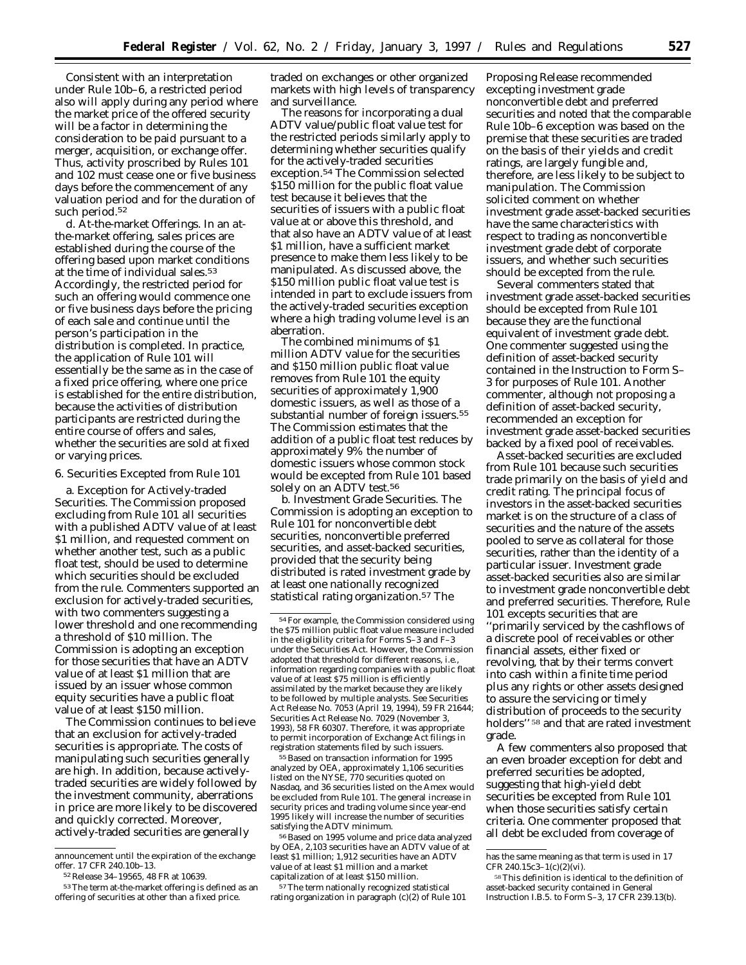Consistent with an interpretation under Rule 10b–6, a restricted period also will apply during any period where the market price of the offered security will be a factor in determining the consideration to be paid pursuant to a merger, acquisition, or exchange offer. Thus, activity proscribed by Rules 101 and 102 must cease one or five business days before the commencement of any valuation period and for the duration of such period.<sup>52</sup>

d. At-the-market Offerings. In an *atthe-market offering,* sales prices are established during the course of the offering based upon market conditions at the time of individual sales.53 Accordingly, the restricted period for such an offering would commence one or five business days before the pricing of each sale and continue until the person's participation in the distribution is completed. In practice, the application of Rule 101 will essentially be the same as in the case of a fixed price offering, where one price is established for the entire distribution, because the activities of distribution participants are restricted during the entire course of offers and sales, whether the securities are sold at fixed or varying prices.

6. Securities Excepted from Rule 101

a. Exception for Actively-traded Securities. The Commission proposed excluding from Rule 101 all securities with a published ADTV value of at least \$1 million, and requested comment on whether another test, such as a public float test, should be used to determine which securities should be excluded from the rule. Commenters supported an exclusion for actively-traded securities, with two commenters suggesting a lower threshold and one recommending a threshold of \$10 million. The Commission is adopting an exception for those securities that have an ADTV value of at least \$1 million that are issued by an issuer whose common equity securities have a public float value of at least \$150 million.

The Commission continues to believe that an exclusion for actively-traded securities is appropriate. The costs of manipulating such securities generally are high. In addition, because activelytraded securities are widely followed by the investment community, aberrations in price are more likely to be discovered and quickly corrected. Moreover, actively-traded securities are generally

traded on exchanges or other organized markets with high levels of transparency and surveillance.

The reasons for incorporating a dual ADTV value/public float value test for the restricted periods similarly apply to determining whether securities qualify for the actively-traded securities exception.54 The Commission selected \$150 million for the public float value test because it believes that the securities of issuers with a public float value at or above this threshold, and that also have an ADTV value of at least \$1 million, have a sufficient market presence to make them less likely to be manipulated. As discussed above, the \$150 million public float value test is intended in part to exclude issuers from the actively-traded securities exception where a high trading volume level is an aberration.

The combined minimums of \$1 million ADTV value for the securities and \$150 million public float value removes from Rule 101 the equity securities of approximately 1,900 domestic issuers, as well as those of a substantial number of foreign issuers.<sup>55</sup> The Commission estimates that the addition of a public float test reduces by approximately 9% the number of domestic issuers whose common stock would be excepted from Rule 101 based solely on an ADTV test.<sup>56</sup>

b. Investment Grade Securities. The Commission is adopting an exception to Rule 101 for nonconvertible debt securities, nonconvertible preferred securities, and *asset-backed securities,* provided that the security being distributed is rated investment grade by at least one *nationally recognized statistical rating organization*.57 The

55Based on transaction information for 1995 analyzed by OEA, approximately 1,106 securities listed on the NYSE, 770 securities quoted on Nasdaq, and 36 securities listed on the Amex would be excluded from Rule 101. The general increase in security prices and trading volume since year-end 1995 likely will increase the number of securities satisfying the ADTV minimum.

56Based on 1995 volume and price data analyzed by OEA, 2,103 securities have an ADTV value of at least \$1 million; 1,912 securities have an ADTV value of at least \$1 million and a market capitalization of at least \$150 million.

57The term nationally recognized statistical rating organization in paragraph (c)(2) of Rule 101

Proposing Release recommended excepting investment grade nonconvertible debt and preferred securities and noted that the comparable Rule 10b–6 exception was based on the premise that these securities are traded on the basis of their yields and credit ratings, are largely fungible and, therefore, are less likely to be subject to manipulation. The Commission solicited comment on whether investment grade asset-backed securities have the same characteristics with respect to trading as nonconvertible investment grade debt of corporate issuers, and whether such securities should be excepted from the rule.

Several commenters stated that investment grade asset-backed securities should be excepted from Rule 101 because they are the functional equivalent of investment grade debt. One commenter suggested using the definition of asset-backed security contained in the Instruction to Form S– 3 for purposes of Rule 101. Another commenter, although not proposing a definition of asset-backed security, recommended an exception for investment grade asset-backed securities backed by a fixed pool of receivables.

Asset-backed securities are excluded from Rule 101 because such securities trade primarily on the basis of yield and credit rating. The principal focus of investors in the asset-backed securities market is on the structure of a class of securities and the nature of the assets pooled to serve as collateral for those securities, rather than the identity of a particular issuer. Investment grade asset-backed securities also are similar to investment grade nonconvertible debt and preferred securities. Therefore, Rule 101 excepts securities that are

''primarily serviced by the cashflows of a discrete pool of receivables or other financial assets, either fixed or revolving, that by their terms convert into cash within a finite time period plus any rights or other assets designed to assure the servicing or timely distribution of proceeds to the security holders'' 58 and that are rated investment grade.

A few commenters also proposed that an even broader exception for debt and preferred securities be adopted, suggesting that high-yield debt securities be excepted from Rule 101 when those securities satisfy certain criteria. One commenter proposed that all debt be excluded from coverage of

announcement until the expiration of the exchange offer. 17 CFR 240.10b–13.

<sup>52</sup>Release 34–19565, 48 FR at 10639.

<sup>53</sup>The term at-the-market offering is defined as an offering of securities at other than a fixed price.

<sup>54</sup>For example, the Commission considered using the \$75 million public float value measure included in the eligibility criteria for Forms S–3 and F–3 under the Securities Act. However, the Commission adopted that threshold for different reasons, *i.e.,* information regarding companies with a public float value of at least \$75 million is efficiently assimilated by the market because they are likely to be followed by multiple analysts. *See* Securities Act Release No. 7053 (April 19, 1994), 59 FR 21644; Securities Act Release No. 7029 (November 3, 1993), 58 FR 60307. Therefore, it was appropriate to permit incorporation of Exchange Act filings in registration statements filed by such issuers.

has the same meaning as that term is used in 17 CFR 240.15c3–1(c)(2)(vi).

<sup>58</sup>This definition is identical to the definition of asset-backed security contained in General Instruction I.B.5. to Form S–3, 17 CFR 239.13(b).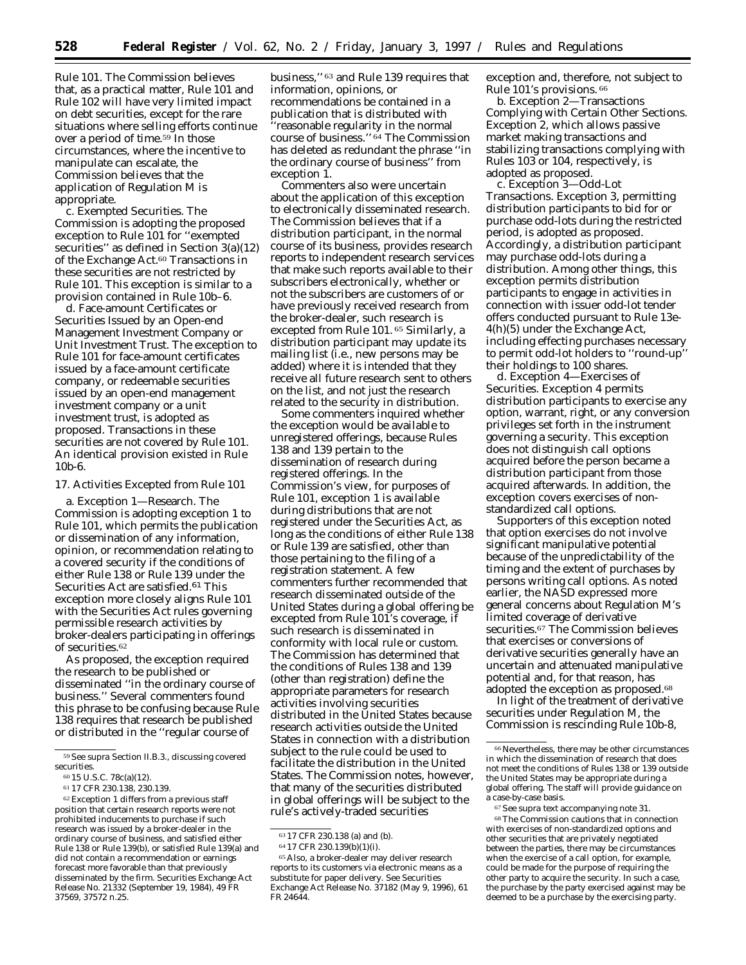Rule 101. The Commission believes that, as a practical matter, Rule 101 and Rule 102 will have very limited impact on debt securities, except for the rare situations where selling efforts continue over a period of time.59 In those circumstances, where the incentive to manipulate can escalate, the Commission believes that the application of Regulation M is appropriate.

c. Exempted Securities. The Commission is adopting the proposed exception to Rule 101 for ''exempted securities'' as defined in Section 3(a)(12) of the Exchange Act.60 Transactions in these securities are not restricted by Rule 101. This exception is similar to a provision contained in Rule 10b–6.

d. Face-amount Certificates or Securities Issued by an Open-end Management Investment Company or Unit Investment Trust. The exception to Rule 101 for face-amount certificates issued by a face-amount certificate company, or redeemable securities issued by an open-end management investment company or a unit investment trust, is adopted as proposed. Transactions in these securities are not covered by Rule 101. An identical provision existed in Rule 10b-6.

17. Activities Excepted from Rule 101

a. Exception 1—Research. The Commission is adopting exception 1 to Rule 101, which permits the publication or dissemination of any information, opinion, or recommendation relating to a covered security if the conditions of either Rule 138 or Rule 139 under the Securities Act are satisfied.<sup>61</sup> This exception more closely aligns Rule 101 with the Securities Act rules governing permissible research activities by broker-dealers participating in offerings of securities.<sup>62</sup>

As proposed, the exception required the research to be published or disseminated ''in the ordinary course of business.'' Several commenters found this phrase to be confusing because Rule 138 requires that research be published or distributed in the ''regular course of

business,'' 63 and Rule 139 requires that information, opinions, or recommendations be contained in a publication that is distributed with ''reasonable regularity in the normal course of business.'' 64 The Commission has deleted as redundant the phrase ''in the ordinary course of business'' from exception 1.

Commenters also were uncertain about the application of this exception to electronically disseminated research. The Commission believes that if a distribution participant, in the normal course of its business, provides research reports to independent research services that make such reports available to their subscribers electronically, whether or not the subscribers are customers of or have previously received research from the broker-dealer, such research is excepted from Rule 101. 65 Similarly, a distribution participant may update its mailing list (*i.e.,* new persons may be added) where it is intended that they receive all future research sent to others on the list, and not just the research related to the security in distribution.

Some commenters inquired whether the exception would be available to unregistered offerings, because Rules 138 and 139 pertain to the dissemination of research during registered offerings. In the Commission's view, for purposes of Rule 101, exception 1 is available during distributions that are not registered under the Securities Act, as long as the conditions of either Rule 138 or Rule 139 are satisfied, other than those pertaining to the filing of a registration statement. A few commenters further recommended that research disseminated outside of the United States during a global offering be excepted from Rule 101's coverage, if such research is disseminated in conformity with local rule or custom. The Commission has determined that the conditions of Rules 138 and 139 (other than registration) define the appropriate parameters for research activities involving securities distributed in the United States because research activities outside the United States in connection with a distribution subject to the rule could be used to facilitate the distribution in the United States. The Commission notes, however, that many of the securities distributed in global offerings will be subject to the rule's actively-traded securities

exception and, therefore, not subject to Rule 101's provisions. 66

b. Exception 2—Transactions Complying with Certain Other Sections. Exception 2, which allows passive market making transactions and stabilizing transactions complying with Rules 103 or 104, respectively, is adopted as proposed.

c. Exception 3—Odd-Lot Transactions. Exception 3, permitting distribution participants to bid for or purchase odd-lots during the restricted period, is adopted as proposed. Accordingly, a distribution participant may purchase odd-lots during a distribution. Among other things, this exception permits distribution participants to engage in activities in connection with issuer odd-lot tender offers conducted pursuant to Rule 13e-4(h)(5) under the Exchange Act, including effecting purchases necessary to permit odd-lot holders to ''round-up'' their holdings to 100 shares.

d. Exception 4—Exercises of Securities. Exception 4 permits distribution participants to exercise any option, warrant, right, or any conversion privileges set forth in the instrument governing a security. This exception does not distinguish call options acquired before the person became a distribution participant from those acquired afterwards. In addition, the exception covers exercises of nonstandardized call options.

Supporters of this exception noted that option exercises do not involve significant manipulative potential because of the unpredictability of the timing and the extent of purchases by persons writing call options. As noted earlier, the NASD expressed more general concerns about Regulation M's limited coverage of derivative securities.67 The Commission believes that exercises or conversions of derivative securities generally have an uncertain and attenuated manipulative potential and, for that reason, has adopted the exception as proposed.68

In light of the treatment of derivative securities under Regulation M, the Commission is rescinding Rule 10b-8,

<sup>59</sup>*See supra* Section II.B.3., discussing covered securities.

<sup>60</sup> 15 U.S.C. 78c(a)(12).

<sup>61</sup> 17 CFR 230.138, 230.139.

<sup>62</sup>Exception 1 differs from a previous staff position that certain research reports were not prohibited inducements to purchase if such research was issued by a broker-dealer in the ordinary course of business, and satisfied either Rule 138 or Rule 139(b), or satisfied Rule 139(a) and did not contain a recommendation or earnings forecast more favorable than that previously disseminated by the firm. Securities Exchange Act Release No. 21332 (September 19, 1984), 49 FR 37569, 37572 n.25.

<sup>63</sup> 17 CFR 230.138 (a) and (b).

<sup>64</sup> 17 CFR 230.139(b)(1)(i).

<sup>65</sup>Also, a broker-dealer may deliver research reports to its customers via electronic means as a substitute for paper delivery. *See* Securities Exchange Act Release No. 37182 (May 9, 1996), 61 FR 24644.

<sup>66</sup>Nevertheless, there may be other circumstances in which the dissemination of research that does not meet the conditions of Rules 138 or 139 outside the United States may be appropriate during a global offering. The staff will provide guidance on a case-by-case basis.

<sup>67</sup>*See supra* text accompanying note 31.

<sup>68</sup>The Commission cautions that in connection with exercises of non-standardized options and other securities that are privately negotiated between the parties, there may be circumstances when the exercise of a call option, for example, could be made for the purpose of requiring the other party to acquire the security. In such a case, the purchase by the party exercised against may be deemed to be a purchase by the exercising party.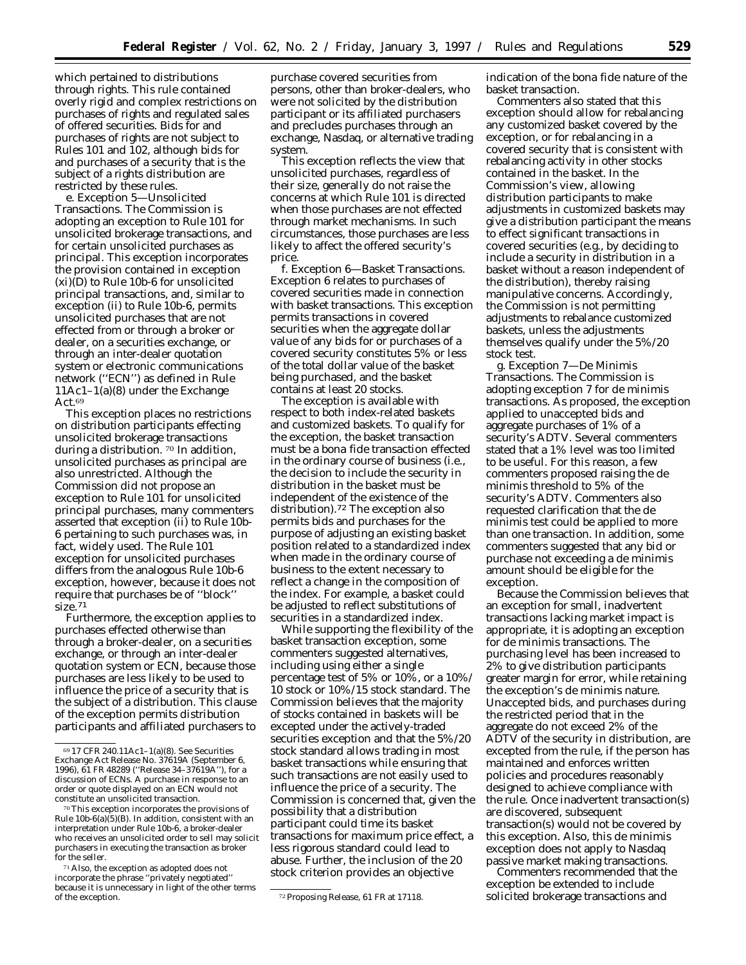which pertained to distributions through rights. This rule contained overly rigid and complex restrictions on purchases of rights and regulated sales of offered securities. Bids for and purchases of rights are not subject to Rules 101 and 102, although bids for and purchases of a security that is the subject of a rights distribution are restricted by these rules.

e. Exception 5—Unsolicited Transactions. The Commission is adopting an exception to Rule 101 for unsolicited brokerage transactions, and for certain unsolicited purchases as principal. This exception incorporates the provision contained in exception (xi)(D) to Rule 10b-6 for unsolicited principal transactions, and, similar to exception (ii) to Rule 10b-6, permits unsolicited purchases that are not effected from or through a broker or dealer, on a securities exchange, or through an inter-dealer quotation system or *electronic communications network* ("ECN") as defined in Rule 11Ac1–1(a)(8) under the Exchange Act.69

This exception places no restrictions on distribution participants effecting unsolicited brokerage transactions during a distribution. 70 In addition, unsolicited purchases as principal are also unrestricted. Although the Commission did not propose an exception to Rule 101 for unsolicited principal purchases, many commenters asserted that exception (ii) to Rule 10b-6 pertaining to such purchases was, in fact, widely used. The Rule 101 exception for unsolicited purchases differs from the analogous Rule 10b-6 exception, however, because it does not require that purchases be of ''block'' size.<sup>71</sup>

Furthermore, the exception applies to purchases effected otherwise than through a broker-dealer, on a securities exchange, or through an inter-dealer quotation system or ECN, because those purchases are less likely to be used to influence the price of a security that is the subject of a distribution. This clause of the exception permits distribution participants and affiliated purchasers to

purchase covered securities from persons, other than broker-dealers, who were not solicited by the distribution participant or its affiliated purchasers and precludes purchases through an exchange, Nasdaq, or alternative trading system.

This exception reflects the view that unsolicited purchases, regardless of their size, generally do not raise the concerns at which Rule 101 is directed when those purchases are not effected through market mechanisms. In such circumstances, those purchases are less likely to affect the offered security's price.

f. Exception 6—Basket Transactions. Exception 6 relates to purchases of covered securities made in connection with basket transactions. This exception permits transactions in covered securities when the aggregate dollar value of any bids for or purchases of a covered security constitutes 5% or less of the total dollar value of the basket being purchased, and the basket contains at least 20 stocks.

The exception is available with respect to both index-related baskets and customized baskets. To qualify for the exception, the basket transaction must be a *bona fide* transaction effected in the ordinary course of business (*i.e.,* the decision to include the security in distribution in the basket must be independent of the existence of the distribution).72 The exception also permits bids and purchases for the purpose of adjusting an existing basket position related to a standardized index when made in the ordinary course of business to the extent necessary to reflect a change in the composition of the index. For example, a basket could be adjusted to reflect substitutions of securities in a standardized index.

While supporting the flexibility of the basket transaction exception, some commenters suggested alternatives, including using either a single percentage test of 5% or 10%, or a 10%/ 10 stock or 10%/15 stock standard. The Commission believes that the majority of stocks contained in baskets will be excepted under the actively-traded securities exception and that the 5%/20 stock standard allows trading in most basket transactions while ensuring that such transactions are not easily used to influence the price of a security. The Commission is concerned that, given the possibility that a distribution participant could time its basket transactions for maximum price effect, a less rigorous standard could lead to abuse. Further, the inclusion of the 20 stock criterion provides an objective

indication of the *bona fide* nature of the basket transaction.

Commenters also stated that this exception should allow for rebalancing any customized basket covered by the exception, or for rebalancing in a covered security that is consistent with rebalancing activity in other stocks contained in the basket. In the Commission's view, allowing distribution participants to make adjustments in customized baskets may give a distribution participant the means to effect significant transactions in covered securities (*e.g.*, by deciding to include a security in distribution in a basket without a reason independent of the distribution), thereby raising manipulative concerns. Accordingly, the Commission is not permitting adjustments to rebalance customized baskets, unless the adjustments themselves qualify under the 5%/20 stock test.

g. Exception 7—*De Minimis* Transactions. The Commission is adopting exception 7 for *de minimis* transactions. As proposed, the exception applied to unaccepted bids and aggregate purchases of 1% of a security's ADTV. Several commenters stated that a 1% level was too limited to be useful. For this reason, a few commenters proposed raising the *de minimis* threshold to 5% of the security's ADTV. Commenters also requested clarification that the *de minimis* test could be applied to more than one transaction. In addition, some commenters suggested that any bid or purchase not exceeding a *de minimis* amount should be eligible for the exception.

Because the Commission believes that an exception for small, inadvertent transactions lacking market impact is appropriate, it is adopting an exception for *de minimis* transactions. The purchasing level has been increased to 2% to give distribution participants greater margin for error, while retaining the exception's *de minimis* nature. Unaccepted bids, and purchases during the restricted period that in the aggregate do not exceed 2% of the ADTV of the security in distribution, are excepted from the rule, if the person has maintained and enforces written policies and procedures reasonably designed to achieve compliance with the rule. Once inadvertent transaction(s) are discovered, subsequent transaction(s) would not be covered by this exception. Also, this *de minimis* exception does not apply to Nasdaq passive market making transactions.

Commenters recommended that the exception be extended to include solicited brokerage transactions and

<sup>69</sup> 17 CFR 240.11Ac1–1(a)(8). *See* Securities Exchange Act Release No. 37619A (September 6, 1996), 61 FR 48289 (''Release 34–37619A''), for a discussion of ECNs. A purchase in response to an order or quote displayed on an ECN would not constitute an unsolicited transaction.

<sup>70</sup>This exception incorporates the provisions of Rule  $10b-6(a)(5)(B)$ . In addition, consistent with an interpretation under Rule 10b-6, a broker-dealer who receives an unsolicited order to sell may solicit purchasers in executing the transaction as broker for the seller.

<sup>71</sup>Also, the exception as adopted does not incorporate the phrase ''privately negotiated'' because it is unnecessary in light of the other terms

<sup>&</sup>lt;sup>72</sup> Proposing Release, 61 FR at 17118.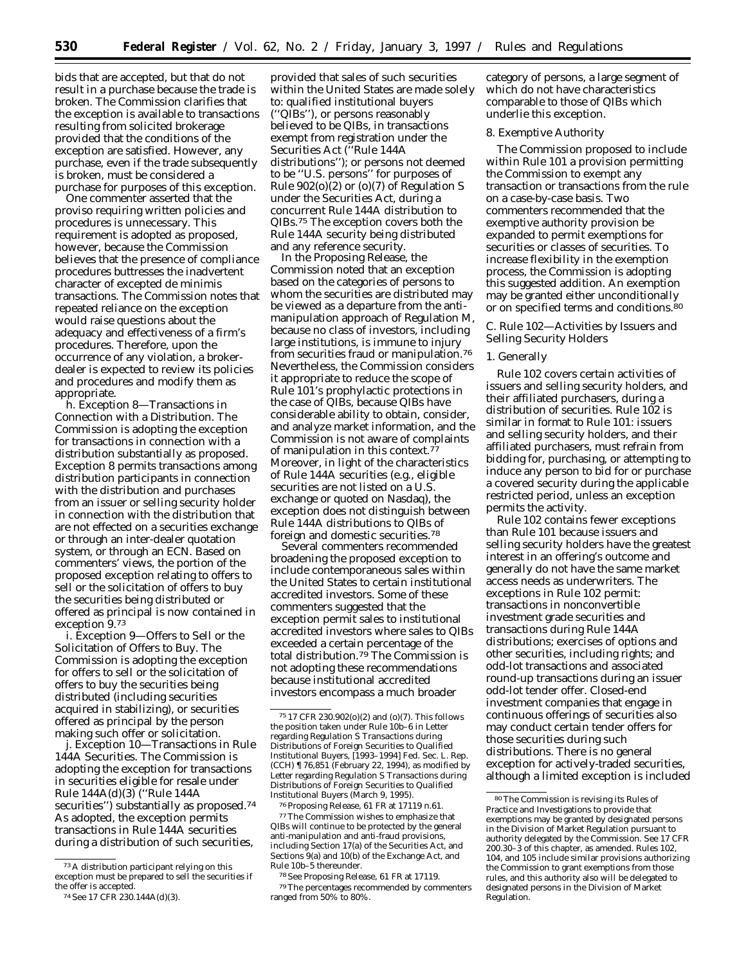bids that are accepted, but that do not result in a purchase because the trade is broken. The Commission clarifies that the exception is available to transactions resulting from solicited brokerage provided that the conditions of the exception are satisfied. However, any purchase, even if the trade subsequently is broken, must be considered a purchase for purposes of this exception.

One commenter asserted that the proviso requiring written policies and procedures is unnecessary. This requirement is adopted as proposed, however, because the Commission believes that the presence of compliance procedures buttresses the inadvertent character of excepted *de minimis* transactions. The Commission notes that repeated reliance on the exception would raise questions about the adequacy and effectiveness of a firm's procedures. Therefore, upon the occurrence of any violation, a brokerdealer is expected to review its policies and procedures and modify them as appropriate.

h. Exception 8—Transactions in Connection with a Distribution. The Commission is adopting the exception for transactions in connection with a distribution substantially as proposed. Exception 8 permits transactions among distribution participants in connection with the distribution and purchases from an issuer or selling security holder in connection with the distribution that are not effected on a securities exchange or through an inter-dealer quotation system, or through an ECN. Based on commenters' views, the portion of the proposed exception relating to offers to sell or the solicitation of offers to buy the securities being distributed or offered as principal is now contained in exception 9.73

i. Exception 9—Offers to Sell or the Solicitation of Offers to Buy. The Commission is adopting the exception for offers to sell or the solicitation of offers to buy the securities being distributed (including securities acquired in stabilizing), or securities offered as principal by the person making such offer or solicitation.

j. Exception 10—Transactions in Rule 144A Securities. The Commission is adopting the exception for transactions in securities eligible for resale under Rule 144A(d)(3) (''Rule 144A securities") substantially as proposed.<sup>74</sup> As adopted, the exception permits transactions in Rule 144A securities during a distribution of such securities,

provided that sales of such securities within the United States are made solely to: qualified institutional buyers (''QIBs''), or persons reasonably believed to be QIBs, in transactions exempt from registration under the Securities Act (''Rule 144A distributions''); or persons not deemed to be ''U.S. persons'' for purposes of Rule 902(o)(2) or (o)(7) of Regulation S under the Securities Act, during a concurrent Rule 144A distribution to QIBs.75 The exception covers both the Rule 144A security being distributed and any reference security.

In the Proposing Release, the Commission noted that an exception based on the categories of persons to whom the securities are distributed may be viewed as a departure from the antimanipulation approach of Regulation M, because no class of investors, including large institutions, is immune to injury from securities fraud or manipulation.76 Nevertheless, the Commission considers it appropriate to reduce the scope of Rule 101's prophylactic protections in the case of QIBs, because QIBs have considerable ability to obtain, consider, and analyze market information, and the Commission is not aware of complaints of manipulation in this context.77 Moreover, in light of the characteristics of Rule 144A securities (*e.g.*, eligible securities are not listed on a U.S. exchange or quoted on Nasdaq), the exception does not distinguish between Rule 144A distributions to QIBs of foreign and domestic securities.78

Several commenters recommended broadening the proposed exception to include contemporaneous sales within the United States to certain institutional accredited investors. Some of these commenters suggested that the exception permit sales to institutional accredited investors where sales to QIBs exceeded a certain percentage of the total distribution.79 The Commission is not adopting these recommendations because institutional accredited investors encompass a much broader

76Proposing Release, 61 FR at 17119 n.61.

77The Commission wishes to emphasize that QIBs will continue to be protected by the general anti-manipulation and anti-fraud provisions, including Section 17(a) of the Securities Act, and Sections 9(a) and 10(b) of the Exchange Act, and Rule 10b–5 thereunder.

78*See* Proposing Release, 61 FR at 17119. 79The percentages recommended by commenters ranged from 50% to 80%.

category of persons, a large segment of which do not have characteristics comparable to those of QIBs which underlie this exception.

#### 8. Exemptive Authority

The Commission proposed to include within Rule 101 a provision permitting the Commission to exempt any transaction or transactions from the rule on a case-by-case basis. Two commenters recommended that the exemptive authority provision be expanded to permit exemptions for securities or classes of securities. To increase flexibility in the exemption process, the Commission is adopting this suggested addition. An exemption may be granted either unconditionally or on specified terms and conditions.80

## *C. Rule 102—Activities by Issuers and Selling Security Holders*

### 1. Generally

Rule 102 covers certain activities of issuers and selling security holders, and their affiliated purchasers, during a distribution of securities. Rule 102 is similar in format to Rule 101: issuers and selling security holders, and their affiliated purchasers, must refrain from bidding for, purchasing, or attempting to induce any person to bid for or purchase a covered security during the applicable restricted period, unless an exception permits the activity.

Rule 102 contains fewer exceptions than Rule 101 because issuers and selling security holders have the greatest interest in an offering's outcome and generally do not have the same market access needs as underwriters. The exceptions in Rule 102 permit: transactions in nonconvertible investment grade securities and transactions during Rule 144A distributions; exercises of options and other securities, including rights; and odd-lot transactions and associated round-up transactions during an issuer odd-lot tender offer. Closed-end investment companies that engage in continuous offerings of securities also may conduct certain tender offers for those securities during such distributions. There is no general exception for actively-traded securities, although a limited exception is included

<sup>73</sup>A distribution participant relying on this exception must be prepared to sell the securities if the offer is accepted.

<sup>74</sup>*See* 17 CFR 230.144A(d)(3).

<sup>75</sup> 17 CFR 230.902(o)(2) and (o)(7). This follows the position taken under Rule 10b–6 in *Letter regarding Regulation S Transactions during Distributions of Foreign Securities to Qualified Institutional Buyers*, [1993–1994] Fed. Sec. L. Rep. (CCH) ¶ 76,851 (February 22, 1994), as modified by *Letter regarding Regulation S Transactions during Distributions of Foreign Securities to Qualified Institutional Buyers* (March 9, 1995).

<sup>80</sup>The Commission is revising its Rules of Practice and Investigations to provide that exemptions may be granted by designated persons in the Division of Market Regulation pursuant to authority delegated by the Commission. *See* 17 CFR 200.30–3 of this chapter, as amended. Rules 102, 104, and 105 include similar provisions authorizing the Commission to grant exemptions from those rules, and this authority also will be delegated to designated persons in the Division of Market Regulation.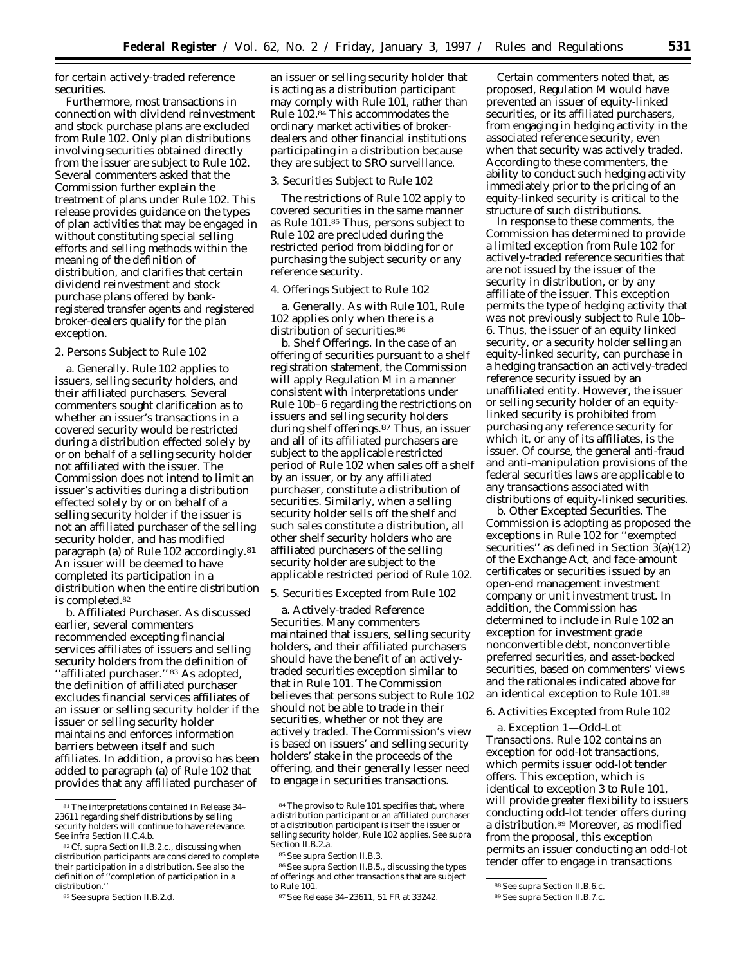for certain actively-traded reference securities.

Furthermore, most transactions in connection with dividend reinvestment and stock purchase plans are excluded from Rule 102. Only plan distributions involving securities obtained directly from the issuer are subject to Rule 102. Several commenters asked that the Commission further explain the treatment of plans under Rule 102. This release provides guidance on the types of plan activities that may be engaged in without constituting special selling efforts and selling methods within the meaning of the definition of distribution, and clarifies that certain dividend reinvestment and stock purchase plans offered by bankregistered transfer agents and registered broker-dealers qualify for the plan exception.

#### 2. Persons Subject to Rule 102

a. Generally. Rule 102 applies to issuers, selling security holders, and their affiliated purchasers. Several commenters sought clarification as to whether an issuer's transactions in a covered security would be restricted during a distribution effected solely by or on behalf of a selling security holder not affiliated with the issuer. The Commission does not intend to limit an issuer's activities during a distribution effected solely by or on behalf of a selling security holder if the issuer is not an affiliated purchaser of the selling security holder, and has modified paragraph (a) of Rule 102 accordingly.81 An issuer will be deemed to have completed its participation in a distribution when the entire distribution is completed.82

b. Affiliated Purchaser. As discussed earlier, several commenters recommended excepting financial services affiliates of issuers and selling security holders from the definition of ''affiliated purchaser.'' 83 As adopted, the definition of affiliated purchaser excludes financial services affiliates of an issuer or selling security holder if the issuer or selling security holder maintains and enforces information barriers between itself and such affiliates. In addition, a proviso has been added to paragraph (a) of Rule 102 that provides that any affiliated purchaser of

an issuer or selling security holder that is acting as a distribution participant may comply with Rule 101, rather than Rule 102.84 This accommodates the ordinary market activities of brokerdealers and other financial institutions participating in a distribution because they are subject to SRO surveillance.

## 3. Securities Subject to Rule 102

The restrictions of Rule 102 apply to covered securities in the same manner as Rule 101.85 Thus, persons subject to Rule 102 are precluded during the restricted period from bidding for or purchasing the subject security or any reference security.

## 4. Offerings Subject to Rule 102

a. Generally. As with Rule 101, Rule 102 applies only when there is a distribution of securities.<sup>86</sup>

b. Shelf Offerings. In the case of an offering of securities pursuant to a shelf registration statement, the Commission will apply Regulation M in a manner consistent with interpretations under Rule 10b–6 regarding the restrictions on issuers and selling security holders during shelf offerings.87 Thus, an issuer and all of its affiliated purchasers are subject to the applicable restricted period of Rule 102 when sales off a shelf by an issuer, or by any affiliated purchaser, constitute a distribution of securities. Similarly, when a selling security holder sells off the shelf and such sales constitute a distribution, all other shelf security holders who are affiliated purchasers of the selling security holder are subject to the applicable restricted period of Rule 102.

## 5. Securities Excepted from Rule 102

a. Actively-traded Reference Securities. Many commenters maintained that issuers, selling security holders, and their affiliated purchasers should have the benefit of an activelytraded securities exception similar to that in Rule 101. The Commission believes that persons subject to Rule 102 should not be able to trade in their securities, whether or not they are actively traded. The Commission's view is based on issuers' and selling security holders' stake in the proceeds of the offering, and their generally lesser need to engage in securities transactions.

Certain commenters noted that, as proposed, Regulation M would have prevented an issuer of equity-linked securities, or its affiliated purchasers, from engaging in hedging activity in the associated reference security, even when that security was actively traded. According to these commenters, the ability to conduct such hedging activity immediately prior to the pricing of an equity-linked security is critical to the structure of such distributions.

In response to these comments, the Commission has determined to provide a limited exception from Rule 102 for actively-traded reference securities that are not issued by the issuer of the security in distribution, or by any affiliate of the issuer. This exception permits the type of hedging activity that was not previously subject to Rule 10b– 6. Thus, the issuer of an equity linked security, or a security holder selling an equity-linked security, can purchase in a hedging transaction an actively-traded reference security issued by an unaffiliated entity. However, the issuer or selling security holder of an equitylinked security is prohibited from purchasing any reference security for which it, or any of its affiliates, is the issuer. Of course, the general anti-fraud and anti-manipulation provisions of the federal securities laws are applicable to any transactions associated with distributions of equity-linked securities.

b. Other Excepted Securities. The Commission is adopting as proposed the exceptions in Rule 102 for ''exempted securities'' as defined in Section 3(a)(12) of the Exchange Act, and face-amount certificates or securities issued by an open-end management investment company or unit investment trust. In addition, the Commission has determined to include in Rule 102 an exception for investment grade nonconvertible debt, nonconvertible preferred securities, and asset-backed securities, based on commenters' views and the rationales indicated above for an identical exception to Rule 101.88

#### 6. Activities Excepted from Rule 102

a. Exception 1—Odd-Lot Transactions. Rule 102 contains an exception for odd-lot transactions, which permits issuer odd-lot tender offers. This exception, which is identical to exception 3 to Rule 101, will provide greater flexibility to issuers conducting odd-lot tender offers during a distribution.89 Moreover, as modified from the proposal, this exception permits an issuer conducting an odd-lot tender offer to engage in transactions

<sup>81</sup>The interpretations contained in Release 34– 23611 regarding shelf distributions by selling security holders will continue to have relevance. *See infra* Section II.C.4.b.

<sup>82</sup>*Cf. supra* Section II.B.2.c., discussing when distribution participants are considered to complete their participation in a distribution. *See also* the definition of ''completion of participation in a distribution.''

<sup>83</sup>*See supra* Section II.B.2.d.

<sup>84</sup> The proviso to Rule 101 specifies that, where a distribution participant or an affiliated purchaser of a distribution participant is itself the issuer or selling security holder, Rule 102 applies. *See supra* Section II.B.2.a.

<sup>85</sup>*See supra* Section II.B.3.

<sup>86</sup>*See supra* Section II.B.5., discussing the types of offerings and other transactions that are subject to Rule 101.

<sup>87</sup>*See* Release 34–23611, 51 FR at 33242.

<sup>88</sup>*See supra* Section II.B.6.c.

<sup>89</sup>*See supra* Section II.B.7.c.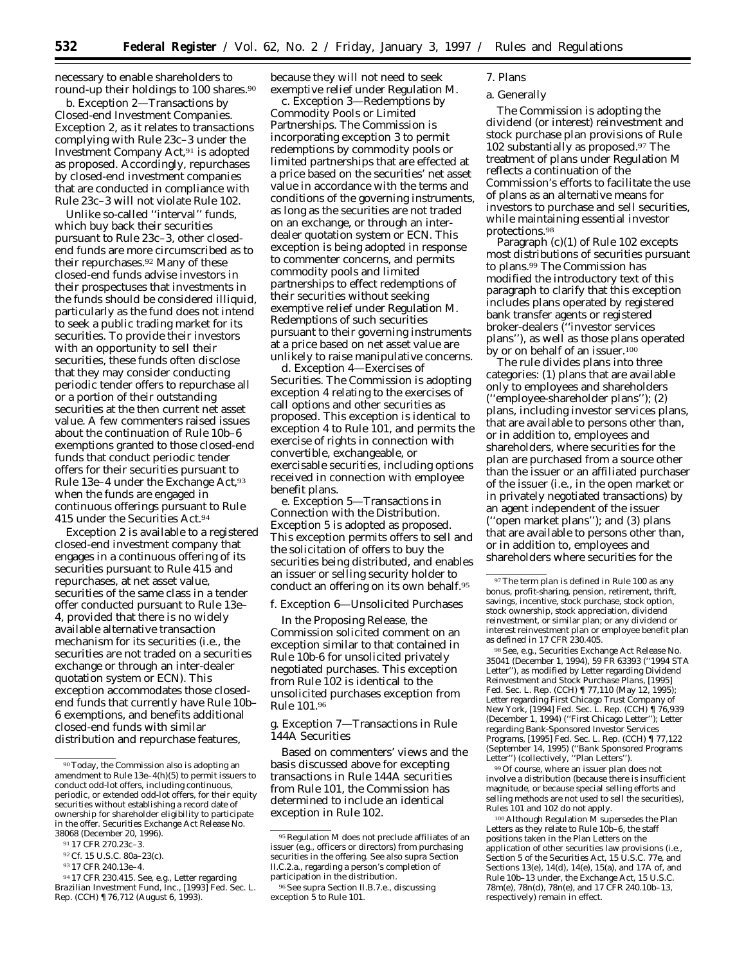necessary to enable shareholders to round-up their holdings to 100 shares.<sup>90</sup>

b. Exception 2—Transactions by Closed-end Investment Companies. Exception 2, as it relates to transactions complying with Rule 23c–3 under the Investment Company Act,<sup>91</sup> is adopted as proposed. Accordingly, repurchases by closed-end investment companies that are conducted in compliance with Rule 23c–3 will not violate Rule 102.

Unlike so-called ''interval'' funds, which buy back their securities pursuant to Rule 23c–3, other closedend funds are more circumscribed as to their repurchases.92 Many of these closed-end funds advise investors in their prospectuses that investments in the funds should be considered illiquid, particularly as the fund does not intend to seek a public trading market for its securities. To provide their investors with an opportunity to sell their securities, these funds often disclose that they may consider conducting periodic tender offers to repurchase all or a portion of their outstanding securities at the then current net asset value. A few commenters raised issues about the continuation of Rule 10b–6 exemptions granted to those closed-end funds that conduct periodic tender offers for their securities pursuant to Rule 13e-4 under the Exchange Act, 93 when the funds are engaged in continuous offerings pursuant to Rule 415 under the Securities Act.94

Exception 2 is available to a registered closed-end investment company that engages in a continuous offering of its securities pursuant to Rule 415 and repurchases, at net asset value, securities of the same class in a tender offer conducted pursuant to Rule 13e– 4, provided that there is no widely available alternative transaction mechanism for its securities (*i.e.,* the securities are not traded on a securities exchange or through an inter-dealer quotation system or ECN). This exception accommodates those closedend funds that currently have Rule 10b– 6 exemptions, and benefits additional closed-end funds with similar distribution and repurchase features,

because they will not need to seek exemptive relief under Regulation M.

c. Exception 3—Redemptions by Commodity Pools or Limited Partnerships. The Commission is incorporating exception 3 to permit redemptions by commodity pools or limited partnerships that are effected at a price based on the securities' net asset value in accordance with the terms and conditions of the governing instruments, as long as the securities are not traded on an exchange, or through an interdealer quotation system or ECN. This exception is being adopted in response to commenter concerns, and permits commodity pools and limited partnerships to effect redemptions of their securities without seeking exemptive relief under Regulation M. Redemptions of such securities pursuant to their governing instruments at a price based on net asset value are unlikely to raise manipulative concerns.

d. Exception 4—Exercises of Securities. The Commission is adopting exception 4 relating to the exercises of call options and other securities as proposed. This exception is identical to exception 4 to Rule 101, and permits the exercise of rights in connection with convertible, exchangeable, or exercisable securities, including options received in connection with employee benefit plans.

e. Exception 5—Transactions in Connection with the Distribution. Exception 5 is adopted as proposed. This exception permits offers to sell and the solicitation of offers to buy the securities being distributed, and enables an issuer or selling security holder to conduct an offering on its own behalf.95

f. Exception 6—Unsolicited Purchases

In the Proposing Release, the Commission solicited comment on an exception similar to that contained in Rule 10b-6 for unsolicited privately negotiated purchases. This exception from Rule 102 is identical to the unsolicited purchases exception from Rule 101.96

g. Exception 7—Transactions in Rule 144A Securities

Based on commenters' views and the basis discussed above for excepting transactions in Rule 144A securities from Rule 101, the Commission has determined to include an identical exception in Rule 102.

#### 7. Plans

#### a. Generally

The Commission is adopting the dividend (or interest) reinvestment and stock purchase plan provisions of Rule 102 substantially as proposed.97 The treatment of plans under Regulation M reflects a continuation of the Commission's efforts to facilitate the use of plans as an alternative means for investors to purchase and sell securities, while maintaining essential investor protections.98

Paragraph (c)(1) of Rule 102 excepts most distributions of securities pursuant to plans.99 The Commission has modified the introductory text of this paragraph to clarify that this exception includes plans operated by registered bank transfer agents or registered broker-dealers (''investor services plans''), as well as those plans operated by or on behalf of an issuer.100

The rule divides plans into three categories: (1) plans that are available only to employees and shareholders (''employee-shareholder plans''); (2) plans, including investor services plans, that are available to persons other than, or in addition to, employees and shareholders, where securities for the plan are purchased from a source other than the issuer or an affiliated purchaser of the issuer (i.e., in the open market or in privately negotiated transactions) by an agent independent of the issuer (''open market plans''); and (3) plans that are available to persons other than, or in addition to, employees and shareholders where securities for the

98*See, e.g.*, Securities Exchange Act Release No. 35041 (December 1, 1994), 59 FR 63393 (''1994 STA Letter''), as modified by *Letter regarding Dividend Reinvestment and Stock Purchase Plans,* [1995] Fed. Sec. L. Rep. (CCH) ¶ 77,110 (May 12, 1995); *Letter regarding First Chicago Trust Company of New York,* [1994] Fed. Sec. L. Rep. (CCH) ¶ 76,939 (December 1, 1994) (''First Chicago Letter''); *Letter regarding Bank-Sponsored Investor Services Programs,* [1995] Fed. Sec. L. Rep. (CCH) ¶ 77,122 (September 14, 1995) (''*Bank Sponsored Programs Letter*'') (collectively, ''Plan Letters'').

99Of course, where an issuer plan does not involve a distribution (because there is insufficient magnitude, or because special selling efforts and selling methods are not used to sell the securities), Rules 101 and 102 do not apply.

100Although Regulation M supersedes the Plan Letters as they relate to Rule 10b–6, the staff positions taken in the Plan Letters on the application of other securities law provisions (*i.e.*, Section 5 of the Securities Act, 15 U.S.C. 77e, and Sections 13(e), 14(d), 14(e), 15(a), and 17A of, and Rule 10b–13 under, the Exchange Act, 15 U.S.C. 78m(e), 78n(d), 78n(e), and 17 CFR 240.10b–13, respectively) remain in effect.

<sup>90</sup>Today, the Commission also is adopting an amendment to Rule 13e–4(h)(5) to permit issuers to conduct odd-lot offers, including continuous, periodic, or extended odd-lot offers, for their equity securities without establishing a record date of ownership for shareholder eligibility to participate in the offer. Securities Exchange Act Release No. 38068 (December 20, 1996).

<sup>91</sup> 17 CFR 270.23c–3.

<sup>92</sup>*Cf.* 15 U.S.C. 80a–23(c).

<sup>93</sup> 17 CFR 240.13e–4.

<sup>94</sup> 17 CFR 230.415. *See, e.g., Letter regarding Brazilian Investment Fund, Inc.,* [1993] Fed. Sec. L. Rep. (CCH) ¶ 76,712 (August 6, 1993).

<sup>95</sup>Regulation M does not preclude affiliates of an issuer (*e.g.,* officers or directors) from purchasing securities in the offering. *See also supra* Section II.C.2.a., regarding a person's completion of participation in the distribution.

<sup>96</sup>*See supra* Section II.B.7.e., discussing exception 5 to Rule 101.

<sup>97</sup>The term *plan* is defined in Rule 100 as any bonus, profit-sharing, pension, retirement, thrift, savings, incentive, stock purchase, stock option, stock ownership, stock appreciation, dividend reinvestment, or similar plan; or any dividend or interest reinvestment plan or employee benefit plan as defined in 17 CFR 230.405.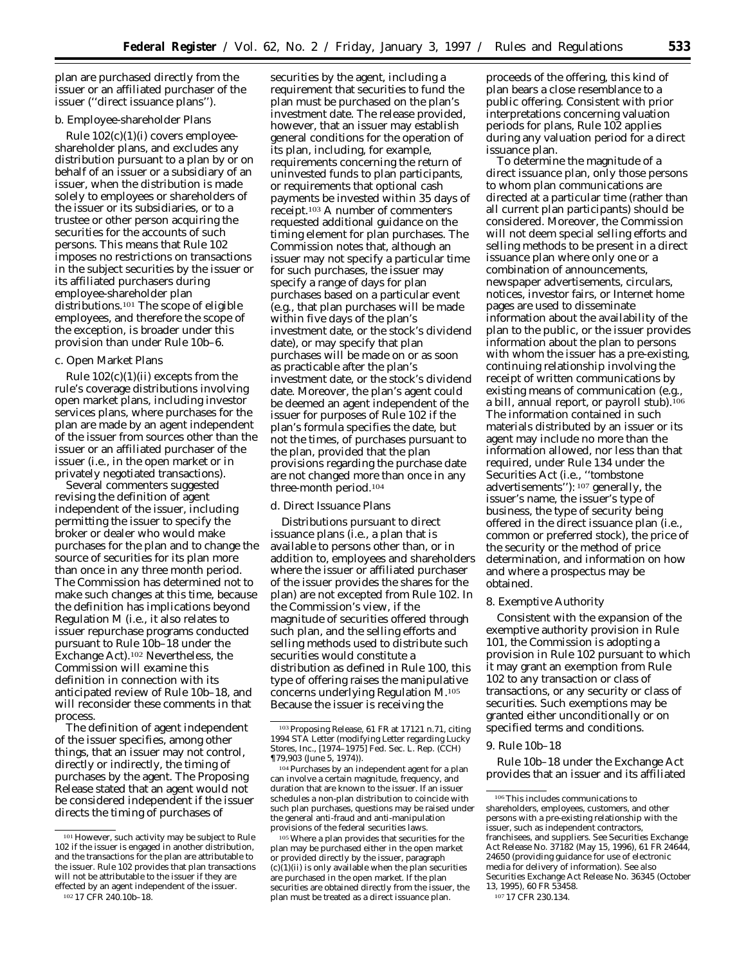plan are purchased directly from the issuer or an affiliated purchaser of the issuer (''direct issuance plans'').

## b. Employee-shareholder Plans

Rule  $102(c)(1)(i)$  covers employeeshareholder plans, and excludes any distribution pursuant to a plan by or on behalf of an issuer or a subsidiary of an issuer, when the distribution is made solely to *employees* or shareholders of the issuer or its subsidiaries, or to a trustee or other person acquiring the securities for the accounts of such persons. This means that Rule 102 imposes no restrictions on transactions in the subject securities by the issuer or its affiliated purchasers during employee-shareholder plan distributions.101 The scope of eligible employees, and therefore the scope of the exception, is broader under this provision than under Rule 10b–6.

## c. Open Market Plans

Rule  $102(c)(1)(ii)$  excepts from the rule's coverage distributions involving open market plans, including investor services plans, where purchases for the plan are made by an *agent independent of the issuer* from sources other than the issuer or an affiliated purchaser of the issuer (*i.e.*, in the open market or in privately negotiated transactions).

Several commenters suggested revising the definition of agent independent of the issuer, including permitting the issuer to specify the broker or dealer who would make purchases for the plan and to change the source of securities for its plan more than once in any three month period. The Commission has determined not to make such changes at this time, because the definition has implications beyond Regulation M (*i.e.*, it also relates to issuer repurchase programs conducted pursuant to Rule 10b–18 under the Exchange Act).102 Nevertheless, the Commission will examine this definition in connection with its anticipated review of Rule 10b–18, and will reconsider these comments in that process.

The definition of agent independent of the issuer specifies, among other things, that an issuer may not control, directly or indirectly, the timing of purchases by the agent. The Proposing Release stated that an agent would not be considered independent if the issuer directs the timing of purchases of

securities by the agent, including a requirement that securities to fund the plan must be purchased on the plan's investment date. The release provided, however, that an issuer may establish general conditions for the operation of its plan, including, for example, requirements concerning the return of uninvested funds to plan participants, or requirements that optional cash payments be invested within 35 days of receipt.103 A number of commenters requested additional guidance on the timing element for plan purchases. The Commission notes that, although an issuer may not specify a particular time for such purchases, the issuer may specify a range of days for plan purchases based on a particular event (*e.g.,* that plan purchases will be made within five days of the plan's investment date, or the stock's dividend date), or may specify that plan purchases will be made on or as soon as practicable after the plan's investment date, or the stock's dividend date. Moreover, the plan's agent could be deemed an agent independent of the issuer for purposes of Rule 102 if the plan's formula specifies the date, but not the times, of purchases pursuant to the plan, provided that the plan provisions regarding the purchase date are not changed more than once in any three-month period.104

#### d. Direct Issuance Plans

Distributions pursuant to direct issuance plans (*i.e.,* a plan that is available to persons other than, or in addition to, employees and shareholders where the issuer or affiliated purchaser of the issuer provides the shares for the plan) are not excepted from Rule 102. In the Commission's view, if the magnitude of securities offered through such plan, and the selling efforts and selling methods used to distribute such securities would constitute a distribution as defined in Rule 100, this type of offering raises the manipulative concerns underlying Regulation M.105 Because the issuer is receiving the

proceeds of the offering, this kind of plan bears a close resemblance to a public offering. Consistent with prior interpretations concerning valuation periods for plans, Rule 102 applies during any valuation period for a direct issuance plan.

To determine the magnitude of a direct issuance plan, only those persons to whom plan communications are directed at a particular time (rather than all current plan participants) should be considered. Moreover, the Commission will not deem special selling efforts and selling methods to be present in a direct issuance plan where only one or a combination of announcements, newspaper advertisements, circulars, notices, investor fairs, or Internet home pages are used to disseminate information about the availability of the plan to the public, or the issuer provides information about the plan to persons with whom the issuer has a pre-existing, continuing relationship involving the receipt of written communications by existing means of communication (*e.g.*, a bill, annual report, or payroll stub).<sup>106</sup> The information contained in such materials distributed by an issuer or its agent may include no more than the information allowed, nor less than that required, under Rule 134 under the Securities Act (*i.e.*, ''tombstone advertisements''): 107 generally, the issuer's name, the issuer's type of business, the type of security being offered in the direct issuance plan (*i.e.*, common or preferred stock), the price of the security or the method of price determination, and information on how and where a prospectus may be obtained.

#### 8. Exemptive Authority

Consistent with the expansion of the exemptive authority provision in Rule 101, the Commission is adopting a provision in Rule 102 pursuant to which it may grant an exemption from Rule 102 to any transaction or class of transactions, or any security or class of securities. Such exemptions may be granted either unconditionally or on specified terms and conditions.

#### 9. Rule 10b–18

Rule 10b–18 under the Exchange Act provides that an issuer and its affiliated

<sup>&</sup>lt;sup>101</sup> However, such activity may be subject to Rule 102 if the issuer is engaged in another distribution, and the transactions for the plan are attributable to the issuer. Rule 102 provides that plan transactions will not be attributable to the issuer if they are effected by an agent independent of the issuer.

<sup>102</sup> 17 CFR 240.10b–18.

<sup>103</sup>Proposing Release, 61 FR at 17121 n.71, *citing* 1994 STA Letter (modifying *Letter regarding Lucky Stores, Inc.*, [1974–1975] Fed. Sec. L. Rep. (CCH) ¶79,903 (June 5, 1974)).

<sup>104</sup>Purchases by an independent agent for a plan can involve a certain magnitude, frequency, and duration that are known to the issuer. If an issuer schedules a non-plan distribution to coincide with such plan purchases, questions may be raised under the general anti-fraud and anti-manipulation provisions of the federal securities laws.

<sup>105</sup>Where a plan provides that securities for the plan may be purchased either in the open market or provided directly by the issuer, paragraph  $(c)(i)(ii)$  is only available when the plan securities are purchased in the open market. If the plan securities are obtained directly from the issuer, the plan must be treated as a direct issuance plan.

<sup>106</sup>This includes communications to shareholders, employees, customers, and other persons with a pre-existing relationship with the issuer, such as independent contractors, franchisees, and suppliers. *See* Securities Exchange Act Release No. 37182 (May 15, 1996), 61 FR 24644, 24650 (providing guidance for use of electronic media for delivery of information). *See also* Securities Exchange Act Release No. 36345 (October 13, 1995), 60 FR 53458.

<sup>107</sup> 17 CFR 230.134.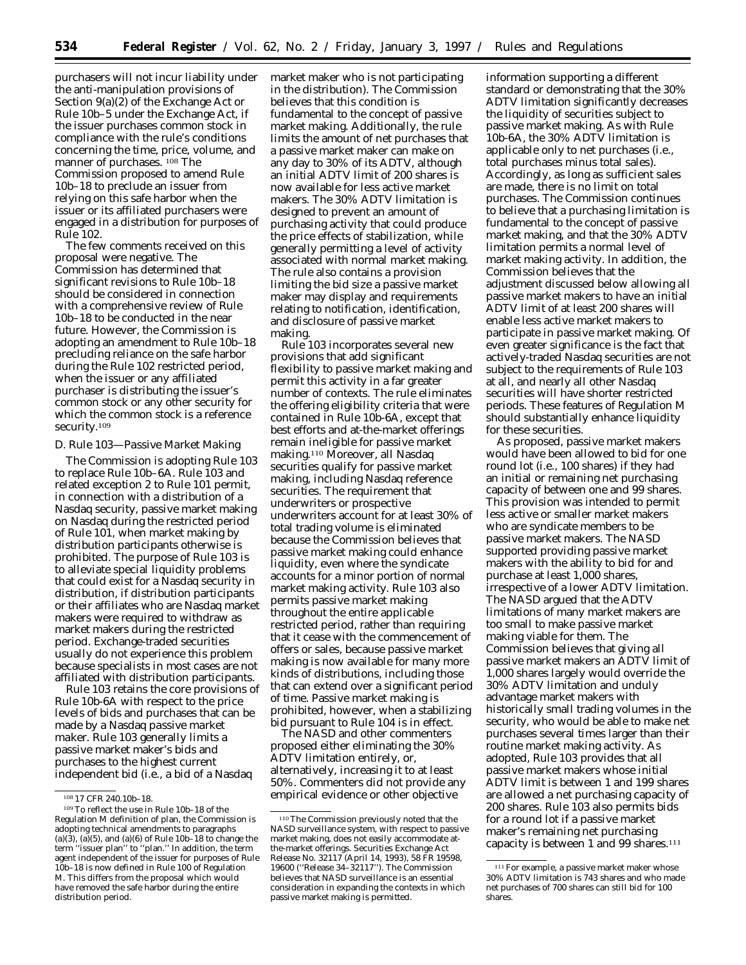purchasers will not incur liability under the anti-manipulation provisions of Section 9(a)(2) of the Exchange Act or Rule 10b–5 under the Exchange Act, if the issuer purchases common stock in compliance with the rule's conditions concerning the time, price, volume, and manner of purchases. 108 The Commission proposed to amend Rule 10b–18 to preclude an issuer from relying on this safe harbor when the issuer or its affiliated purchasers were engaged in a distribution for purposes of Rule 102.

The few comments received on this proposal were negative. The Commission has determined that significant revisions to Rule 10b–18 should be considered in connection with a comprehensive review of Rule 10b–18 to be conducted in the near future. However, the Commission is adopting an amendment to Rule 10b–18 precluding reliance on the safe harbor during the Rule 102 restricted period, when the issuer or any affiliated purchaser is distributing the issuer's common stock or any other security for which the common stock is a reference security.109

## *D. Rule 103—Passive Market Making*

The Commission is adopting Rule 103 to replace Rule 10b–6A. Rule 103 and related exception 2 to Rule 101 permit, in connection with a distribution of a Nasdaq security, passive market making on Nasdaq during the restricted period of Rule 101, when market making by distribution participants otherwise is prohibited. The purpose of Rule 103 is to alleviate special liquidity problems that could exist for a Nasdaq security in distribution, if distribution participants or their affiliates who are Nasdaq market makers were required to withdraw as market makers during the restricted period. Exchange-traded securities usually do not experience this problem because specialists in most cases are not affiliated with distribution participants.

Rule 103 retains the core provisions of Rule 10b-6A with respect to the price levels of bids and purchases that can be made by a Nasdaq *passive market maker.* Rule 103 generally limits a passive market maker's bids and purchases to the highest current *independent bid* (*i.e.*, a bid of a Nasdaq

market maker who is not participating in the distribution). The Commission believes that this condition is fundamental to the concept of passive market making. Additionally, the rule limits the amount of *net purchases* that a passive market maker can make on any day to 30% of its ADTV, although an initial ADTV limit of 200 shares is now available for less active market makers. The *30% ADTV limitation* is designed to prevent an amount of purchasing activity that could produce the price effects of stabilization, while generally permitting a level of activity associated with normal market making. The rule also contains a provision limiting the bid size a passive market maker may display and requirements relating to notification, identification, and disclosure of passive market making.

Rule 103 incorporates several new provisions that add significant flexibility to passive market making and permit this activity in a far greater number of contexts. The rule eliminates the offering eligibility criteria that were contained in Rule 10b-6A, except that best efforts and at-the-market offerings remain ineligible for passive market making.110 Moreover, all Nasdaq securities qualify for passive market making, including Nasdaq reference securities. The requirement that underwriters or prospective underwriters account for at least 30% of total trading volume is eliminated because the Commission believes that passive market making could enhance liquidity, even where the syndicate accounts for a minor portion of normal market making activity. Rule 103 also permits passive market making throughout the entire applicable restricted period, rather than requiring that it cease with the commencement of offers or sales, because passive market making is now available for many more kinds of distributions, including those that can extend over a significant period of time. Passive market making is prohibited, however, when a stabilizing bid pursuant to Rule 104 is in effect.

The NASD and other commenters proposed either eliminating the 30% ADTV limitation entirely, or, alternatively, increasing it to at least 50%. Commenters did not provide any empirical evidence or other objective

information supporting a different standard or demonstrating that the 30% ADTV limitation significantly decreases the liquidity of securities subject to passive market making. As with Rule 10b-6A, the 30% ADTV limitation is applicable only to *net* purchases (*i.e.*, total purchases minus total sales). Accordingly, as long as sufficient sales are made, there is no limit on total purchases. The Commission continues to believe that a purchasing limitation is fundamental to the concept of passive market making, and that the 30% ADTV limitation permits a normal level of market making activity. In addition, the Commission believes that the adjustment discussed below allowing all passive market makers to have an initial ADTV limit of at least 200 shares will enable less active market makers to participate in passive market making. Of even greater significance is the fact that actively-traded Nasdaq securities are not subject to the requirements of Rule 103 at all, and nearly all other Nasdaq securities will have shorter restricted periods. These features of Regulation M should substantially enhance liquidity for these securities.

As proposed, passive market makers would have been allowed to bid for one round lot (*i.e.*, 100 shares) if they had an initial or remaining net purchasing capacity of between one and 99 shares. This provision was intended to permit less active or smaller market makers who are syndicate members to be passive market makers. The NASD supported providing passive market makers with the ability to bid for and purchase at least 1,000 shares, irrespective of a lower ADTV limitation. The NASD argued that the ADTV limitations of many market makers are too small to make passive market making viable for them. The Commission believes that giving all passive market makers an ADTV limit of 1,000 shares largely would override the 30% ADTV limitation and unduly advantage market makers with historically small trading volumes in the security, who would be able to make net purchases several times larger than their routine market making activity. As adopted, Rule 103 provides that all passive market makers whose initial ADTV limit is between 1 and 199 shares are allowed a net purchasing capacity of 200 shares. Rule 103 also permits bids for a round lot if a passive market maker's remaining net purchasing capacity is between 1 and 99 shares.111

<sup>108</sup> 17 CFR 240.10b–18.

<sup>109</sup>To reflect the use in Rule 10b–18 of the Regulation M definition of plan, the Commission is adopting technical amendments to paragraphs (a)( $3$ ), (a)( $5$ ), and (a)( $6$ ) of Rule 10b–18 to change the term ''issuer plan'' to ''plan.'' In addition, the term agent independent of the issuer for purposes of Rule 10b–18 is now defined in Rule 100 of Regulation M. This differs from the proposal which would have removed the safe harbor during the entire distribution period.

<sup>110</sup>The Commission previously noted that the NASD surveillance system, with respect to passive market making, does not easily accommodate atthe-market offerings. Securities Exchange Act Release No. 32117 (April 14, 1993), 58 FR 19598, 19600 (''Release 34–32117''). The Commission believes that NASD surveillance is an essential consideration in expanding the contexts in which passive market making is permitted.

<sup>111</sup>For example, a passive market maker whose 30% ADTV limitation is 743 shares and who made net purchases of 700 shares can still bid for 100 shares.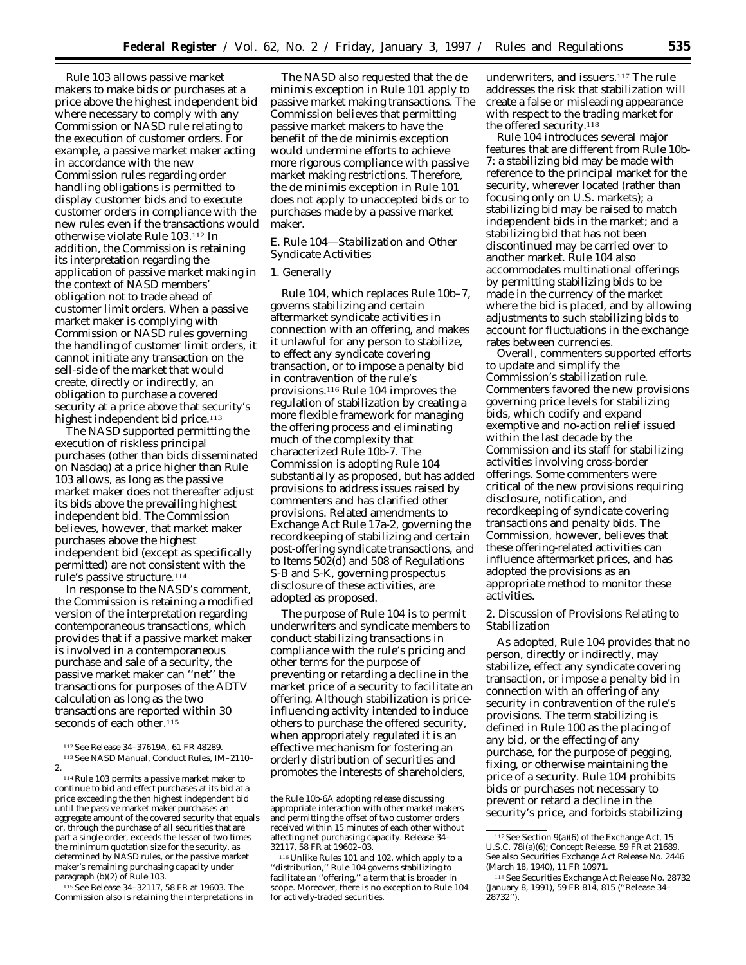Rule 103 allows passive market makers to make bids or purchases at a price above the highest independent bid where necessary to comply with any Commission or NASD rule relating to the execution of customer orders. For example, a passive market maker acting in accordance with the new Commission rules regarding order handling obligations is permitted to display customer bids and to execute customer orders in compliance with the new rules even if the transactions would otherwise violate Rule 103.112 In addition, the Commission is retaining its interpretation regarding the application of passive market making in the context of NASD members' obligation not to trade ahead of customer limit orders. When a passive market maker is complying with Commission or NASD rules governing the handling of customer limit orders, it cannot initiate any transaction on the sell-side of the market that would create, directly or indirectly, an obligation to purchase a covered security at a price above that security's highest independent bid price.<sup>113</sup>

The NASD supported permitting the execution of riskless principal purchases (other than bids disseminated on Nasdaq) at a price higher than Rule 103 allows, as long as the passive market maker does not thereafter adjust its bids above the prevailing highest independent bid. The Commission believes, however, that market maker purchases above the highest independent bid (except as specifically permitted) are not consistent with the rule's passive structure.114

In response to the NASD's comment, the Commission is retaining a modified version of the interpretation regarding contemporaneous transactions, which provides that if a passive market maker is involved in a contemporaneous purchase and sale of a security, the passive market maker can ''net'' the transactions for purposes of the ADTV calculation as long as the two transactions are reported within 30 seconds of each other.<sup>115</sup>

115*See* Release 34–32117, 58 FR at 19603. The Commission also is retaining the interpretations in

The NASD also requested that the *de minimis* exception in Rule 101 apply to passive market making transactions. The Commission believes that permitting passive market makers to have the benefit of the *de minimis* exception would undermine efforts to achieve more rigorous compliance with passive market making restrictions. Therefore, the *de minimis* exception in Rule 101 does not apply to unaccepted bids or to purchases made by a passive market maker.

## *E. Rule 104—Stabilization and Other Syndicate Activities*

## 1. Generally

Rule 104, which replaces Rule 10b–7, governs stabilizing and certain aftermarket syndicate activities in connection with an offering, and makes it unlawful for any person to stabilize, to effect any syndicate covering transaction, or to impose a penalty bid in contravention of the rule's provisions.116 Rule 104 improves the regulation of stabilization by creating a more flexible framework for managing the offering process and eliminating much of the complexity that characterized Rule 10b-7. The Commission is adopting Rule 104 substantially as proposed, but has added provisions to address issues raised by commenters and has clarified other provisions. Related amendments to Exchange Act Rule 17a-2, governing the recordkeeping of stabilizing and certain post-offering syndicate transactions, and to Items 502(d) and 508 of Regulations S-B and S-K, governing prospectus disclosure of these activities, are adopted as proposed.

The purpose of Rule 104 is to permit underwriters and syndicate members to conduct stabilizing transactions in compliance with the rule's pricing and other terms for the purpose of preventing or retarding a decline in the market price of a security to facilitate an offering. Although stabilization is priceinfluencing activity intended to induce others to purchase the offered security, when appropriately regulated it is an effective mechanism for fostering an orderly distribution of securities and promotes the interests of shareholders,

underwriters, and issuers.117 The rule addresses the risk that stabilization will create a false or misleading appearance with respect to the trading market for the offered security.118

Rule 104 introduces several major features that are different from Rule 10b-7: a stabilizing bid may be made with reference to the principal market for the security, wherever located (rather than focusing only on U.S. markets); a stabilizing bid may be raised to match independent bids in the market; and a stabilizing bid that has not been discontinued may be carried over to another market. Rule 104 also accommodates multinational offerings by permitting stabilizing bids to be made in the currency of the market where the bid is placed, and by allowing adjustments to such stabilizing bids to account for fluctuations in the exchange rates between currencies.

Overall, commenters supported efforts to update and simplify the Commission's stabilization rule. Commenters favored the new provisions governing price levels for stabilizing bids, which codify and expand exemptive and no-action relief issued within the last decade by the Commission and its staff for stabilizing activities involving cross-border offerings. Some commenters were critical of the new provisions requiring disclosure, notification, and recordkeeping of syndicate covering transactions and penalty bids. The Commission, however, believes that these offering-related activities can influence aftermarket prices, and has adopted the provisions as an appropriate method to monitor these activities.

2. Discussion of Provisions Relating to Stabilization

As adopted, Rule 104 provides that no person, directly or indirectly, may stabilize, effect any syndicate covering transaction, or impose a penalty bid in connection with an offering of any security in contravention of the rule's provisions. The term *stabilizing* is defined in Rule 100 as the placing of any bid, or the effecting of any purchase, for the purpose of pegging, fixing, or otherwise maintaining the price of a security. Rule 104 prohibits bids or purchases not necessary to prevent or retard a decline in the security's price, and forbids stabilizing

<sup>112</sup>*See* Release 34–37619A, 61 FR 48289.

<sup>113</sup>*See NASD Manual,* Conduct Rules, IM–2110– 2.

<sup>114</sup>Rule 103 permits a passive market maker to continue to bid and effect purchases at its bid at a price exceeding the then highest independent bid until the passive market maker purchases an aggregate amount of the covered security that equals or, through the purchase of all securities that are part a single order, exceeds the lesser of two times the minimum quotation size for the security, as determined by NASD rules, or the passive market maker's remaining purchasing capacity under paragraph (b)(2) of Rule 103.

the Rule 10b-6A adopting release discussing appropriate interaction with other market makers and permitting the offset of two customer orders received within 15 minutes of each other without affecting net purchasing capacity. Release 34– 32117, 58 FR at 19602–03.

<sup>116</sup>Unlike Rules 101 and 102, which apply to a ''distribution,'' Rule 104 governs stabilizing to facilitate an ''offering,'' a term that is broader in scope. Moreover, there is no exception to Rule 104 for actively-traded securities.

<sup>117</sup>*See* Section 9(a)(6) of the Exchange Act, 15 U.S.C. 78i(a)(6); Concept Release, 59 FR at 21689. *See also* Securities Exchange Act Release No. 2446 (March 18, 1940), 11 FR 10971.

<sup>118</sup>*See* Securities Exchange Act Release No. 28732 (January 8, 1991), 59 FR 814, 815 (''Release 34– 28732'').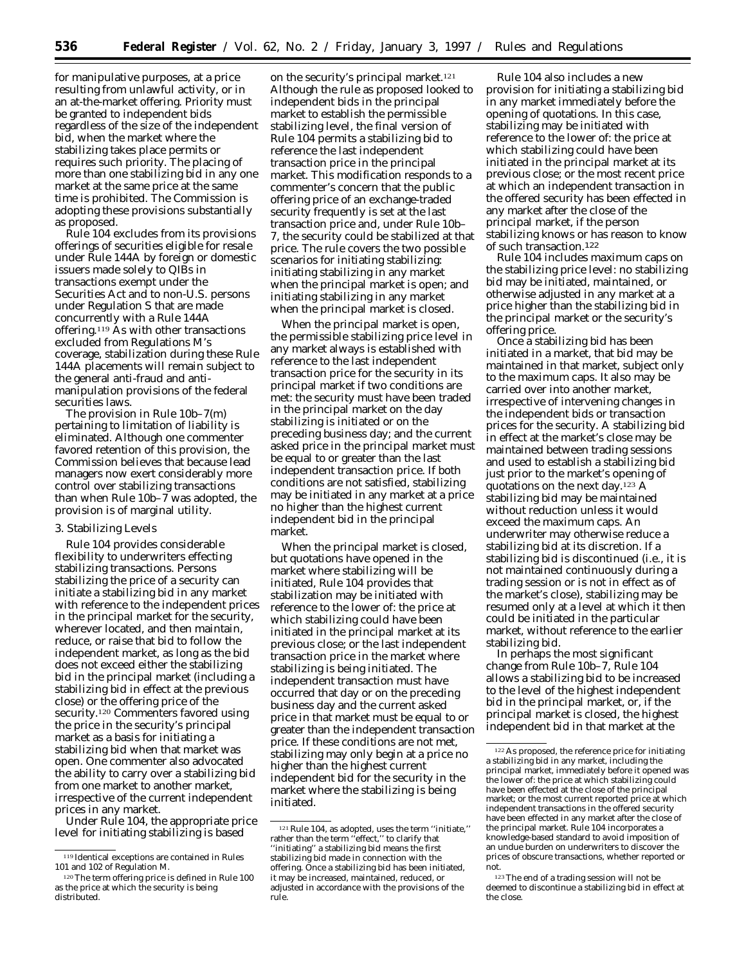for manipulative purposes, at a price resulting from unlawful activity, or in an at-the-market offering. Priority must be granted to independent bids regardless of the size of the independent bid, when the market where the stabilizing takes place permits or requires such priority. The placing of more than one stabilizing bid in any one market at the same price at the same time is prohibited. The Commission is adopting these provisions substantially as proposed.

Rule 104 excludes from its provisions offerings of securities eligible for resale under Rule 144A by foreign or domestic issuers made solely to QIBs in transactions exempt under the Securities Act and to non-U.S. persons under Regulation S that are made concurrently with a Rule 144A offering.119 As with other transactions excluded from Regulations M's coverage, stabilization during these Rule 144A placements will remain subject to the general anti-fraud and antimanipulation provisions of the federal securities laws.

The provision in Rule 10b–7(m) pertaining to limitation of liability is eliminated. Although one commenter favored retention of this provision, the Commission believes that because lead managers now exert considerably more control over stabilizing transactions than when Rule 10b–7 was adopted, the provision is of marginal utility.

#### 3. Stabilizing Levels

Rule 104 provides considerable flexibility to underwriters effecting stabilizing transactions. Persons stabilizing the price of a security can initiate a stabilizing bid in any market with reference to the independent prices in the *principal market* for the security, wherever located, and then maintain, reduce, or raise that bid to follow the independent market, as long as the bid does not exceed either the stabilizing bid in the principal market (including a stabilizing bid in effect at the previous close) or the *offering price* of the security.120 Commenters favored using the price in the security's principal market as a basis for initiating a stabilizing bid when that market was open. One commenter also advocated the ability to carry over a stabilizing bid from one market to another market, irrespective of the current independent prices in any market.

Under Rule 104, the appropriate price level for initiating stabilizing is based

on the security's principal market.121 Although the rule as proposed looked to independent bids in the principal market to establish the permissible stabilizing level, the final version of Rule 104 permits a stabilizing bid to reference the last independent transaction price in the principal market. This modification responds to a commenter's concern that the public offering price of an exchange-traded security frequently is set at the last transaction price and, under Rule 10b– 7, the security could be stabilized at that price. The rule covers the two possible scenarios for initiating stabilizing: initiating stabilizing in any market when the principal market is open; and initiating stabilizing in any market when the principal market is closed.

When the principal market is open, the permissible stabilizing price level in any market always is established with reference to the last independent transaction price for the security in its principal market if two conditions are met: the security must have been traded in the principal market on the day stabilizing is initiated or on the preceding business day; and the current asked price in the principal market must be equal to or greater than the last independent transaction price. If both conditions are not satisfied, stabilizing may be initiated in any market at a price no higher than the highest current independent bid in the principal market.

When the principal market is closed, but quotations have opened in the market where stabilizing will be initiated, Rule 104 provides that stabilization may be initiated with reference to the lower of: the price at which stabilizing could have been initiated in the principal market at its previous close; or the last independent transaction price in the market where stabilizing is being initiated. The independent transaction must have occurred that day or on the preceding business day and the current asked price in that market must be equal to or greater than the independent transaction price. If these conditions are not met, stabilizing may only begin at a price no higher than the highest current independent bid for the security in the market where the stabilizing is being initiated.

Rule 104 also includes a new provision for initiating a stabilizing bid in any market immediately before the opening of quotations. In this case, stabilizing may be initiated with reference to the lower of: the price at which stabilizing could have been initiated in the principal market at its previous close; or the most recent price at which an independent transaction in the offered security has been effected in any market after the close of the principal market, if the person stabilizing knows or has reason to know of such transaction.122

Rule 104 includes maximum caps on the stabilizing price level: no stabilizing bid may be initiated, maintained, or otherwise adjusted in any market at a price higher than the stabilizing bid in the principal market or the security's offering price.

Once a stabilizing bid has been initiated in a market, that bid may be maintained in that market, subject only to the maximum caps. It also may be carried over into another market, irrespective of intervening changes in the independent bids or transaction prices for the security. A stabilizing bid in effect at the market's close may be maintained between trading sessions and used to establish a stabilizing bid just prior to the market's opening of quotations on the next day.123 A stabilizing bid may be maintained without reduction unless it would exceed the maximum caps. An underwriter may otherwise reduce a stabilizing bid at its discretion. If a stabilizing bid is discontinued (*i.e.*, it is not maintained continuously during a trading session or is not in effect as of the market's close), stabilizing may be resumed only at a level at which it then could be initiated in the particular market, without reference to the earlier stabilizing bid.

In perhaps the most significant change from Rule 10b–7, Rule 104 allows a stabilizing bid to be increased to the level of the highest independent bid in the principal market, or, if the principal market is closed, the highest independent bid in that market at the

<sup>119</sup> Identical exceptions are contained in Rules 101 and 102 of Regulation M.

<sup>120</sup> The term offering price is defined in Rule 100 as the price at which the security is being distributed.

<sup>121</sup>Rule 104, as adopted, uses the term ''initiate,'' rather than the term ''effect,'' to clarify that ''initiating'' a stabilizing bid means the first stabilizing bid made in connection with the offering. Once a stabilizing bid has been initiated, it may be increased, maintained, reduced, or adjusted in accordance with the provisions of the rule.

<sup>122</sup>As proposed, the reference price for initiating a stabilizing bid in any market, including the principal market, immediately before it opened was the lower of: the price at which stabilizing could have been effected at the close of the principal market; or the most current reported price at which independent transactions in the offered security have been effected in any market after the close of the principal market. Rule 104 incorporates a knowledge-based standard to avoid imposition of an undue burden on underwriters to discover the prices of obscure transactions, whether reported or not.

<sup>123</sup>The end of a trading session will not be deemed to discontinue a stabilizing bid in effect at the close.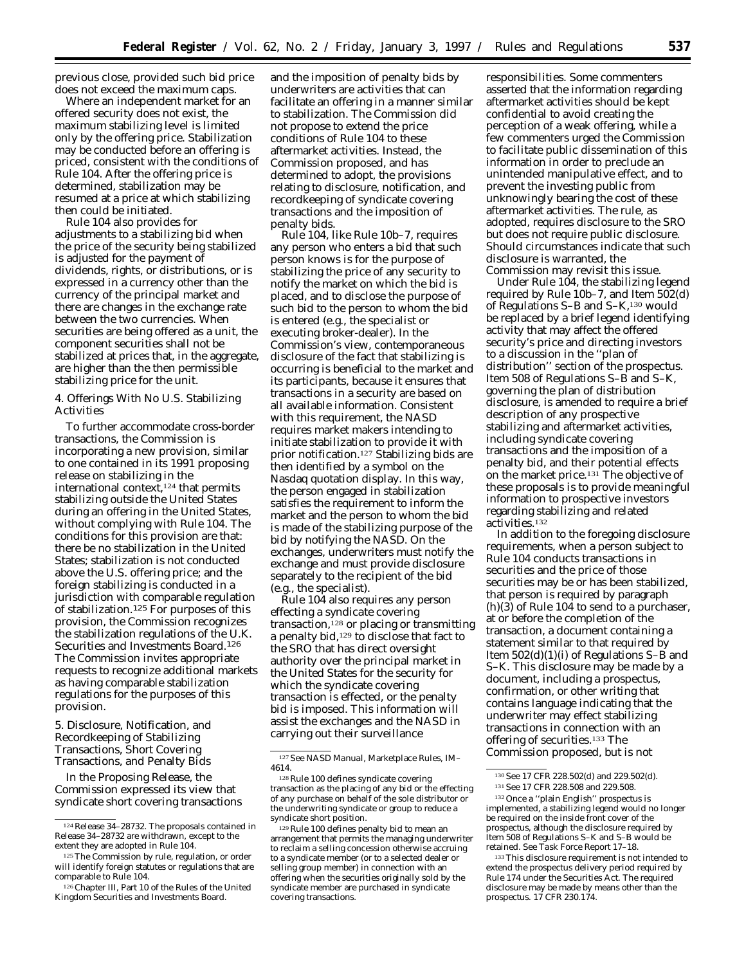previous close, provided such bid price does not exceed the maximum caps.

Where an independent market for an offered security does not exist, the maximum stabilizing level is limited only by the offering price. Stabilization may be conducted before an offering is priced, consistent with the conditions of Rule 104. After the offering price is determined, stabilization may be resumed at a price at which stabilizing then could be initiated.

Rule 104 also provides for adjustments to a stabilizing bid when the price of the security being stabilized is adjusted for the payment of dividends, rights, or distributions, or is expressed in a currency other than the currency of the principal market and there are changes in the exchange rate between the two currencies. When securities are being offered as a unit, the component securities shall not be stabilized at prices that, in the aggregate, are higher than the then permissible stabilizing price for the unit.

4. Offerings With No U.S. Stabilizing Activities

To further accommodate cross-border transactions, the Commission is incorporating a new provision, similar to one contained in its 1991 proposing release on stabilizing in the international context,<sup>124</sup> that permits stabilizing outside the United States during an offering in the United States, without complying with Rule 104. The conditions for this provision are that: there be no stabilization in the United States; stabilization is not conducted above the U.S. offering price; and the foreign stabilizing is conducted in a jurisdiction with comparable regulation of stabilization.<sup>125</sup> For purposes of this provision, the Commission recognizes the stabilization regulations of the U.K. Securities and Investments Board.126 The Commission invites appropriate requests to recognize additional markets as having comparable stabilization regulations for the purposes of this provision.

5. Disclosure, Notification, and Recordkeeping of Stabilizing Transactions, Short Covering Transactions, and Penalty Bids

In the Proposing Release, the Commission expressed its view that syndicate short covering transactions

and the imposition of penalty bids by underwriters are activities that can facilitate an offering in a manner similar to stabilization. The Commission did not propose to extend the price conditions of Rule 104 to these aftermarket activities. Instead, the Commission proposed, and has determined to adopt, the provisions relating to disclosure, notification, and recordkeeping of syndicate covering transactions and the imposition of penalty bids.

Rule 104, like Rule 10b–7, requires any person who enters a bid that such person knows is for the purpose of stabilizing the price of any security to notify the market on which the bid is placed, and to disclose the purpose of such bid to the person to whom the bid is entered (*e.g.*, the specialist or executing broker-dealer). In the Commission's view, contemporaneous disclosure of the fact that stabilizing is occurring is beneficial to the market and its participants, because it ensures that transactions in a security are based on all available information. Consistent with this requirement, the NASD requires market makers intending to initiate stabilization to provide it with prior notification.127 Stabilizing bids are then identified by a symbol on the Nasdaq quotation display. In this way, the person engaged in stabilization satisfies the requirement to inform the market and the person to whom the bid is made of the stabilizing purpose of the bid by notifying the NASD. On the exchanges, underwriters must notify the exchange and must provide disclosure separately to the recipient of the bid (*e.g.*, the specialist).

Rule 104 also requires any person effecting a *syndicate covering transaction,*128 or placing or transmitting a *penalty bid,*129 to disclose that fact to the SRO that has direct oversight authority over the principal market in the United States for the security for which the syndicate covering transaction is effected, or the penalty bid is imposed. This information will assist the exchanges and the NASD in carrying out their surveillance

responsibilities. Some commenters asserted that the information regarding aftermarket activities should be kept confidential to avoid creating the perception of a weak offering, while a few commenters urged the Commission to facilitate public dissemination of this information in order to preclude an unintended manipulative effect, and to prevent the investing public from unknowingly bearing the cost of these aftermarket activities. The rule, as adopted, requires disclosure to the SRO but does not require public disclosure. Should circumstances indicate that such disclosure is warranted, the Commission may revisit this issue.

Under Rule 104, the stabilizing legend required by Rule 10b–7, and Item 502(d) of Regulations S–B and S–K,130 would be replaced by a brief legend identifying activity that may affect the offered security's price and directing investors to a discussion in the ''plan of distribution'' section of the prospectus. Item 508 of Regulations S–B and S–K, governing the plan of distribution disclosure, is amended to require a brief description of any prospective stabilizing and aftermarket activities, including syndicate covering transactions and the imposition of a penalty bid, and their potential effects on the market price.131 The objective of these proposals is to provide meaningful information to prospective investors regarding stabilizing and related activities.132

In addition to the foregoing disclosure requirements, when a person subject to Rule 104 conducts transactions in securities and the price of those securities may be or has been stabilized, that person is required by paragraph (h)(3) of Rule 104 to send to a purchaser, at or before the completion of the transaction, a document containing a statement similar to that required by Item 502(d)(1)(i) of Regulations S–B and S–K. This disclosure may be made by a document, including a prospectus, confirmation, or other writing that contains language indicating that the underwriter may effect stabilizing transactions in connection with an offering of securities.133 The Commission proposed, but is not

<sup>124</sup>Release 34–28732. The proposals contained in Release 34–28732 are withdrawn, except to the extent they are adopted in Rule 104.

<sup>125</sup>The Commission by rule, regulation, or order will identify foreign statutes or regulations that are comparable to Rule 104.

<sup>126</sup>Chapter III, Part 10 of the Rules of the United Kingdom Securities and Investments Board.

<sup>127</sup>*See NASD Manual,* Marketplace Rules, IM– 4614.

<sup>128</sup>Rule 100 defines syndicate covering transaction as the placing of any bid or the effecting of any purchase on behalf of the sole distributor or the underwriting syndicate or group to reduce a syndicate short position.

<sup>129</sup>Rule 100 defines penalty bid to mean an arrangement that permits the managing underwriter to reclaim a selling concession otherwise accruing to a syndicate member (or to a selected dealer or selling group member) in connection with an offering when the securities originally sold by the syndicate member are purchased in syndicate covering transactions.

<sup>130</sup>*See* 17 CFR 228.502(d) and 229.502(d).

<sup>131</sup>*See* 17 CFR 228.508 and 229.508.

<sup>132</sup>Once a ''plain English'' prospectus is implemented, a stabilizing legend would no longer be required on the inside front cover of the prospectus, although the disclosure required by Item 508 of Regulations S–K and S–B would be retained. *See Task Force Report* 17–18.

<sup>133</sup>This disclosure requirement is not intended to extend the prospectus delivery period required by Rule 174 under the Securities Act. The required disclosure may be made by means other than the prospectus. 17 CFR 230.174.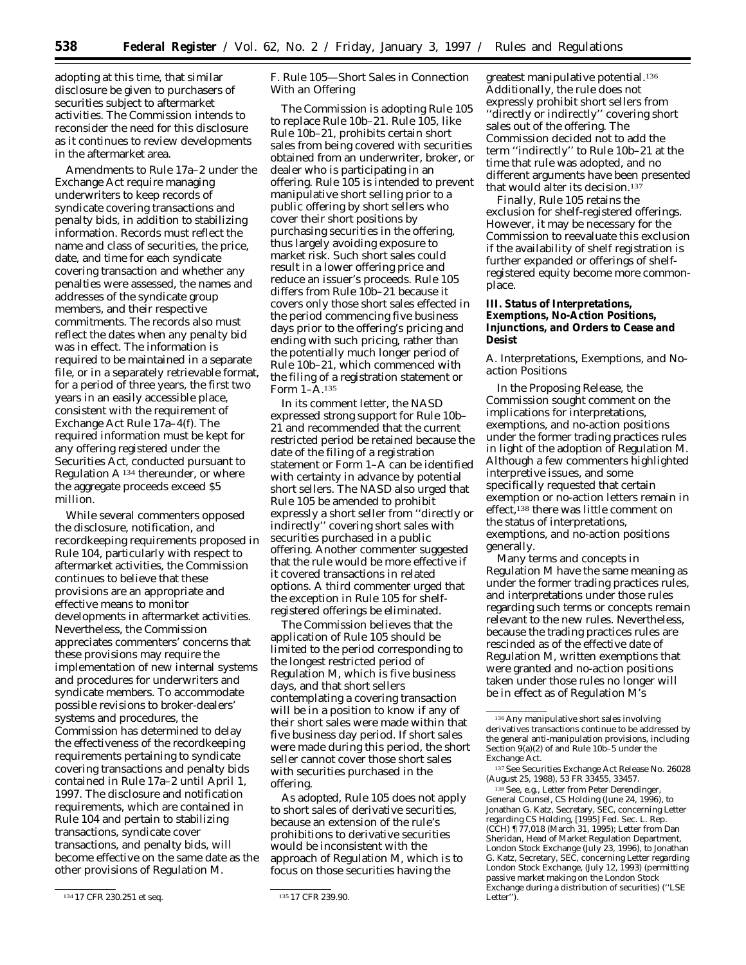adopting at this time, that similar disclosure be given to purchasers of securities subject to aftermarket activities. The Commission intends to reconsider the need for this disclosure as it continues to review developments in the aftermarket area.

Amendments to Rule 17a–2 under the Exchange Act require managing underwriters to keep records of syndicate covering transactions and penalty bids, in addition to stabilizing information. Records must reflect the name and class of securities, the price, date, and time for each syndicate covering transaction and whether any penalties were assessed, the names and addresses of the syndicate group members, and their respective commitments. The records also must reflect the dates when any penalty bid was in effect. The information is required to be maintained in a separate file, or in a separately retrievable format, for a period of three years, the first two years in an easily accessible place, consistent with the requirement of Exchange Act Rule 17a–4(f). The required information must be kept for any offering registered under the Securities Act, conducted pursuant to Regulation  $A^{134}$  thereunder, or where the aggregate proceeds exceed \$5 million.

While several commenters opposed the disclosure, notification, and recordkeeping requirements proposed in Rule 104, particularly with respect to aftermarket activities, the Commission continues to believe that these provisions are an appropriate and effective means to monitor developments in aftermarket activities. Nevertheless, the Commission appreciates commenters' concerns that these provisions may require the implementation of new internal systems and procedures for underwriters and syndicate members. To accommodate possible revisions to broker-dealers' systems and procedures, the Commission has determined to delay the effectiveness of the recordkeeping requirements pertaining to syndicate covering transactions and penalty bids contained in Rule 17a–2 until April 1, 1997. The disclosure and notification requirements, which are contained in Rule 104 and pertain to stabilizing transactions, syndicate cover transactions, and penalty bids, will become effective on the same date as the other provisions of Regulation M.

The Commission is adopting Rule 105 to replace Rule 10b–21. Rule 105, like Rule 10b–21, prohibits certain short sales from being covered with securities obtained from an underwriter, broker, or dealer who is participating in an offering. Rule 105 is intended to prevent manipulative short selling prior to a public offering by short sellers who cover their short positions by purchasing securities in the offering, thus largely avoiding exposure to market risk. Such short sales could result in a lower offering price and reduce an issuer's proceeds. Rule 105 differs from Rule 10b–21 because it covers only those short sales effected in the period commencing five business days prior to the offering's pricing and ending with such pricing, rather than the potentially much longer period of Rule 10b–21, which commenced with the filing of a registration statement or Form 1–A.135

In its comment letter, the NASD expressed strong support for Rule 10b– 21 and recommended that the current restricted period be retained because the date of the filing of a registration statement or Form 1–A can be identified with certainty in advance by potential short sellers. The NASD also urged that Rule 105 be amended to prohibit expressly a short seller from ''directly or indirectly'' covering short sales with securities purchased in a public offering. Another commenter suggested that the rule would be more effective if it covered transactions in related options. A third commenter urged that the exception in Rule 105 for shelfregistered offerings be eliminated.

The Commission believes that the application of Rule 105 should be limited to the period corresponding to the longest restricted period of Regulation M, which is five business days, and that short sellers contemplating a covering transaction will be in a position to know if any of their short sales were made within that five business day period. If short sales were made during this period, the short seller cannot cover those short sales with securities purchased in the offering.

As adopted, Rule 105 does not apply to short sales of derivative securities, because an extension of the rule's prohibitions to derivative securities would be inconsistent with the approach of Regulation M, which is to focus on those securities having the

greatest manipulative potential.136 Additionally, the rule does not expressly prohibit short sellers from ''directly or indirectly'' covering short sales out of the offering. The Commission decided not to add the term ''indirectly'' to Rule 10b–21 at the time that rule was adopted, and no different arguments have been presented that would alter its decision.137

Finally, Rule 105 retains the exclusion for shelf-registered offerings. However, it may be necessary for the Commission to reevaluate this exclusion if the availability of shelf registration is further expanded or offerings of shelfregistered equity become more commonplace.

**III. Status of Interpretations, Exemptions, No-Action Positions, Injunctions, and Orders to Cease and Desist**

### *A. Interpretations, Exemptions, and Noaction Positions*

In the Proposing Release, the Commission sought comment on the implications for interpretations, exemptions, and no-action positions under the former trading practices rules in light of the adoption of Regulation M. Although a few commenters highlighted interpretive issues, and some specifically requested that certain exemption or no-action letters remain in effect,<sup>138</sup> there was little comment on the status of interpretations, exemptions, and no-action positions generally.

Many terms and concepts in Regulation M have the same meaning as under the former trading practices rules, and interpretations under those rules regarding such terms or concepts remain relevant to the new rules. Nevertheless, because the trading practices rules are rescinded as of the effective date of Regulation M, written exemptions that were granted and no-action positions taken under those rules no longer will be in effect as of Regulation M's

138*See, e.g.,* Letter from Peter Derendinger, General Counsel, CS Holding (June 24, 1996), to Jonathan G. Katz, Secretary, SEC, concerning *Letter regarding CS Holding,* [1995] Fed. Sec. L. Rep. (CCH) ¶ 77,018 (March 31, 1995); Letter from Dan Sheridan, Head of Market Regulation Department, London Stock Exchange (July 23, 1996), to Jonathan G. Katz, Secretary, SEC, concerning *Letter regarding London Stock Exchange,* (July 12, 1993) (permitting passive market making on the London Stock Exchange during a distribution of securities) (''LSE Letter").

*F. Rule 105—Short Sales in Connection With an Offering*

<sup>136</sup>Any manipulative short sales involving derivatives transactions continue to be addressed by the general anti-manipulation provisions, including Section 9(a)(2) of and Rule 10b–5 under the Exchange Act.

<sup>137</sup>*See* Securities Exchange Act Release No. 26028 (August 25, 1988), 53 FR 33455, 33457.

<sup>134 17</sup> CFR 230.251 *et seq.* 135 17 CFR 239.90.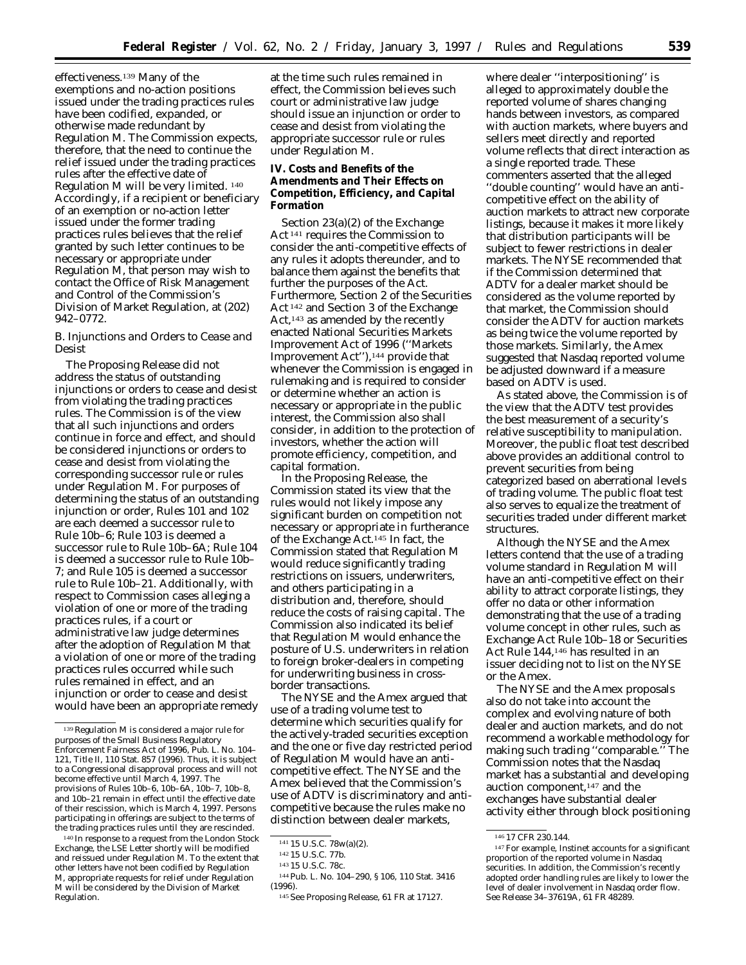effectiveness.139 Many of the exemptions and no-action positions issued under the trading practices rules have been codified, expanded, or otherwise made redundant by Regulation M. The Commission expects, therefore, that the need to continue the relief issued under the trading practices rules after the effective date of Regulation M will be very limited. 140 Accordingly, if a recipient or beneficiary of an exemption or no-action letter issued under the former trading practices rules believes that the relief granted by such letter continues to be necessary or appropriate under Regulation M, that person may wish to contact the Office of Risk Management and Control of the Commission's Division of Market Regulation, at (202) 942–0772.

## *B. Injunctions and Orders to Cease and Desist*

The Proposing Release did not address the status of outstanding injunctions or orders to cease and desist from violating the trading practices rules. The Commission is of the view that all such injunctions and orders continue in force and effect, and should be considered injunctions or orders to cease and desist from violating the corresponding successor rule or rules under Regulation M. For purposes of determining the status of an outstanding injunction or order, Rules 101 and 102 are each deemed a successor rule to Rule 10b–6; Rule 103 is deemed a successor rule to Rule 10b–6A; Rule 104 is deemed a successor rule to Rule 10b– 7; and Rule 105 is deemed a successor rule to Rule 10b–21. Additionally, with respect to Commission cases alleging a violation of one or more of the trading practices rules, if a court or administrative law judge determines after the adoption of Regulation M that a violation of one or more of the trading practices rules occurred while such rules remained in effect, and an injunction or order to cease and desist would have been an appropriate remedy

at the time such rules remained in effect, the Commission believes such court or administrative law judge should issue an injunction or order to cease and desist from violating the appropriate successor rule or rules under Regulation M.

**IV. Costs and Benefits of the Amendments and Their Effects on Competition, Efficiency, and Capital Formation**

Section 23(a)(2) of the Exchange Act 141 requires the Commission to consider the anti-competitive effects of any rules it adopts thereunder, and to balance them against the benefits that further the purposes of the Act. Furthermore, Section 2 of the Securities Act 142 and Section 3 of the Exchange Act,<sup>143</sup> as amended by the recently enacted National Securities Markets Improvement Act of 1996 (''Markets Improvement Act''),144 provide that whenever the Commission is engaged in rulemaking and is required to consider or determine whether an action is necessary or appropriate in the public interest, the Commission also shall consider, in addition to the protection of investors, whether the action will promote efficiency, competition, and capital formation.

In the Proposing Release, the Commission stated its view that the rules would not likely impose any significant burden on competition not necessary or appropriate in furtherance of the Exchange Act.145 In fact, the Commission stated that Regulation M would reduce significantly trading restrictions on issuers, underwriters, and others participating in a distribution and, therefore, should reduce the costs of raising capital. The Commission also indicated its belief that Regulation M would enhance the posture of U.S. underwriters in relation to foreign broker-dealers in competing for underwriting business in crossborder transactions.

The NYSE and the Amex argued that use of a trading volume test to determine which securities qualify for the actively-traded securities exception and the one or five day restricted period of Regulation M would have an anticompetitive effect. The NYSE and the Amex believed that the Commission's use of ADTV is discriminatory and anticompetitive because the rules make no distinction between dealer markets,

where dealer ''interpositioning'' is alleged to approximately double the reported volume of shares changing hands between investors, as compared with auction markets, where buyers and sellers meet directly and reported volume reflects that direct interaction as a single reported trade. These commenters asserted that the alleged ''double counting'' would have an anticompetitive effect on the ability of auction markets to attract new corporate listings, because it makes it more likely that distribution participants will be subject to fewer restrictions in dealer markets. The NYSE recommended that if the Commission determined that ADTV for a dealer market should be considered as the volume reported by that market, the Commission should consider the ADTV for auction markets as being twice the volume reported by those markets. Similarly, the Amex suggested that Nasdaq reported volume be adjusted downward if a measure based on ADTV is used.

As stated above, the Commission is of the view that the ADTV test provides the best measurement of a security's relative susceptibility to manipulation. Moreover, the public float test described above provides an additional control to prevent securities from being categorized based on aberrational levels of trading volume. The public float test also serves to equalize the treatment of securities traded under different market structures.

Although the NYSE and the Amex letters contend that the use of a trading volume standard in Regulation M will have an anti-competitive effect on their ability to attract corporate listings, they offer no data or other information demonstrating that the use of a trading volume concept in other rules, such as Exchange Act Rule 10b–18 or Securities Act Rule 144,146 has resulted in an issuer deciding not to list on the NYSE or the Amex.

The NYSE and the Amex proposals also do not take into account the complex and evolving nature of both dealer and auction markets, and do not recommend a workable methodology for making such trading ''comparable.'' The Commission notes that the Nasdaq market has a substantial and developing auction component,147 and the exchanges have substantial dealer activity either through block positioning

<sup>139</sup>Regulation M is considered a major rule for purposes of the Small Business Regulatory Enforcement Fairness Act of 1996, Pub. L. No. 104– 121, Title II, 110 Stat. 857 (1996). Thus, it is subject to a Congressional disapproval process and will not become effective until March 4, 1997. The provisions of Rules 10b–6, 10b–6A, 10b–7, 10b–8, and 10b–21 remain in effect until the effective date of their rescission, which is March 4, 1997. Persons participating in offerings are subject to the terms of the trading practices rules until they are rescinded.

<sup>140</sup> In response to a request from the London Stock Exchange, the LSE Letter shortly will be modified and reissued under Regulation M. To the extent that other letters have not been codified by Regulation M, appropriate requests for relief under Regulation M will be considered by the Division of Market Regulation.

 $141$  15 U.S.C. 78w(a)(2).

<sup>142</sup> 15 U.S.C. 77b.

<sup>143</sup> 15 U.S.C. 78c.

<sup>144</sup>Pub. L. No. 104–290, § 106, 110 Stat. 3416 (1996).

<sup>145</sup>*See* Proposing Release, 61 FR at 17127.

<sup>146</sup> 17 CFR 230.144.

<sup>147</sup>For example, Instinet accounts for a significant proportion of the reported volume in Nasdaq securities. In addition, the Commission's recently adopted order handling rules are likely to lower the level of dealer involvement in Nasdaq order flow. *See* Release 34–37619A, 61 FR 48289.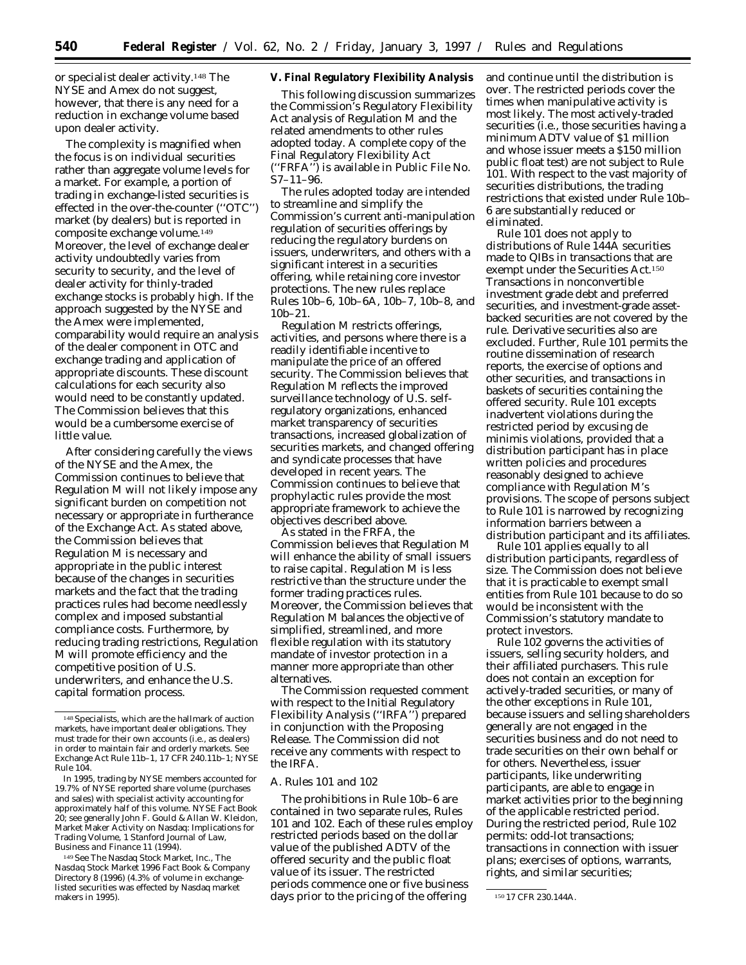or specialist dealer activity.148 The NYSE and Amex do not suggest, however, that there is any need for a reduction in exchange volume based upon dealer activity.

The complexity is magnified when the focus is on individual securities rather than aggregate volume levels for a market. For example, a portion of trading in exchange-listed securities is effected in the over-the-counter (''OTC'') market (by dealers) but is reported in composite exchange volume.149 Moreover, the level of exchange dealer activity undoubtedly varies from security to security, and the level of dealer activity for thinly-traded exchange stocks is probably high. If the approach suggested by the NYSE and the Amex were implemented, comparability would require an analysis of the dealer component in OTC and exchange trading and application of appropriate discounts. These discount calculations for each security also would need to be constantly updated. The Commission believes that this would be a cumbersome exercise of little value.

After considering carefully the views of the NYSE and the Amex, the Commission continues to believe that Regulation M will not likely impose any significant burden on competition not necessary or appropriate in furtherance of the Exchange Act. As stated above, the Commission believes that Regulation M is necessary and appropriate in the public interest because of the changes in securities markets and the fact that the trading practices rules had become needlessly complex and imposed substantial compliance costs. Furthermore, by reducing trading restrictions, Regulation M will promote efficiency and the competitive position of U.S. underwriters, and enhance the U.S. capital formation process.

**V. Final Regulatory Flexibility Analysis**

This following discussion summarizes the Commission's Regulatory Flexibility Act analysis of Regulation M and the related amendments to other rules adopted today. A complete copy of the Final Regulatory Flexibility Act (''FRFA'') is available in Public File No. S7–11–96.

The rules adopted today are intended to streamline and simplify the Commission's current anti-manipulation regulation of securities offerings by reducing the regulatory burdens on issuers, underwriters, and others with a significant interest in a securities offering, while retaining core investor protections. The new rules replace Rules 10b–6, 10b–6A, 10b–7, 10b–8, and 10b–21.

Regulation M restricts offerings, activities, and persons where there is a readily identifiable incentive to manipulate the price of an offered security. The Commission believes that Regulation M reflects the improved surveillance technology of U.S. selfregulatory organizations, enhanced market transparency of securities transactions, increased globalization of securities markets, and changed offering and syndicate processes that have developed in recent years. The Commission continues to believe that prophylactic rules provide the most appropriate framework to achieve the objectives described above.

As stated in the FRFA, the Commission believes that Regulation M will enhance the ability of small issuers to raise capital. Regulation M is less restrictive than the structure under the former trading practices rules. Moreover, the Commission believes that Regulation M balances the objective of simplified, streamlined, and more flexible regulation with its statutory mandate of investor protection in a manner more appropriate than other alternatives.

The Commission requested comment with respect to the Initial Regulatory Flexibility Analysis (''IRFA'') prepared in conjunction with the Proposing Release. The Commission did not receive any comments with respect to the IRFA.

## *A. Rules 101 and 102*

makers in 1995). The same state of the pricing of the offering the 150 17 CFR 230.144A. The prohibitions in Rule 10b–6 are contained in two separate rules, Rules 101 and 102. Each of these rules employ restricted periods based on the dollar value of the published ADTV of the offered security and the public float value of its issuer. The restricted periods commence one or five business

and continue until the distribution is over. The restricted periods cover the times when manipulative activity is most likely. The most actively-traded securities (*i.e.*, those securities having a minimum ADTV value of \$1 million and whose issuer meets a \$150 million public float test) are not subject to Rule 101. With respect to the vast majority of securities distributions, the trading restrictions that existed under Rule 10b– 6 are substantially reduced or eliminated.

Rule 101 does not apply to distributions of Rule 144A securities made to QIBs in transactions that are exempt under the Securities Act.150 Transactions in nonconvertible investment grade debt and preferred securities, and investment-grade assetbacked securities are not covered by the rule. Derivative securities also are excluded. Further, Rule 101 permits the routine dissemination of research reports, the exercise of options and other securities, and transactions in baskets of securities containing the offered security. Rule 101 excepts inadvertent violations during the restricted period by excusing *de minimis* violations, provided that a distribution participant has in place written policies and procedures reasonably designed to achieve compliance with Regulation M's provisions. The scope of persons subject to Rule 101 is narrowed by recognizing information barriers between a distribution participant and its affiliates.

Rule 101 applies equally to all distribution participants, regardless of size. The Commission does not believe that it is practicable to exempt small entities from Rule 101 because to do so would be inconsistent with the Commission's statutory mandate to protect investors.

Rule 102 governs the activities of issuers, selling security holders, and their affiliated purchasers. This rule does not contain an exception for actively-traded securities, or many of the other exceptions in Rule 101, because issuers and selling shareholders generally are not engaged in the securities business and do not need to trade securities on their own behalf or for others. Nevertheless, issuer participants, like underwriting participants, are able to engage in market activities prior to the beginning of the applicable restricted period. During the restricted period, Rule 102 permits: odd-lot transactions; transactions in connection with issuer plans; exercises of options, warrants, rights, and similar securities;

<sup>148</sup>Specialists, which are the hallmark of auction markets, have important dealer obligations. They must trade for their own accounts (*i.e.,* as dealers) in order to maintain fair and orderly markets. *See* Exchange Act Rule 11b-1, 17 CFR 240.11b-1; NYSE Rule 104.

In 1995, trading by NYSE members accounted for 19.7% of NYSE reported share volume (purchases and sales) with specialist activity accounting for approximately half of this volume. *NYSE Fact Book* 20; *see generally* John F. Gould & Allan W. Kleidon, Market Maker Activity on Nasdaq: Implications for Trading Volume, 1 *Stanford Journal of Law, Business and Finance* 11 (1994).

<sup>149</sup>*See* The Nasdaq Stock Market, Inc., *The Nasdaq Stock Market 1996 Fact Book & Company Directory* 8 (1996) (4.3% of volume in exchangelisted securities was effected by Nasdaq market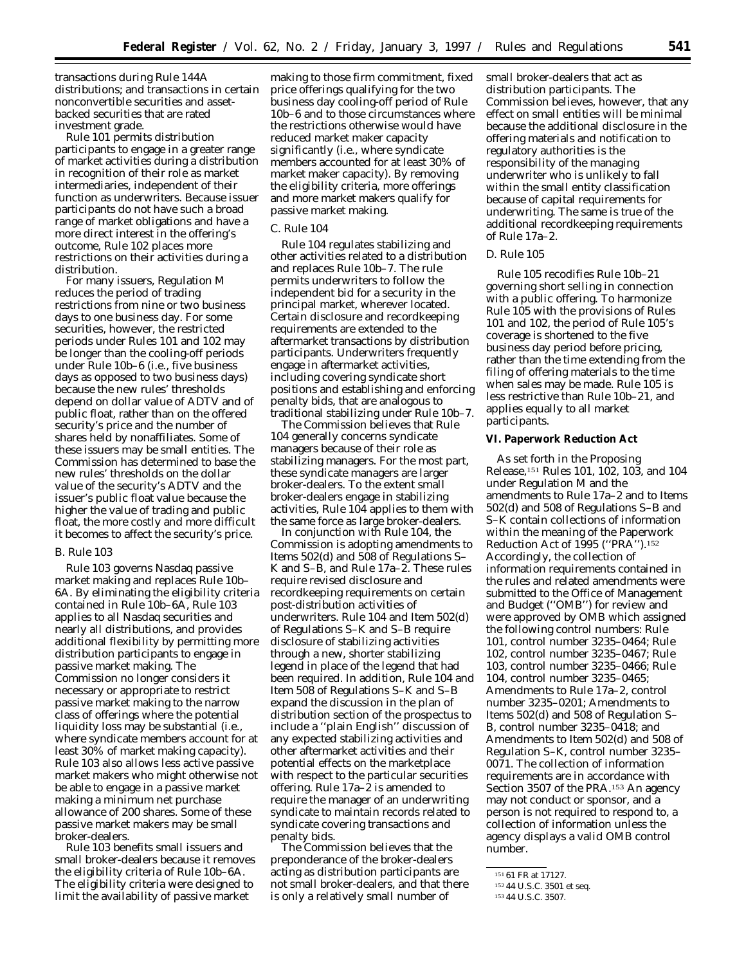transactions during Rule 144A distributions; and transactions in certain nonconvertible securities and assetbacked securities that are rated investment grade.

Rule 101 permits distribution participants to engage in a greater range of market activities during a distribution in recognition of their role as market intermediaries, independent of their function as underwriters. Because issuer participants do not have such a broad range of market obligations and have a more direct interest in the offering's outcome, Rule 102 places more restrictions on their activities during a distribution.

For many issuers, Regulation M reduces the period of trading restrictions from nine or two business days to one business day. For some securities, however, the restricted periods under Rules 101 and 102 may be longer than the cooling-off periods under Rule 10b–6 (*i.e.*, five business days as opposed to two business days) because the new rules' thresholds depend on dollar value of ADTV and of public float, rather than on the offered security's price and the number of shares held by nonaffiliates. Some of these issuers may be small entities. The Commission has determined to base the new rules' thresholds on the dollar value of the security's ADTV and the issuer's public float value because the higher the value of trading and public float, the more costly and more difficult it becomes to affect the security's price.

#### *B. Rule 103*

Rule 103 governs Nasdaq passive market making and replaces Rule 10b– 6A. By eliminating the eligibility criteria contained in Rule 10b–6A, Rule 103 applies to all Nasdaq securities and nearly all distributions, and provides additional flexibility by permitting more distribution participants to engage in passive market making. The Commission no longer considers it necessary or appropriate to restrict passive market making to the narrow class of offerings where the potential liquidity loss may be substantial (*i.e.*, where syndicate members account for at least 30% of market making capacity). Rule 103 also allows less active passive market makers who might otherwise not be able to engage in a passive market making a minimum net purchase allowance of 200 shares. Some of these passive market makers may be small broker-dealers.

Rule 103 benefits small issuers and small broker-dealers because it removes the eligibility criteria of Rule 10b–6A. The eligibility criteria were designed to limit the availability of passive market

making to those firm commitment, fixed price offerings qualifying for the two business day cooling-off period of Rule 10b–6 and to those circumstances where the restrictions otherwise would have reduced market maker capacity significantly (*i.e.*, where syndicate members accounted for at least 30% of market maker capacity). By removing the eligibility criteria, more offerings and more market makers qualify for passive market making.

## *C. Rule 104*

Rule 104 regulates stabilizing and other activities related to a distribution and replaces Rule 10b–7. The rule permits underwriters to follow the independent bid for a security in the principal market, wherever located. Certain disclosure and recordkeeping requirements are extended to the aftermarket transactions by distribution participants. Underwriters frequently engage in aftermarket activities, including covering syndicate short positions and establishing and enforcing penalty bids, that are analogous to traditional stabilizing under Rule 10b–7.

The Commission believes that Rule 104 generally concerns syndicate managers because of their role as stabilizing managers. For the most part, these syndicate managers are larger broker-dealers. To the extent small broker-dealers engage in stabilizing activities, Rule 104 applies to them with the same force as large broker-dealers.

In conjunction with Rule 104, the Commission is adopting amendments to Items 502(d) and 508 of Regulations S– K and S–B, and Rule 17a–2. These rules require revised disclosure and recordkeeping requirements on certain post-distribution activities of underwriters. Rule 104 and Item 502(d) of Regulations S–K and S–B require disclosure of stabilizing activities through a new, shorter stabilizing legend in place of the legend that had been required. In addition, Rule 104 and Item 508 of Regulations S–K and S–B expand the discussion in the plan of distribution section of the prospectus to include a ''plain English'' discussion of any expected stabilizing activities and other aftermarket activities and their potential effects on the marketplace with respect to the particular securities offering. Rule 17a–2 is amended to require the manager of an underwriting syndicate to maintain records related to syndicate covering transactions and penalty bids.

The Commission believes that the preponderance of the broker-dealers acting as distribution participants are not small broker-dealers, and that there is only a relatively small number of

small broker-dealers that act as distribution participants. The Commission believes, however, that any effect on small entities will be minimal because the additional disclosure in the offering materials and notification to regulatory authorities is the responsibility of the managing underwriter who is unlikely to fall within the small entity classification because of capital requirements for underwriting. The same is true of the additional recordkeeping requirements of Rule 17a–2.

## *D. Rule 105*

Rule 105 recodifies Rule 10b–21 governing short selling in connection with a public offering. To harmonize Rule 105 with the provisions of Rules 101 and 102, the period of Rule 105's coverage is shortened to the five business day period before pricing, rather than the time extending from the filing of offering materials to the time when sales may be made. Rule 105 is less restrictive than Rule 10b–21, and applies equally to all market participants.

## **VI. Paperwork Reduction Act**

As set forth in the Proposing Release,151 Rules 101, 102, 103, and 104 under Regulation M and the amendments to Rule 17a–2 and to Items 502(d) and 508 of Regulations S–B and S–K contain collections of information within the meaning of the Paperwork Reduction Act of 1995 (''PRA'').152 Accordingly, the collection of information requirements contained in the rules and related amendments were submitted to the Office of Management and Budget (''OMB'') for review and were approved by OMB which assigned the following control numbers: Rule 101, control number 3235–0464; Rule 102, control number 3235–0467; Rule 103, control number 3235–0466; Rule 104, control number 3235–0465; Amendments to Rule 17a–2, control number 3235–0201; Amendments to Items 502(d) and 508 of Regulation S– B, control number 3235–0418; and Amendments to Item 502(d) and 508 of Regulation S–K, control number 3235– 0071. The collection of information requirements are in accordance with Section 3507 of the PRA.153 An agency may not conduct or sponsor, and a person is not required to respond to, a collection of information unless the agency displays a valid OMB control number.

<sup>151</sup> 61 FR at 17127.

<sup>152</sup> 44 U.S.C. 3501 *et seq*.

<sup>153</sup> 44 U.S.C. 3507.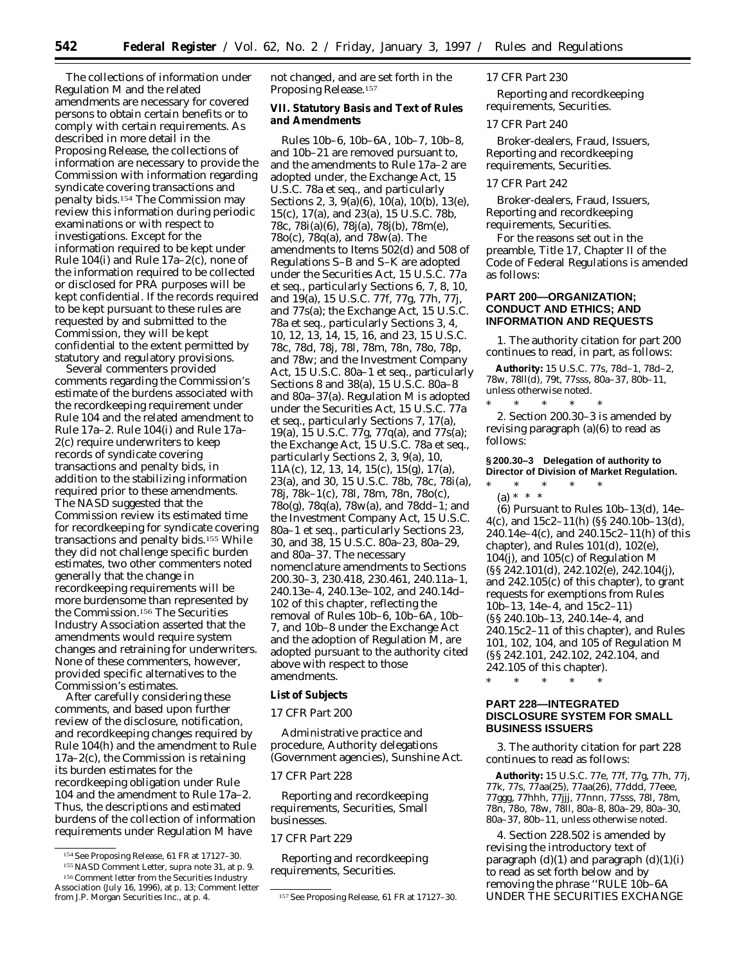The collections of information under Regulation M and the related amendments are necessary for covered persons to obtain certain benefits or to comply with certain requirements. As described in more detail in the Proposing Release, the collections of information are necessary to provide the Commission with information regarding syndicate covering transactions and penalty bids.154 The Commission may review this information during periodic examinations or with respect to investigations. Except for the information required to be kept under Rule 104(i) and Rule 17a–2(c), none of the information required to be collected or disclosed for PRA purposes will be kept confidential. If the records required to be kept pursuant to these rules are requested by and submitted to the Commission, they will be kept confidential to the extent permitted by statutory and regulatory provisions.

Several commenters provided comments regarding the Commission's estimate of the burdens associated with the recordkeeping requirement under Rule 104 and the related amendment to Rule 17a–2. Rule 104(i) and Rule 17a– 2(c) require underwriters to keep records of syndicate covering transactions and penalty bids, in addition to the stabilizing information required prior to these amendments. The NASD suggested that the Commission review its estimated time for recordkeeping for syndicate covering transactions and penalty bids.155 While they did not challenge specific burden estimates, two other commenters noted generally that the change in recordkeeping requirements will be more burdensome than represented by the Commission.156 The Securities Industry Association asserted that the amendments would require system changes and retraining for underwriters. None of these commenters, however, provided specific alternatives to the Commission's estimates.

After carefully considering these comments, and based upon further review of the disclosure, notification, and recordkeeping changes required by Rule 104(h) and the amendment to Rule 17a–2(c), the Commission is retaining its burden estimates for the recordkeeping obligation under Rule 104 and the amendment to Rule 17a–2. Thus, the descriptions and estimated burdens of the collection of information requirements under Regulation M have

not changed, and are set forth in the Proposing Release.157

**VII. Statutory Basis and Text of Rules and Amendments**

Rules 10b–6, 10b–6A, 10b–7, 10b–8, and 10b–21 are removed pursuant to, and the amendments to Rule 17a–2 are adopted under, the Exchange Act, 15 U.S.C. 78a *et seq.*, and particularly Sections 2, 3, 9(a)(6), 10(a), 10(b), 13(e), 15(c), 17(a), and 23(a), 15 U.S.C. 78b, 78c, 78i(a)(6), 78j(a), 78j(b), 78m(e), 78o(c), 78q(a), and 78w(a). The amendments to Items 502(d) and 508 of Regulations S–B and S–K are adopted under the Securities Act, 15 U.S.C. 77a *et seq.*, particularly Sections 6, 7, 8, 10, and 19(a), 15 U.S.C. 77f, 77g, 77h, 77j, and 77s(a); the Exchange Act, 15 U.S.C. 78a *et seq.*, particularly Sections 3, 4, 10, 12, 13, 14, 15, 16, and 23, 15 U.S.C. 78c, 78d, 78j, 78*l*, 78m, 78n, 78o, 78p, and 78w; and the Investment Company Act, 15 U.S.C. 80a–1 *et seq.*, particularly Sections 8 and 38(a), 15 U.S.C. 80a–8 and 80a–37(a). Regulation M is adopted under the Securities Act, 15 U.S.C. 77a *et seq.*, particularly Sections 7, 17(a), 19(a), 15 U.S.C. 77g, 77q(a), and 77s(a); the Exchange Act, 15 U.S.C. 78a *et seq.*, particularly Sections 2, 3, 9(a), 10, 11A(c), 12, 13, 14, 15(c), 15(g), 17(a), 23(a), and 30, 15 U.S.C. 78b, 78c, 78i(a), 78j, 78k–1(c), 78*l*, 78m, 78n, 78o(c), 78o(g), 78q(a), 78w(a), and 78dd–1; and the Investment Company Act, 15 U.S.C. 80a–1 *et seq.*, particularly Sections 23, 30, and 38, 15 U.S.C. 80a–23, 80a–29, and 80a–37. The necessary nomenclature amendments to Sections 200.30–3, 230.418, 230.461, 240.11a–1, 240.13e–4, 240.13e–102, and 240.14d– 102 of this chapter, reflecting the removal of Rules 10b–6, 10b–6A, 10b– 7, and 10b–8 under the Exchange Act and the adoption of Regulation M, are adopted pursuant to the authority cited above with respect to those amendments.

#### **List of Subjects**

## *17 CFR Part 200*

Administrative practice and procedure, Authority delegations (Government agencies), Sunshine Act.

## *17 CFR Part 228*

Reporting and recordkeeping requirements, Securities, Small businesses.

#### *17 CFR Part 229*

Reporting and recordkeeping requirements, Securities.

#### *17 CFR Part 230*

Reporting and recordkeeping requirements, Securities.

#### *17 CFR Part 240*

Broker-dealers, Fraud, Issuers, Reporting and recordkeeping requirements, Securities.

#### *17 CFR Part 242*

Broker-dealers, Fraud, Issuers, Reporting and recordkeeping requirements, Securities.

For the reasons set out in the preamble, Title 17, Chapter II of the Code of Federal Regulations is amended as follows:

## **PART 200—ORGANIZATION; CONDUCT AND ETHICS; AND INFORMATION AND REQUESTS**

1. The authority citation for part 200 continues to read, in part, as follows:

**Authority:** 15 U.S.C. 77s, 78d–1, 78d–2, 78w, 78*ll*(d), 79t, 77sss, 80a–37, 80b–11, unless otherwise noted.<br> $*$  \* \* \* \*  $*$  \*

2. Section 200.30–3 is amended by revising paragraph (a)(6) to read as follows:

## **§ 200.30–3 Delegation of authority to Director of Division of Market Regulation.**

\* \* \* \* \* (a) \* \* \*

(6) Pursuant to Rules 10b–13(d), 14e– 4(c), and 15c2–11(h) (§§ 240.10b–13(d), 240.14e–4(c), and 240.15c2–11(h) of this chapter), and Rules 101(d), 102(e), 104(j), and 105(c) of Regulation M (§§ 242.101(d), 242.102(e), 242.104(j), and 242.105(c) of this chapter), to grant requests for exemptions from Rules 10b–13, 14e–4, and 15c2–11) (§§ 240.10b–13, 240.14e–4, and 240.15c2–11 of this chapter), and Rules 101, 102, 104, and 105 of Regulation M (§§ 242.101, 242.102, 242.104, and 242.105 of this chapter).

\* \* \* \* \*

## **PART 228—INTEGRATED DISCLOSURE SYSTEM FOR SMALL BUSINESS ISSUERS**

3. The authority citation for part 228 continues to read as follows:

**Authority:** 15 U.S.C. 77e, 77f, 77g, 77h, 77j, 77k, 77s, 77aa(25), 77aa(26), 77ddd, 77eee, 77ggg, 77hhh, 77jjj, 77nnn, 77sss, 78*l*, 78m, 78n, 78o, 78w, 78*ll*, 80a–8, 80a–29, 80a–30, 80a–37, 80b–11, unless otherwise noted.

4. Section 228.502 is amended by revising the introductory text of paragraph  $(d)(1)$  and paragraph  $(d)(1)(i)$ to read as set forth below and by removing the phrase ''RULE 10b–6A UNDER THE SECURITIES EXCHANGE

<sup>154</sup>*See* Proposing Release, 61 FR at 17127–30.

<sup>155</sup>NASD Comment Letter, *supra* note 31, at p. 9. 156 Comment letter from the Securities Industry

Association (July 16, 1996), at p. 13; Comment letter

<sup>157</sup> See Proposing Release, 61 FR at 17127-30.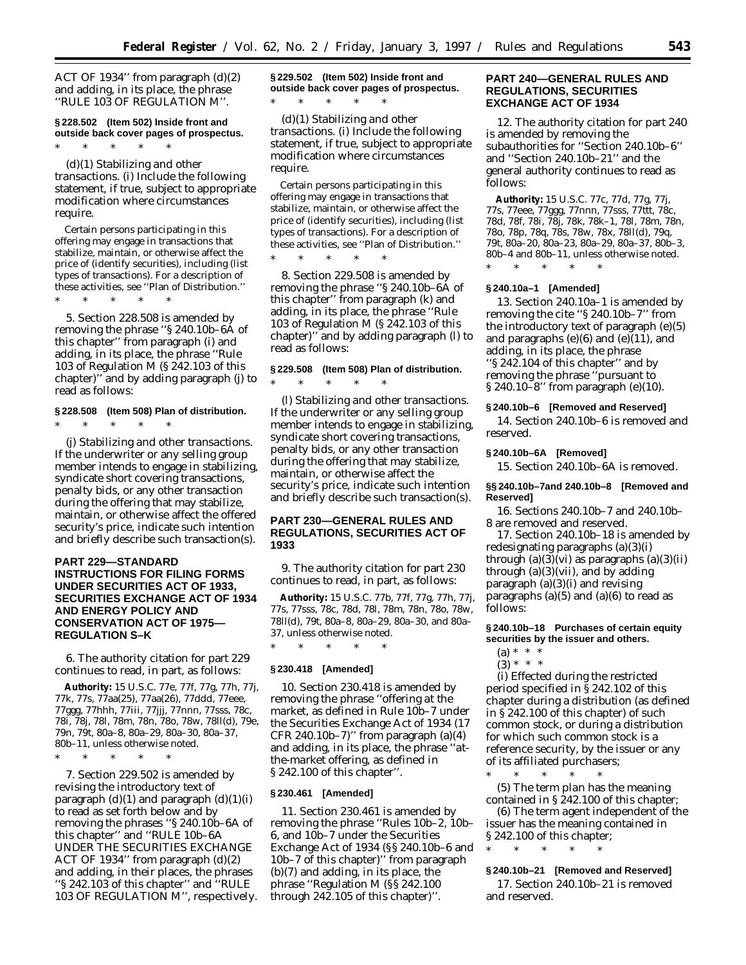ACT OF 1934'' from paragraph (d)(2) and adding, in its place, the phrase ''RULE 103 OF REGULATION M''.

**§ 228.502 (Item 502) Inside front and outside back cover pages of prospectus.**

\* \* \* \* \*

(d)(1) *Stabilizing and other transactions.* (i) Include the following statement, if true, subject to appropriate modification where circumstances require.

Certain persons participating in this offering may engage in transactions that stabilize, maintain, or otherwise affect the price of (identify securities), including (list types of transactions). For a description of these activities, see ''Plan of Distribution.'' \* \* \* \* \*

5. Section 228.508 is amended by removing the phrase ''§ 240.10b–6A of this chapter'' from paragraph (i) and adding, in its place, the phrase ''Rule 103 of Regulation M (§ 242.103 of this chapter)'' and by adding paragraph (j) to read as follows:

## **§ 228.508 (Item 508) Plan of distribution.**

\* \* \* \* \*

(j) *Stabilizing and other transactions.* If the underwriter or any selling group member intends to engage in stabilizing, syndicate short covering transactions, penalty bids, or any other transaction during the offering that may stabilize, maintain, or otherwise affect the offered security's price, indicate such intention and briefly describe such transaction(s).

## **PART 229—STANDARD INSTRUCTIONS FOR FILING FORMS UNDER SECURITIES ACT OF 1933, SECURITIES EXCHANGE ACT OF 1934 AND ENERGY POLICY AND CONSERVATION ACT OF 1975— REGULATION S–K**

6. The authority citation for part 229 continues to read, in part, as follows:

**Authority:** 15 U.S.C. 77e, 77f, 77g, 77h, 77j, 77k, 77s, 77aa(25), 77aa(26), 77ddd, 77eee, 77ggg, 77hhh, 77iii, 77jjj, 77nnn, 77sss, 78c, 78i, 78j, 78*l*, 78m, 78n, 78o, 78w, 78*ll*(d), 79e, 79n, 79t, 80a–8, 80a–29, 80a–30, 80a–37, 80b–11, unless otherwise noted.

\* \* \* \* \*

7. Section 229.502 is amended by revising the introductory text of paragraph  $(d)(1)$  and paragraph  $(d)(1)(i)$ to read as set forth below and by removing the phrases ''§ 240.10b–6A of this chapter'' and ''RULE 10b–6A UNDER THE SECURITIES EXCHANGE ACT OF 1934'' from paragraph (d)(2) and adding, in their places, the phrases ''§ 242.103 of this chapter'' and ''RULE 103 OF REGULATION M'', respectively. **§ 229.502 (Item 502) Inside front and outside back cover pages of prospectus.** \* \* \* \* \*

(d)(1) *Stabilizing and other transactions.* (i) Include the following statement, if true, subject to appropriate modification where circumstances require.

Certain persons participating in this offering may engage in transactions that stabilize, maintain, or otherwise affect the price of (identify securities), including (list types of transactions). For a description of these activities, see ''Plan of Distribution.''

\* \* \* \* \*

\* \* \* \* \*

8. Section 229.508 is amended by removing the phrase ''§ 240.10b–6A of this chapter'' from paragraph (k) and adding, in its place, the phrase ''Rule 103 of Regulation M (§ 242.103 of this chapter)'' and by adding paragraph (l) to read as follows:

## **§ 229.508 (Item 508) Plan of distribution.**

(l) *Stabilizing and other transactions.* If the underwriter or any selling group member intends to engage in stabilizing, syndicate short covering transactions, penalty bids, or any other transaction during the offering that may stabilize, maintain, or otherwise affect the security's price, indicate such intention and briefly describe such transaction(s).

## **PART 230—GENERAL RULES AND REGULATIONS, SECURITIES ACT OF 1933**

9. The authority citation for part 230 continues to read, in part, as follows:

**Authority:** 15 U.S.C. 77b, 77f, 77g, 77h, 77j, 77s, 77sss, 78c, 78d, 78*l*, 78m, 78n, 78o, 78w, 78*ll*(d), 79t, 80a–8, 80a–29, 80a–30, and 80a– 37, unless otherwise noted.

\* \* \* \* \*

## **§ 230.418 [Amended]**

10. Section 230.418 is amended by removing the phrase ''*offering at the market*, as defined in Rule 10b–7 under the Securities Exchange Act of 1934 (17 CFR 240.10b–7)" from paragraph  $(a)(4)$ and adding, in its place, the phrase ''*atthe-market offering*, as defined in § 242.100 of this chapter''.

#### **§ 230.461 [Amended]**

11. Section 230.461 is amended by removing the phrase ''Rules 10b–2, 10b– 6, and 10b–7 under the Securities Exchange Act of 1934 (§§ 240.10b–6 and 10b–7 of this chapter)'' from paragraph (b)(7) and adding, in its place, the phrase ''Regulation M (§§ 242.100 through 242.105 of this chapter)''.

#### **PART 240—GENERAL RULES AND REGULATIONS, SECURITIES EXCHANGE ACT OF 1934**

12. The authority citation for part 240 is amended by removing the subauthorities for ''Section 240.10b–6'' and ''Section 240.10b–21'' and the general authority continues to read as follows:

**Authority:** 15 U.S.C. 77c, 77d, 77g, 77j, 77s, 77eee, 77ggg, 77nnn, 77sss, 77ttt, 78c, 78d, 78f, 78i, 78j, 78k, 78k–1, 78l, 78m, 78n, 78o, 78p, 78q, 78s, 78w, 78x, 78ll(d), 79q, 79t, 80a–20, 80a–23, 80a–29, 80a–37, 80b–3, 80b–4 and 80b–11, unless otherwise noted.

## \* \* \* \* \* **§ 240.10a–1 [Amended]**

13. Section 240.10a–1 is amended by removing the cite ''§ 240.10b–7'' from the introductory text of paragraph (e)(5) and paragraphs  $(e)(6)$  and  $(e)(11)$ , and adding, in its place, the phrase ''§ 242.104 of this chapter'' and by removing the phrase ''pursuant to § 240.10–8'' from paragraph (e)(10).

## **§ 240.10b–6 [Removed and Reserved]**

14. Section 240.10b–6 is removed and reserved.

#### **§ 240.10b–6A [Removed]**

15. Section 240.10b–6A is removed.

#### **§§ 240.10b–7and 240.10b–8 [Removed and Reserved]**

16. Sections 240.10b–7 and 240.10b– 8 are removed and reserved.

17. Section 240.10b–18 is amended by redesignating paragraphs (a)(3)(i) through  $(a)(3)(vi)$  as paragraphs  $(a)(3)(ii)$ through (a)(3)(vii), and by adding paragraph (a)(3)(i) and revising paragraphs  $(a)(5)$  and  $(a)(6)$  to read as follows:

## **§ 240.10b–18 Purchases of certain equity securities by the issuer and others.**

 $(a) * * * *$ 

# $(3) * * * *$

(i) Effected during the restricted period specified in § 242.102 of this chapter during a distribution (as defined in § 242.100 of this chapter) of such common stock, or during a distribution for which such common stock is a reference security, by the issuer or any of its affiliated purchasers;

(5) The term *plan* has the meaning contained in § 242.100 of this chapter;

(6) The term *agent independent of the issuer* has the meaning contained in § 242.100 of this chapter;

\* \* \* \* \*

\* \* \* \* \*

### **§ 240.10b–21 [Removed and Reserved]**

17. Section 240.10b–21 is removed and reserved.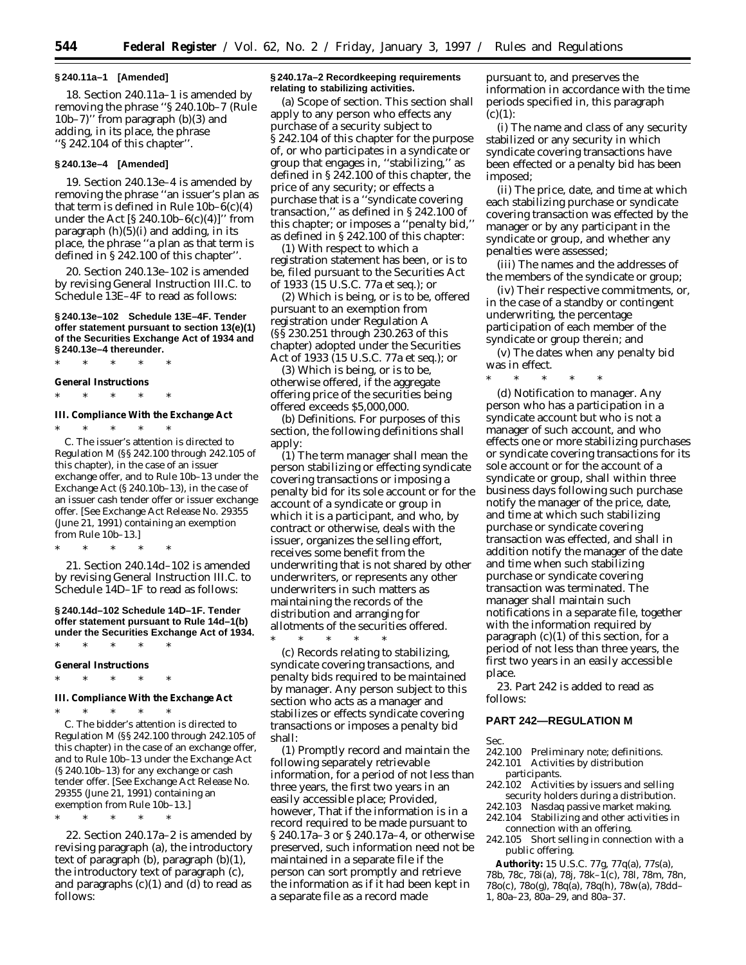#### **§ 240.11a–1 [Amended]**

18. Section 240.11a–1 is amended by removing the phrase ''§ 240.10b–7 (Rule 10b–7)'' from paragraph (b)(3) and adding, in its place, the phrase ''§ 242.104 of this chapter''.

## **§ 240.13e–4 [Amended]**

19. Section 240.13e–4 is amended by removing the phrase ''an issuer's plan as that term is defined in Rule  $10b-6(c)(4)$ under the Act [§ 240.10b–6(c)(4)]'' from paragraph (h)(5)(i) and adding, in its place, the phrase ''a plan as that term is defined in § 242.100 of this chapter''.

20. Section 240.13e–102 is amended by revising General Instruction III.C. to Schedule 13E–4F to read as follows:

**§ 240.13e–102 Schedule 13E–4F. Tender offer statement pursuant to section 13(e)(1) of the Securities Exchange Act of 1934 and § 240.13e–4 thereunder.**

\* \* \* \* \* **General Instructions**

\* \* \* \* \*

**III. Compliance With the Exchange Act**

\* \* \* \* \* C. The issuer's attention is directed to Regulation M (§§ 242.100 through 242.105 of this chapter), in the case of an issuer exchange offer, and to Rule 10b–13 under the Exchange Act (§ 240.10b–13), in the case of an issuer cash tender offer or issuer exchange offer. [*See* Exchange Act Release No. 29355 (June 21, 1991) containing an exemption from Rule 10b–13.]

\* \* \* \* \*

21. Section 240.14d–102 is amended by revising General Instruction III.C. to Schedule 14D–1F to read as follows:

## **§ 240.14d–102 Schedule 14D–1F. Tender offer statement pursuant to Rule 14d–1(b) under the Securities Exchange Act of 1934.**

\* \* \* \* \* **General Instructions** \* \* \* \* \*

**III. Compliance With the Exchange Act**

\* \* \* \* \* C. The bidder's attention is directed to Regulation M (§§ 242.100 through 242.105 of this chapter) in the case of an exchange offer, and to Rule 10b–13 under the Exchange Act (§ 240.10b–13) for any exchange or cash tender offer. [*See* Exchange Act Release No. 29355 (June 21, 1991) containing an exemption from Rule 10b–13.]

\* \* \* \* \*

22. Section 240.17a–2 is amended by revising paragraph (a), the introductory text of paragraph (b), paragraph (b)(1), the introductory text of paragraph (c), and paragraphs  $(c)(1)$  and  $(d)$  to read as follows:

#### **§ 240.17a–2 Recordkeeping requirements relating to stabilizing activities.**

(a) *Scope of section.* This section shall apply to any person who effects any purchase of a security subject to § 242.104 of this chapter for the purpose of, or who participates in a syndicate or group that engages in, ''stabilizing,'' as defined in § 242.100 of this chapter, the price of any security; or effects a purchase that is a ''syndicate covering transaction,'' as defined in § 242.100 of this chapter; or imposes a ''penalty bid,'' as defined in § 242.100 of this chapter:

(1) With respect to which a registration statement has been, or is to be, filed pursuant to the Securities Act of 1933 (15 U.S.C. 77a *et seq.*); or

(2) Which is being, or is to be, offered pursuant to an exemption from registration under Regulation A (§§ 230.251 through 230.263 of this chapter) adopted under the Securities Act of 1933 (15 U.S.C. 77a *et seq.*); or

(3) Which is being, or is to be, otherwise offered, if the aggregate offering price of the securities being offered exceeds \$5,000,000.

(b) *Definitions.* For purposes of this section, the following definitions shall apply:

(1) The term *manager* shall mean the person stabilizing or effecting syndicate covering transactions or imposing a penalty bid for its sole account or for the account of a syndicate or group in which it is a participant, and who, by contract or otherwise, deals with the issuer, organizes the selling effort, receives some benefit from the underwriting that is not shared by other underwriters, or represents any other underwriters in such matters as maintaining the records of the distribution and arranging for allotments of the securities offered.

\* \* \* \* \* (c) *Records relating to stabilizing, syndicate covering transactions, and penalty bids required to be maintained by manager.* Any person subject to this section who acts as a manager and stabilizes or effects syndicate covering transactions or imposes a penalty bid shall:

(1) Promptly record and maintain the following separately retrievable information, for a period of not less than three years, the first two years in an easily accessible place; *Provided, however,* That if the information is in a record required to be made pursuant to § 240.17a–3 or § 240.17a–4, or otherwise preserved, such information need not be maintained in a separate file if the person can sort promptly and retrieve the information as if it had been kept in a separate file as a record made

pursuant to, and preserves the information in accordance with the time periods specified in, this paragraph  $(c)(1)$ :

(i) The name and class of any security stabilized or any security in which syndicate covering transactions have been effected or a penalty bid has been imposed;

(ii) The price, date, and time at which each stabilizing purchase or syndicate covering transaction was effected by the manager or by any participant in the syndicate or group, and whether any penalties were assessed;

(iii) The names and the addresses of the members of the syndicate or group;

(iv) Their respective commitments, or, in the case of a standby or contingent underwriting, the percentage participation of each member of the syndicate or group therein; and

(v) The dates when any penalty bid was in effect.

\* \* \* \* \* (d) *Notification to manager.* Any person who has a participation in a syndicate account but who is not a manager of such account, and who effects one or more stabilizing purchases or syndicate covering transactions for its sole account or for the account of a syndicate or group, shall within three business days following such purchase notify the manager of the price, date, and time at which such stabilizing purchase or syndicate covering transaction was effected, and shall in addition notify the manager of the date and time when such stabilizing purchase or syndicate covering transaction was terminated. The manager shall maintain such notifications in a separate file, together with the information required by paragraph  $(c)(1)$  of this section, for a period of not less than three years, the first two years in an easily accessible place.

23. Part 242 is added to read as follows:

### **PART 242—REGULATION M**

Sec.

- 242.100 Preliminary note; definitions.
- 242.101 Activities by distribution participants.
- 242.102 Activities by issuers and selling security holders during a distribution.
- 242.103 Nasdaq passive market making.
- 242.104 Stabilizing and other activities in
- connection with an offering. 242.105 Short selling in connection with a public offering.

**Authority:** 15 U.S.C. 77g, 77q(a), 77s(a), 78b, 78c, 78i(a), 78j, 78k–1(c), 78*l*, 78m, 78n, 78o(c), 78o(g), 78q(a), 78q(h), 78w(a), 78dd– 1, 80a–23, 80a–29, and 80a–37.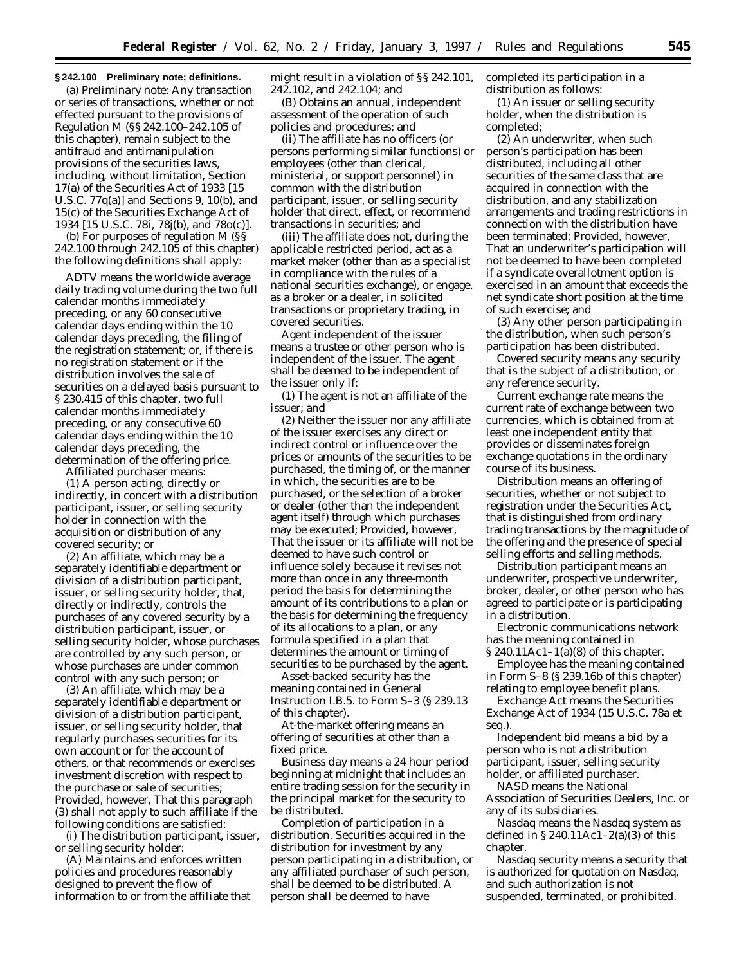#### **§ 242.100 Preliminary note; definitions.**

(a) *Preliminary note:* Any transaction or series of transactions, whether or not effected pursuant to the provisions of Regulation M (§§ 242.100–242.105 of this chapter), remain subject to the antifraud and antimanipulation provisions of the securities laws, including, without limitation, Section 17(a) of the Securities Act of 1933 [15 U.S.C. 77q(a)] and Sections 9, 10(b), and 15(c) of the Securities Exchange Act of 1934 [15 U.S.C. 78i, 78j(b), and 78o(c)].

(b) For purposes of regulation M (§§ 242.100 through 242.105 of this chapter) the following definitions shall apply:

*ADTV* means the worldwide average daily trading volume during the two full calendar months immediately preceding, or any 60 consecutive calendar days ending within the 10 calendar days preceding, the filing of the registration statement; or, if there is no registration statement or if the distribution involves the sale of securities on a delayed basis pursuant to § 230.415 of this chapter, two full calendar months immediately preceding, or any consecutive 60 calendar days ending within the 10 calendar days preceding, the determination of the offering price.

*Affiliated purchaser* means:

(1) A person acting, directly or indirectly, in concert with a distribution participant, issuer, or selling security holder in connection with the acquisition or distribution of any covered security; or

(2) An affiliate, which may be a separately identifiable department or division of a distribution participant, issuer, or selling security holder, that, directly or indirectly, controls the purchases of any covered security by a distribution participant, issuer, or selling security holder, whose purchases are controlled by any such person, or whose purchases are under common control with any such person; or

(3) An affiliate, which may be a separately identifiable department or division of a distribution participant, issuer, or selling security holder, that regularly purchases securities for its own account or for the account of others, or that recommends or exercises investment discretion with respect to the purchase or sale of securities; *Provided, however,* That this paragraph (3) shall not apply to such affiliate if the following conditions are satisfied:

(i) The distribution participant, issuer, or selling security holder:

(A) Maintains and enforces written policies and procedures reasonably designed to prevent the flow of information to or from the affiliate that might result in a violation of §§ 242.101, 242.102, and 242.104; and

(B) Obtains an annual, independent assessment of the operation of such policies and procedures; and

(ii) The affiliate has no officers (or persons performing similar functions) or employees (other than clerical, ministerial, or support personnel) in common with the distribution participant, issuer, or selling security holder that direct, effect, or recommend transactions in securities; and

(iii) The affiliate does not, during the applicable restricted period, act as a market maker (other than as a specialist in compliance with the rules of a national securities exchange), or engage, as a broker or a dealer, in solicited transactions or proprietary trading, in covered securities.

*Agent independent of the issuer* means a trustee or other person who is independent of the issuer. The agent shall be deemed to be independent of the issuer only if:

(1) The agent is not an affiliate of the issuer; and

(2) Neither the issuer nor any affiliate of the issuer exercises any direct or indirect control or influence over the prices or amounts of the securities to be purchased, the timing of, or the manner in which, the securities are to be purchased, or the selection of a broker or dealer (other than the independent agent itself) through which purchases may be executed; *Provided, however,* That the issuer or its affiliate will not be deemed to have such control or influence solely because it revises not more than once in any three-month period the basis for determining the amount of its contributions to a plan or the basis for determining the frequency of its allocations to a plan, or any formula specified in a plan that determines the amount or timing of securities to be purchased by the agent.

*Asset-backed security* has the meaning contained in General Instruction I.B.5. to Form S–3 (§ 239.13 of this chapter).

*At-the-market offering* means an offering of securities at other than a fixed price.

*Business day* means a 24 hour period beginning at midnight that includes an entire trading session for the security in the principal market for the security to be distributed.

*Completion of participation in a distribution*. Securities acquired in the distribution for investment by any person participating in a distribution, or any affiliated purchaser of such person, shall be deemed to be distributed. A person shall be deemed to have

completed its participation in a distribution as follows:

(1) An issuer or selling security holder, when the distribution is completed;

(2) An underwriter, when such person's participation has been distributed, including all other securities of the same class that are acquired in connection with the distribution, and any stabilization arrangements and trading restrictions in connection with the distribution have been terminated; *Provided, however*, That an underwriter's participation will not be deemed to have been completed if a syndicate overallotment option is exercised in an amount that exceeds the net syndicate short position at the time of such exercise; and

(3) Any other person participating in the distribution, when such person's participation has been distributed.

*Covered security* means any security that is the subject of a distribution, or any reference security.

*Current exchange rate* means the current rate of exchange between two currencies, which is obtained from at least one independent entity that provides or disseminates foreign exchange quotations in the ordinary course of its business.

*Distribution* means an offering of securities, whether or not subject to registration under the Securities Act, that is distinguished from ordinary trading transactions by the magnitude of the offering and the presence of special selling efforts and selling methods.

*Distribution participant* means an underwriter, prospective underwriter, broker, dealer, or other person who has agreed to participate or is participating in a distribution.

*Electronic communications network* has the meaning contained in  $$240.11Ac1-1(a)(8)$  of this chapter.

*Employee* has the meaning contained in Form S–8 (§ 239.16b of this chapter) relating to employee benefit plans.

*Exchange Act* means the Securities Exchange Act of 1934 (15 U.S.C. 78a *et seq.*).

*Independent bid* means a bid by a person who is not a distribution participant, issuer, selling security holder, or affiliated purchaser.

*NASD* means the National Association of Securities Dealers, Inc. or any of its subsidiaries.

*Nasdaq* means the Nasdaq system as defined in  $\S 240.11Ac1-2(a)(3)$  of this chapter.

*Nasdaq security* means a security that is authorized for quotation on Nasdaq, and such authorization is not suspended, terminated, or prohibited.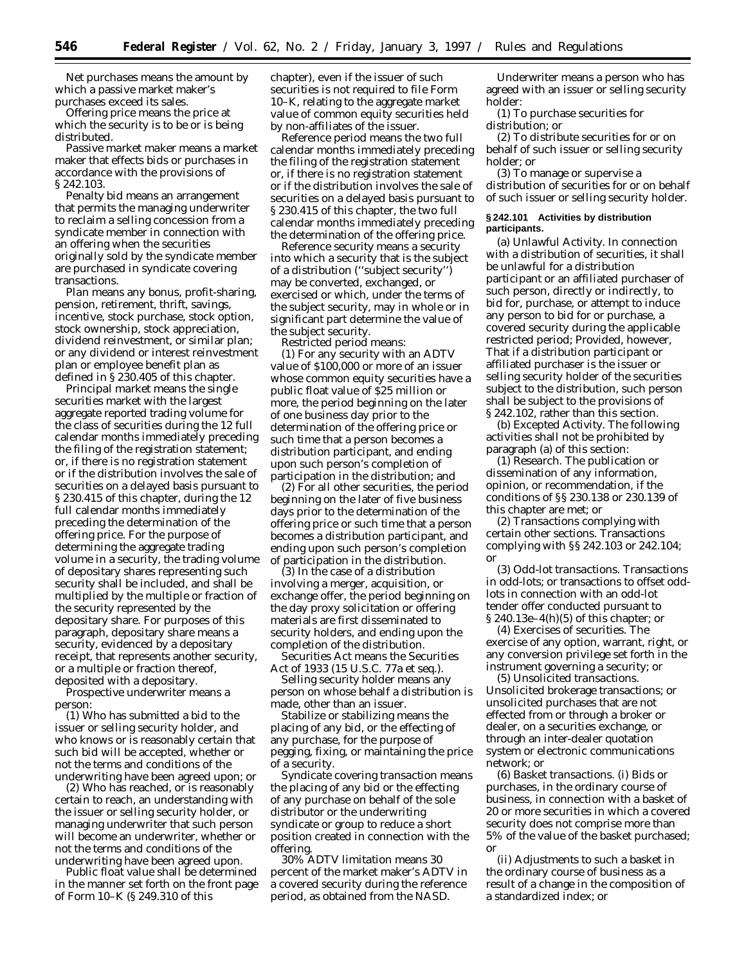*Net purchases* means the amount by which a passive market maker's purchases exceed its sales.

*Offering price* means the price at which the security is to be or is being distributed.

*Passive market maker* means a market maker that effects bids or purchases in accordance with the provisions of § 242.103.

*Penalty bid* means an arrangement that permits the managing underwriter to reclaim a selling concession from a syndicate member in connection with an offering when the securities originally sold by the syndicate member are purchased in syndicate covering transactions.

*Plan* means any bonus, profit-sharing, pension, retirement, thrift, savings, incentive, stock purchase, stock option, stock ownership, stock appreciation, dividend reinvestment, or similar plan; or any dividend or interest reinvestment plan or employee benefit plan as defined in § 230.405 of this chapter.

*Principal market* means the single securities market with the largest aggregate reported trading volume for the class of securities during the 12 full calendar months immediately preceding the filing of the registration statement; or, if there is no registration statement or if the distribution involves the sale of securities on a delayed basis pursuant to § 230.415 of this chapter, during the 12 full calendar months immediately preceding the determination of the offering price. For the purpose of determining the aggregate trading volume in a security, the trading volume of depositary shares representing such security shall be included, and shall be multiplied by the multiple or fraction of the security represented by the depositary share. For purposes of this paragraph, depositary share means a security, evidenced by a depositary receipt, that represents another security, or a multiple or fraction thereof, deposited with a depositary.

*Prospective underwriter* means a person:

(1) Who has submitted a bid to the issuer or selling security holder, and who knows or is reasonably certain that such bid will be accepted, whether or not the terms and conditions of the underwriting have been agreed upon; or

(2) Who has reached, or is reasonably certain to reach, an understanding with the issuer or selling security holder, or managing underwriter that such person will become an underwriter, whether or not the terms and conditions of the underwriting have been agreed upon.

*Public float value* shall be determined in the manner set forth on the front page of Form 10–K (§ 249.310 of this

chapter), even if the issuer of such securities is not required to file Form 10–K, relating to the aggregate market value of common equity securities held by non-affiliates of the issuer.

*Reference period* means the two full calendar months immediately preceding the filing of the registration statement or, if there is no registration statement or if the distribution involves the sale of securities on a delayed basis pursuant to § 230.415 of this chapter, the two full calendar months immediately preceding the determination of the offering price.

*Reference security* means a security into which a security that is the subject of a distribution (''subject security'') may be converted, exchanged, or exercised or which, under the terms of the subject security, may in whole or in significant part determine the value of the subject security.

*Restricted period* means: (1) For any security with an ADTV value of \$100,000 or more of an issuer whose common equity securities have a public float value of \$25 million or more, the period beginning on the later of one business day prior to the determination of the offering price or such time that a person becomes a distribution participant, and ending upon such person's completion of participation in the distribution; and

(2) For all other securities, the period beginning on the later of five business days prior to the determination of the offering price or such time that a person becomes a distribution participant, and ending upon such person's completion of participation in the distribution.

(3) In the case of a distribution involving a merger, acquisition, or exchange offer, the period beginning on the day proxy solicitation or offering materials are first disseminated to security holders, and ending upon the completion of the distribution.

*Securities Act* means the Securities Act of 1933 (15 U.S.C. 77a *et seq.*).

*Selling security holder* means any person on whose behalf a distribution is made, other than an issuer.

*Stabilize or stabilizing* means the placing of any bid, or the effecting of any purchase, for the purpose of pegging, fixing, or maintaining the price of a security.

*Syndicate covering transaction* means the placing of any bid or the effecting of any purchase on behalf of the sole distributor or the underwriting syndicate or group to reduce a short position created in connection with the offering.

*30% ADTV limitation* means 30 percent of the market maker's ADTV in a covered security during the reference period, as obtained from the NASD.

*Underwriter* means a person who has agreed with an issuer or selling security holder:

(1) To purchase securities for distribution; or

(2) To distribute securities for or on behalf of such issuer or selling security holder; or

(3) To manage or supervise a distribution of securities for or on behalf of such issuer or selling security holder.

#### **§ 242.101 Activities by distribution participants.**

(a) *Unlawful Activity.* In connection with a distribution of securities, it shall be unlawful for a distribution participant or an affiliated purchaser of such person, directly or indirectly, to bid for, purchase, or attempt to induce any person to bid for or purchase, a covered security during the applicable restricted period; *Provided, however,* That if a distribution participant or affiliated purchaser is the issuer or selling security holder of the securities subject to the distribution, such person shall be subject to the provisions of § 242.102, rather than this section.

*(b) Excepted Activity.* The following activities shall not be prohibited by paragraph (a) of this section:

(1) *Research.* The publication or dissemination of any information, opinion, or recommendation, if the conditions of §§ 230.138 or 230.139 of this chapter are met; or

(2) *Transactions complying with certain other sections.* Transactions complying with §§ 242.103 or 242.104; or

(3) *Odd-lot transactions.* Transactions in odd-lots; or transactions to offset oddlots in connection with an odd-lot tender offer conducted pursuant to § 240.13e–4(h)(5) of this chapter; or

(4) *Exercises of securities.* The exercise of any option, warrant, right, or any conversion privilege set forth in the instrument governing a security; or

(5) *Unsolicited transactions.* Unsolicited brokerage transactions; or unsolicited purchases that are not effected from or through a broker or dealer, on a securities exchange, or through an inter-dealer quotation system or electronic communications network; or

(6) *Basket transactions.* (i) Bids or purchases, in the ordinary course of business, in connection with a basket of 20 or more securities in which a covered security does not comprise more than 5% of the value of the basket purchased; or

(ii) Adjustments to such a basket in the ordinary course of business as a result of a change in the composition of a standardized index; or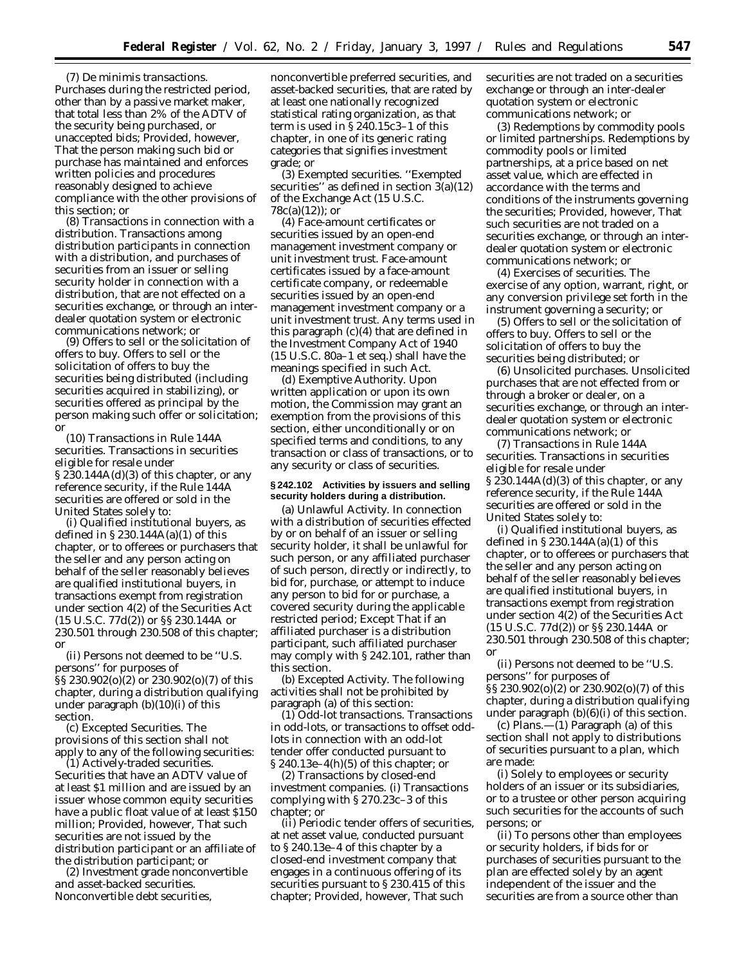(7) *De minimis transactions.* Purchases during the restricted period, other than by a passive market maker, that total less than 2% of the ADTV of the security being purchased, or unaccepted bids; *Provided, however,* That the person making such bid or purchase has maintained and enforces written policies and procedures reasonably designed to achieve compliance with the other provisions of this section; or

(8) *Transactions in connection with a distribution.* Transactions among distribution participants in connection with a distribution, and purchases of securities from an issuer or selling security holder in connection with a distribution, that are not effected on a securities exchange, or through an interdealer quotation system or electronic communications network; or

(9) *Offers to sell or the solicitation of offers to buy.* Offers to sell or the solicitation of offers to buy the securities being distributed (including securities acquired in stabilizing), or securities offered as principal by the person making such offer or solicitation; or

(10) *Transactions in Rule 144A securities.* Transactions in securities eligible for resale under § 230.144A(d)(3) of this chapter, or any reference security, if the Rule 144A securities are offered or sold in the United States solely to:

(i) Qualified institutional buyers, as defined in  $\S 230.144A(a)(1)$  of this chapter, or to offerees or purchasers that the seller and any person acting on behalf of the seller reasonably believes are qualified institutional buyers, in transactions exempt from registration under section 4(2) of the Securities Act (15 U.S.C. 77d(2)) or §§ 230.144A or 230.501 through 230.508 of this chapter; or

(ii) Persons not deemed to be ''U.S. persons'' for purposes of §§ 230.902(o)(2) or 230.902(o)(7) of this chapter, during a distribution qualifying under paragraph  $(b)(10)(i)$  of this section.

(c) *Excepted Securities.* The provisions of this section shall not apply to any of the following securities:

(1) *Actively-traded securities.* Securities that have an ADTV value of at least \$1 million and are issued by an issuer whose common equity securities have a public float value of at least \$150 million; *Provided, however,* That such securities are not issued by the distribution participant or an affiliate of the distribution participant; or

(2) *Investment grade nonconvertible and asset-backed securities.* Nonconvertible debt securities,

nonconvertible preferred securities, and asset-backed securities, that are rated by at least one nationally recognized statistical rating organization, as that term is used in § 240.15c3–1 of this chapter, in one of its generic rating categories that signifies investment grade; or

(3) *Exempted securities.* ''Exempted securities'' as defined in section 3(a)(12) of the Exchange Act (15 U.S.C.  $78c(a)(12)$ ; or

(4) *Face-amount certificates or securities issued by an open-end management investment company or unit investment trust.* Face-amount certificates issued by a face-amount certificate company, or redeemable securities issued by an open-end management investment company or a unit investment trust. Any terms used in this paragraph (c)(4) that are defined in the Investment Company Act of 1940 (15 U.S.C. 80a–1 *et seq.*) shall have the meanings specified in such Act.

(d) *Exemptive Authority.* Upon written application or upon its own motion, the Commission may grant an exemption from the provisions of this section, either unconditionally or on specified terms and conditions, to any transaction or class of transactions, or to any security or class of securities.

#### **§ 242.102 Activities by issuers and selling security holders during a distribution.**

(a) *Unlawful Activity.* In connection with a distribution of securities effected by or on behalf of an issuer or selling security holder, it shall be unlawful for such person, or any affiliated purchaser of such person, directly or indirectly, to bid for, purchase, or attempt to induce any person to bid for or purchase, a covered security during the applicable restricted period; *Except That* if an affiliated purchaser is a distribution participant, such affiliated purchaser may comply with § 242.101, rather than this section.

(b) *Excepted Activity.* The following activities shall not be prohibited by paragraph (a) of this section:

(1) *Odd-lot transactions.* Transactions in odd-lots, or transactions to offset oddlots in connection with an odd-lot tender offer conducted pursuant to § 240.13e–4(h)(5) of this chapter; or

(2) *Transactions by closed-end investment companies.* (i) Transactions complying with § 270.23c–3 of this chapter; or

(ii) Periodic tender offers of securities, at net asset value, conducted pursuant to § 240.13e–4 of this chapter by a closed-end investment company that engages in a continuous offering of its securities pursuant to § 230.415 of this chapter; *Provided, however,* That such

securities are not traded on a securities exchange or through an inter-dealer quotation system or electronic communications network; or

(3) *Redemptions by commodity pools or limited partnerships.* Redemptions by commodity pools or limited partnerships, at a price based on net asset value, which are effected in accordance with the terms and conditions of the instruments governing the securities; *Provided, however,* That such securities are not traded on a securities exchange, or through an interdealer quotation system or electronic communications network; or

(4) *Exercises of securities.* The exercise of any option, warrant, right, or any conversion privilege set forth in the instrument governing a security; or

(5) *Offers to sell or the solicitation of offers to buy.* Offers to sell or the solicitation of offers to buy the securities being distributed; or

(6) *Unsolicited purchases.* Unsolicited purchases that are not effected from or through a broker or dealer, on a securities exchange, or through an interdealer quotation system or electronic communications network; or

(7) *Transactions in Rule 144A securities.* Transactions in securities eligible for resale under § 230.144A(d)(3) of this chapter, or any reference security, if the Rule 144A securities are offered or sold in the United States solely to:

(i) Qualified institutional buyers, as defined in § 230.144A(a)(1) of this chapter, or to offerees or purchasers that the seller and any person acting on behalf of the seller reasonably believes are qualified institutional buyers, in transactions exempt from registration under section 4(2) of the Securities Act (15 U.S.C. 77d(2)) or §§ 230.144A or 230.501 through 230.508 of this chapter; or

(ii) Persons not deemed to be ''U.S. persons'' for purposes of §§ 230.902(o)(2) or 230.902(o)(7) of this chapter, during a distribution qualifying under paragraph  $(b)(6)(i)$  of this section.

(c) *Plans.*—(1) Paragraph (a) of this section shall not apply to distributions of securities pursuant to a plan, which are made:

(i) Solely to employees or security holders of an issuer or its subsidiaries, or to a trustee or other person acquiring such securities for the accounts of such persons; or

(ii) To persons other than employees or security holders, if bids for or purchases of securities pursuant to the plan are effected solely by an agent independent of the issuer and the securities are from a source other than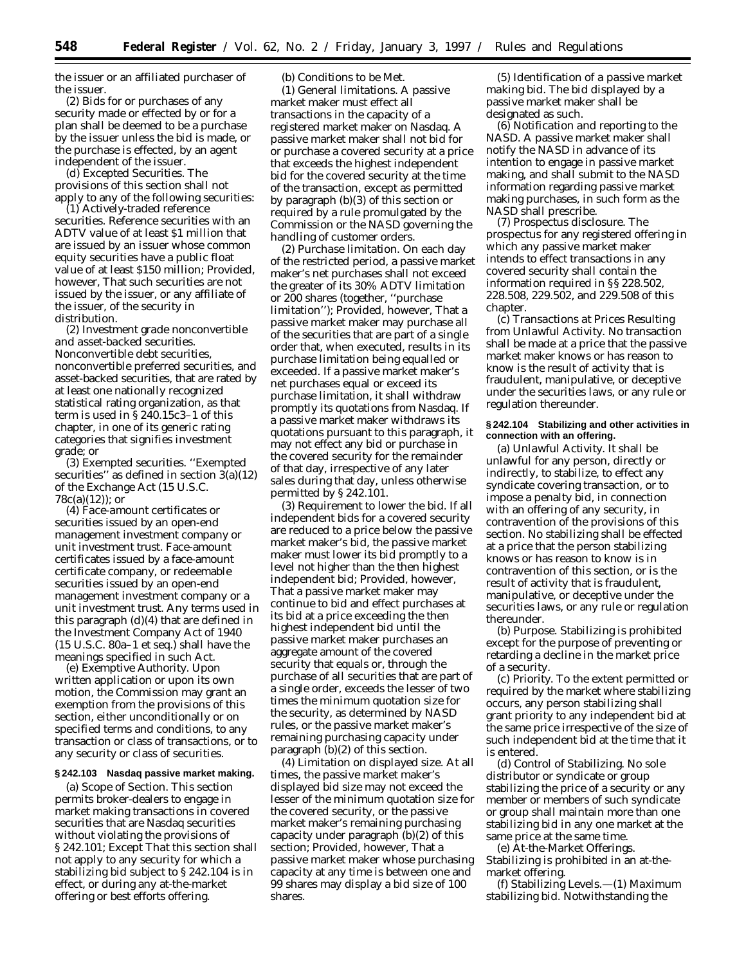the issuer or an affiliated purchaser of the issuer.

(2) Bids for or purchases of any security made or effected by or for a plan shall be deemed to be a purchase by the issuer unless the bid is made, or the purchase is effected, by an agent independent of the issuer.

(d) *Excepted Securities.* The provisions of this section shall not apply to any of the following securities:

(1) *Actively-traded reference securities.* Reference securities with an ADTV value of at least \$1 million that are issued by an issuer whose common equity securities have a public float value of at least \$150 million; *Provided, however,* That such securities are not issued by the issuer, or any affiliate of the issuer, of the security in distribution.

(2) *Investment grade nonconvertible and asset-backed securities.* Nonconvertible debt securities, nonconvertible preferred securities, and asset-backed securities, that are rated by at least one nationally recognized statistical rating organization, as that term is used in § 240.15c3–1 of this chapter, in one of its generic rating categories that signifies investment grade; or

(3) *Exempted securities.* ''Exempted securities'' as defined in section 3(a)(12) of the Exchange Act (15 U.S.C.  $78c(a)(12)$ ; or

(4) *Face-amount certificates or securities issued by an open-end management investment company or unit investment trust.* Face-amount certificates issued by a face-amount certificate company, or redeemable securities issued by an open-end management investment company or a unit investment trust. Any terms used in this paragraph (d)(4) that are defined in the Investment Company Act of 1940 (15 U.S.C. 80a–1 *et seq.*) shall have the meanings specified in such Act.

(e) *Exemptive Authority.* Upon written application or upon its own motion, the Commission may grant an exemption from the provisions of this section, either unconditionally or on specified terms and conditions, to any transaction or class of transactions, or to any security or class of securities.

#### **§ 242.103 Nasdaq passive market making.**

(a) *Scope of Section.* This section permits broker-dealers to engage in market making transactions in covered securities that are Nasdaq securities without violating the provisions of § 242.101; *Except That* this section shall not apply to any security for which a stabilizing bid subject to § 242.104 is in effect, or during any at-the-market offering or best efforts offering.

(b) *Conditions to be Met.* (1) *General limitations.* A passive market maker must effect all transactions in the capacity of a registered market maker on Nasdaq. A passive market maker shall not bid for or purchase a covered security at a price that exceeds the highest independent bid for the covered security at the time of the transaction, except as permitted by paragraph (b)(3) of this section or required by a rule promulgated by the Commission or the NASD governing the handling of customer orders.

(2) *Purchase limitation.* On each day of the restricted period, a passive market maker's net purchases shall not exceed the greater of its 30% ADTV limitation or 200 shares (together, ''purchase limitation''); *Provided, however,* That a passive market maker may purchase all of the securities that are part of a single order that, when executed, results in its purchase limitation being equalled or exceeded. If a passive market maker's net purchases equal or exceed its purchase limitation, it shall withdraw promptly its quotations from Nasdaq. If a passive market maker withdraws its quotations pursuant to this paragraph, it may not effect any bid or purchase in the covered security for the remainder of that day, irrespective of any later sales during that day, unless otherwise permitted by § 242.101.

(3) *Requirement to lower the bid.* If all independent bids for a covered security are reduced to a price below the passive market maker's bid, the passive market maker must lower its bid promptly to a level not higher than the then highest independent bid; *Provided, however,* That a passive market maker may continue to bid and effect purchases at its bid at a price exceeding the then highest independent bid until the passive market maker purchases an aggregate amount of the covered security that equals or, through the purchase of all securities that are part of a single order, exceeds the lesser of two times the minimum quotation size for the security, as determined by NASD rules, or the passive market maker's remaining purchasing capacity under paragraph (b)(2) of this section.

(4) *Limitation on displayed size.* At all times, the passive market maker's displayed bid size may not exceed the lesser of the minimum quotation size for the covered security, or the passive market maker's remaining purchasing capacity under paragraph (b)(2) of this section; *Provided, however,* That a passive market maker whose purchasing capacity at any time is between one and 99 shares may display a bid size of 100 shares.

(5) *Identification of a passive market making bid.* The bid displayed by a passive market maker shall be designated as such.

(6) *Notification and reporting to the NASD.* A passive market maker shall notify the NASD in advance of its intention to engage in passive market making, and shall submit to the NASD information regarding passive market making purchases, in such form as the NASD shall prescribe.

(7) *Prospectus disclosure.* The prospectus for any registered offering in which any passive market maker intends to effect transactions in any covered security shall contain the information required in §§ 228.502, 228.508, 229.502, and 229.508 of this chapter.

(c) *Transactions at Prices Resulting from Unlawful Activity.* No transaction shall be made at a price that the passive market maker knows or has reason to know is the result of activity that is fraudulent, manipulative, or deceptive under the securities laws, or any rule or regulation thereunder.

#### **§ 242.104 Stabilizing and other activities in connection with an offering.**

(a) *Unlawful Activity.* It shall be unlawful for any person, directly or indirectly, to stabilize, to effect any syndicate covering transaction, or to impose a penalty bid, in connection with an offering of any security, in contravention of the provisions of this section. No stabilizing shall be effected at a price that the person stabilizing knows or has reason to know is in contravention of this section, or is the result of activity that is fraudulent, manipulative, or deceptive under the securities laws, or any rule or regulation thereunder.

(b) *Purpose.* Stabilizing is prohibited except for the purpose of preventing or retarding a decline in the market price of a security.

(c) *Priority.* To the extent permitted or required by the market where stabilizing occurs, any person stabilizing shall grant priority to any independent bid at the same price irrespective of the size of such independent bid at the time that it is entered.

(d) *Control of Stabilizing.* No sole distributor or syndicate or group stabilizing the price of a security or any member or members of such syndicate or group shall maintain more than one stabilizing bid in any one market at the same price at the same time.

(e) *At-the-Market Offerings.* Stabilizing is prohibited in an at-themarket offering.

(f) *Stabilizing Levels.—(1) Maximum stabilizing bid.* Notwithstanding the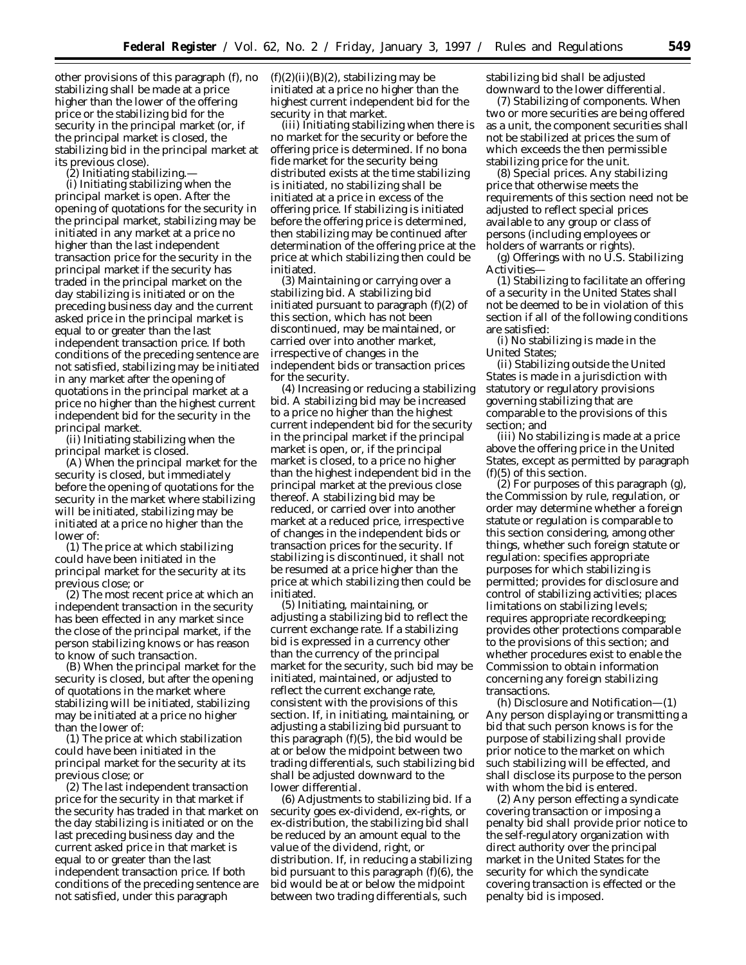other provisions of this paragraph (f), no stabilizing shall be made at a price higher than the lower of the offering price or the stabilizing bid for the security in the principal market (or, if the principal market is closed, the stabilizing bid in the principal market at its previous close).

(2) *Initiating stabilizing.—*

(i) *Initiating stabilizing when the principal market is open.* After the opening of quotations for the security in the principal market, stabilizing may be initiated in any market at a price no higher than the last independent transaction price for the security in the principal market if the security has traded in the principal market on the day stabilizing is initiated or on the preceding business day and the current asked price in the principal market is equal to or greater than the last independent transaction price. If both conditions of the preceding sentence are not satisfied, stabilizing may be initiated in any market after the opening of quotations in the principal market at a price no higher than the highest current independent bid for the security in the principal market.

(ii) *Initiating stabilizing when the principal market is closed.*

(A) When the principal market for the security is closed, but immediately before the opening of quotations for the security in the market where stabilizing will be initiated, stabilizing may be initiated at a price no higher than the lower of:

(*1*) The price at which stabilizing could have been initiated in the principal market for the security at its previous close; or

(*2*) The most recent price at which an independent transaction in the security has been effected in any market since the close of the principal market, if the person stabilizing knows or has reason to know of such transaction.

(B) When the principal market for the security is closed, but after the opening of quotations in the market where stabilizing will be initiated, stabilizing may be initiated at a price no higher than the lower of:

(*1*) The price at which stabilization could have been initiated in the principal market for the security at its previous close; or

(*2*) The last independent transaction price for the security in that market if the security has traded in that market on the day stabilizing is initiated or on the last preceding business day and the current asked price in that market is equal to or greater than the last independent transaction price. If both conditions of the preceding sentence are not satisfied, under this paragraph

 $(f)(2)(ii)(B)(2)$ , stabilizing may be initiated at a price no higher than the highest current independent bid for the security in that market.

(iii) *Initiating stabilizing when there is no market for the security or before the offering price is determined.* If no *bona fide* market for the security being distributed exists at the time stabilizing is initiated, no stabilizing shall be initiated at a price in excess of the offering price. If stabilizing is initiated before the offering price is determined, then stabilizing may be continued after determination of the offering price at the price at which stabilizing then could be initiated.

(3) *Maintaining or carrying over a stabilizing bid.* A stabilizing bid initiated pursuant to paragraph (f)(2) of this section, which has not been discontinued, may be maintained, or carried over into another market, irrespective of changes in the independent bids or transaction prices for the security.

(4) *Increasing or reducing a stabilizing bid.* A stabilizing bid may be increased to a price no higher than the highest current independent bid for the security in the principal market if the principal market is open, or, if the principal market is closed, to a price no higher than the highest independent bid in the principal market at the previous close thereof. A stabilizing bid may be reduced, or carried over into another market at a reduced price, irrespective of changes in the independent bids or transaction prices for the security. If stabilizing is discontinued, it shall not be resumed at a price higher than the price at which stabilizing then could be initiated.

(5) *Initiating, maintaining, or adjusting a stabilizing bid to reflect the current exchange rate.* If a stabilizing bid is expressed in a currency other than the currency of the principal market for the security, such bid may be initiated, maintained, or adjusted to reflect the current exchange rate, consistent with the provisions of this section. If, in initiating, maintaining, or adjusting a stabilizing bid pursuant to this paragraph  $(f)(5)$ , the bid would be at or below the midpoint between two trading differentials, such stabilizing bid shall be adjusted downward to the lower differential.

(6) *Adjustments to stabilizing bid.* If a security goes ex-dividend, ex-rights, or ex-distribution, the stabilizing bid shall be reduced by an amount equal to the value of the dividend, right, or distribution. If, in reducing a stabilizing bid pursuant to this paragraph (f)(6), the bid would be at or below the midpoint between two trading differentials, such

stabilizing bid shall be adjusted downward to the lower differential.

(7) *Stabilizing of components.* When two or more securities are being offered as a unit, the component securities shall not be stabilized at prices the sum of which exceeds the then permissible stabilizing price for the unit.

(8) *Special prices.* Any stabilizing price that otherwise meets the requirements of this section need not be adjusted to reflect special prices available to any group or class of persons (including employees or holders of warrants or rights).

(g) Offerings with no U.S. Stabilizing Activities—

(1) Stabilizing to facilitate an offering of a security in the United States shall not be deemed to be in violation of this section if all of the following conditions are satisfied:

(i) No stabilizing is made in the United States;

(ii) Stabilizing outside the United States is made in a jurisdiction with statutory or regulatory provisions governing stabilizing that are comparable to the provisions of this section; and

(iii) No stabilizing is made at a price above the offering price in the United States, except as permitted by paragraph (f)(5) of this section.

(2) For purposes of this paragraph (g), the Commission by rule, regulation, or order may determine whether a foreign statute or regulation is comparable to this section considering, among other things, whether such foreign statute or regulation: specifies appropriate purposes for which stabilizing is permitted; provides for disclosure and control of stabilizing activities; places limitations on stabilizing levels; requires appropriate recordkeeping; provides other protections comparable to the provisions of this section; and whether procedures exist to enable the Commission to obtain information concerning any foreign stabilizing transactions.

(h) Disclosure and Notification—(1) Any person displaying or transmitting a bid that such person knows is for the purpose of stabilizing shall provide prior notice to the market on which such stabilizing will be effected, and shall disclose its purpose to the person with whom the bid is entered.

(2) Any person effecting a syndicate covering transaction or imposing a penalty bid shall provide prior notice to the self-regulatory organization with direct authority over the principal market in the United States for the security for which the syndicate covering transaction is effected or the penalty bid is imposed.